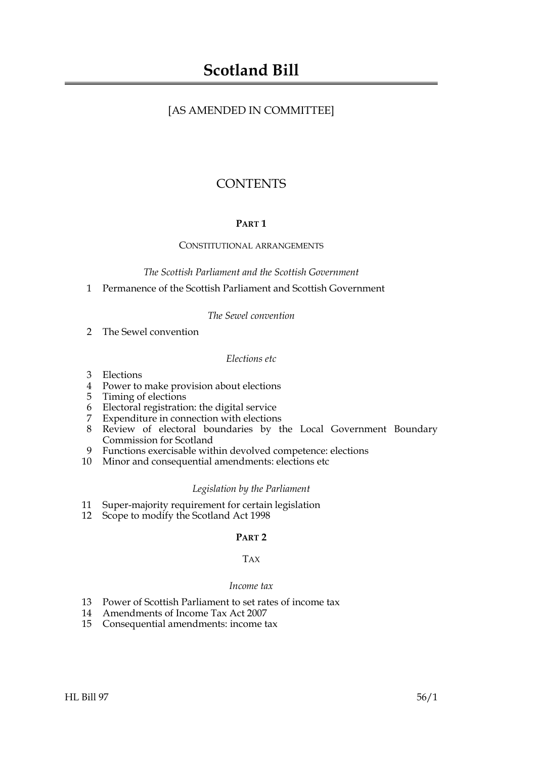## [AS AMENDED IN COMMITTEE]

# **CONTENTS**

## **PART 1**

## CONSTITUTIONAL ARRANGEMENTS

*The Scottish Parliament and the Scottish Government*

1 Permanence of the Scottish Parliament and Scottish Government

## *The Sewel convention*

2 The Sewel convention

## *Elections etc*

- 3 Elections
- 4 Power to make provision about elections
- 5 Timing of elections
- 6 Electoral registration: the digital service
- 7 Expenditure in connection with elections
- 8 Review of electoral boundaries by the Local Government Boundary Commission for Scotland
- 9 Functions exercisable within devolved competence: elections
- 10 Minor and consequential amendments: elections etc

## *Legislation by the Parliament*

- 11 Super-majority requirement for certain legislation
- 12 Scope to modify the Scotland Act 1998

## **PART 2**

## TAX

## *Income tax*

- 13 Power of Scottish Parliament to set rates of income tax
- 14 Amendments of Income Tax Act 2007
- 15 Consequential amendments: income tax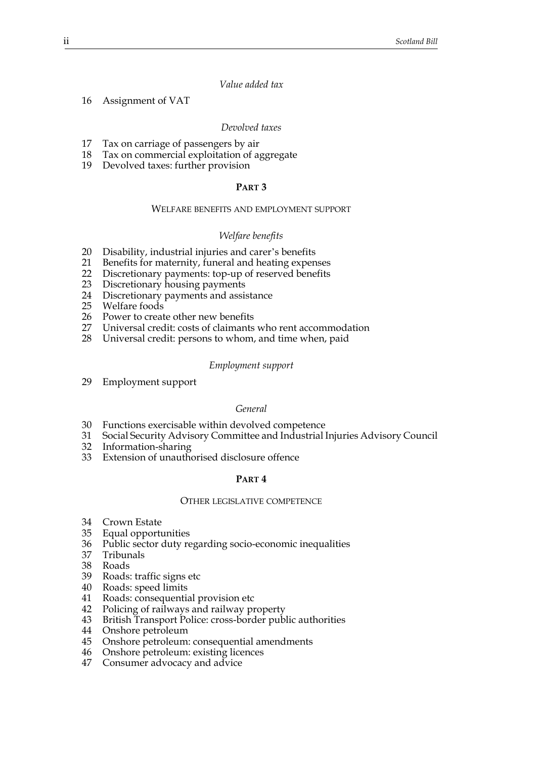## *Value added tax*

16 Assignment of VAT

#### *Devolved taxes*

- 17 Tax on carriage of passengers by air
- 18 Tax on commercial exploitation of aggregate
- 19 Devolved taxes: further provision

#### **PART 3**

#### WELFARE BENEFITS AND EMPLOYMENT SUPPORT

#### *Welfare benefits*

- 20 Disability, industrial injuries and carer's benefits
- 21 Benefits for maternity, funeral and heating expenses<br>22 Discretionary payments: top-up of reserved benefits
- 22 Discretionary payments: top-up of reserved benefits<br>23 Discretionary housing payments
- Discretionary housing payments
- 24 Discretionary payments and assistance
- 25 Welfare foods
- 26 Power to create other new benefits<br>27 Universal credit: costs of claimants
- Universal credit: costs of claimants who rent accommodation
- 28 Universal credit: persons to whom, and time when, paid

#### *Employment support*

29 Employment support

#### *General*

- 30 Functions exercisable within devolved competence
- 31 Social Security Advisory Committee and Industrial Injuries Advisory Council
- 32 Information-sharing
- 33 Extension of unauthorised disclosure offence

#### **PART 4**

#### OTHER LEGISLATIVE COMPETENCE

- 34 Crown Estate
- 35 Equal opportunities
- 36 Public sector duty regarding socio-economic inequalities
- 37 Tribunals
- 38 Roads
- 39 Roads: traffic signs etc
- 40 Roads: speed limits
- 41 Roads: consequential provision etc
- 42 Policing of railways and railway property
- 43 British Transport Police: cross-border public authorities
- 44 Onshore petroleum
- 45 Onshore petroleum: consequential amendments
- 46 Onshore petroleum: existing licences
- 47 Consumer advocacy and advice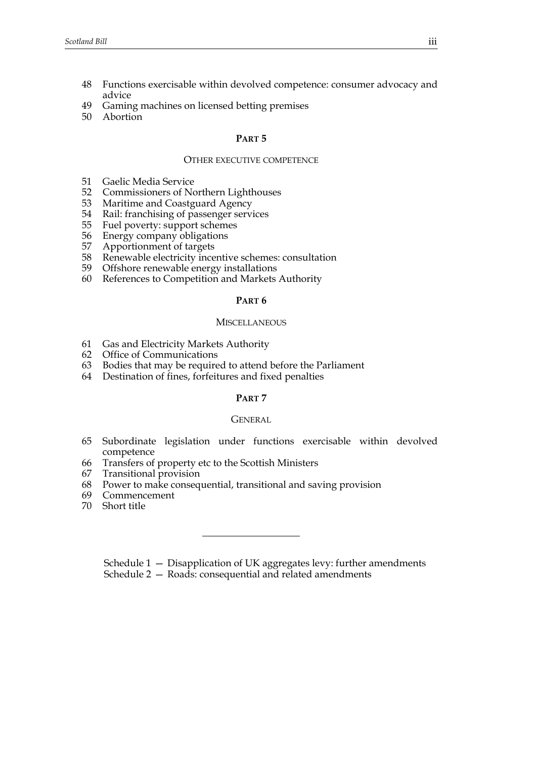- 48 Functions exercisable within devolved competence: consumer advocacy and advice
- 49 Gaming machines on licensed betting premises
- 50 Abortion

#### **PART 5**

#### OTHER EXECUTIVE COMPETENCE

- 51 Gaelic Media Service<br>52 Commissioners of No
- 52 Commissioners of Northern Lighthouses<br>53 Maritime and Coastguard Agency
- Maritime and Coastguard Agency
- 54 Rail: franchising of passenger services
- 55 Fuel poverty: support schemes
- 56 Energy company obligations<br>57 Apportionment of targets
- 57 Apportionment of targets
- 58 Renewable electricity incentive schemes: consultation
- 59 Offshore renewable energy installations
- 60 References to Competition and Markets Authority

#### **PART 6**

#### **MISCELLANEOUS**

- 61 Gas and Electricity Markets Authority
- 62 Office of Communications
- 63 Bodies that may be required to attend before the Parliament
- 64 Destination of fines, forfeitures and fixed penalties

#### **PART 7**

#### **GENERAL**

- 65 Subordinate legislation under functions exercisable within devolved competence
- 66 Transfers of property etc to the Scottish Ministers
- 67 Transitional provision
- 68 Power to make consequential, transitional and saving provision
- 69 Commencement
- 70 Short title

Schedule 1 — Disapplication of UK aggregates levy: further amendments Schedule 2 — Roads: consequential and related amendments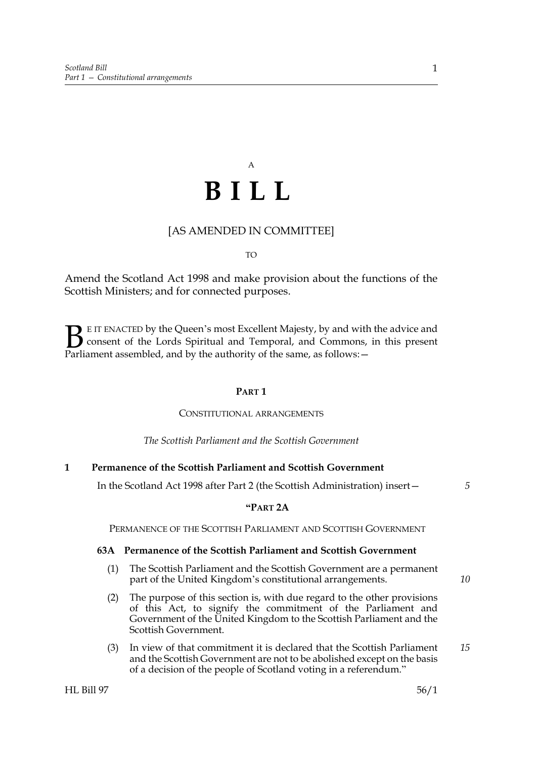# A **BILL**

## [AS AMENDED IN COMMITTEE]

TO

Amend the Scotland Act 1998 and make provision about the functions of the Scottish Ministers; and for connected purposes.

E IT ENACTED by the Queen's most Excellent Majesty, by and with the advice and consent of the Lords Spiritual and Temporal, and Commons, in this present Parliament assembled, and by the authority of the same, as follows: - $\mathbf{B}_{\text{rel}}$ 

## **PART 1**

#### CONSTITUTIONAL ARRANGEMENTS

*The Scottish Parliament and the Scottish Government*

## **1 Permanence of the Scottish Parliament and Scottish Government**

In the Scotland Act 1998 after Part 2 (the Scottish Administration) insert—

## **"PART 2A**

PERMANENCE OF THE SCOTTISH PARLIAMENT AND SCOTTISH GOVERNMENT

#### **63A Permanence of the Scottish Parliament and Scottish Government**

- (1) The Scottish Parliament and the Scottish Government are a permanent part of the United Kingdom's constitutional arrangements.
- (2) The purpose of this section is, with due regard to the other provisions of this Act, to signify the commitment of the Parliament and Government of the United Kingdom to the Scottish Parliament and the Scottish Government.
- (3) In view of that commitment it is declared that the Scottish Parliament and the Scottish Government are not to be abolished except on the basis of a decision of the people of Scotland voting in a referendum."

*5*

*10*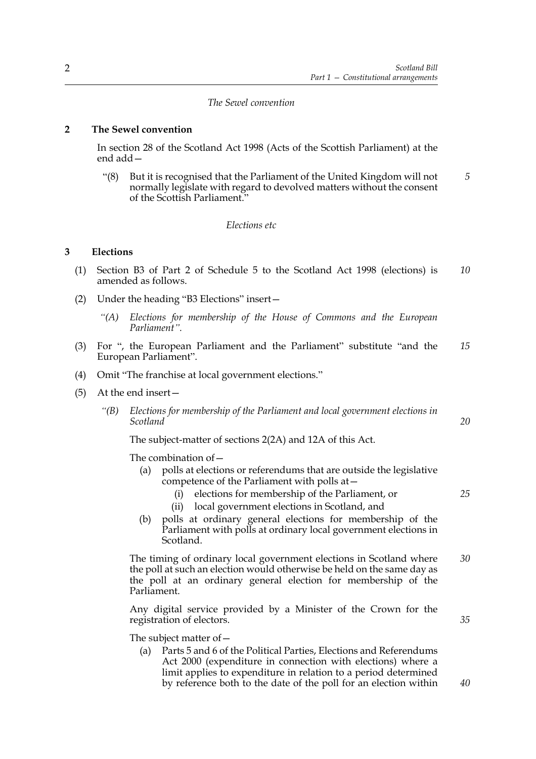## *The Sewel convention*

## **2 The Sewel convention**

In section 28 of the Scotland Act 1998 (Acts of the Scottish Parliament) at the end add—

"(8) But it is recognised that the Parliament of the United Kingdom will not normally legislate with regard to devolved matters without the consent of the Scottish Parliament." *5*

#### *Elections etc*

## **3 Elections**

- (1) Section B3 of Part 2 of Schedule 5 to the Scotland Act 1998 (elections) is amended as follows. *10*
- (2) Under the heading "B3 Elections" insert—
	- *"(A) Elections for membership of the House of Commons and the European Parliament".*
- (3) For ", the European Parliament and the Parliament" substitute "and the European Parliament". *15*
- (4) Omit "The franchise at local government elections."
- (5) At the end insert—
	- *"(B) Elections for membership of the Parliament and local government elections in Scotland*

The subject-matter of sections 2(2A) and 12A of this Act.

The combination of—

- (a) polls at elections or referendums that are outside the legislative competence of the Parliament with polls at—
	- (i) elections for membership of the Parliament, or
	- (ii) local government elections in Scotland, and
- (b) polls at ordinary general elections for membership of the Parliament with polls at ordinary local government elections in Scotland.

 The timing of ordinary local government elections in Scotland where the poll at such an election would otherwise be held on the same day as the poll at an ordinary general election for membership of the Parliament. *30*

 Any digital service provided by a Minister of the Crown for the registration of electors.

The subject matter of—

(a) Parts 5 and 6 of the Political Parties, Elections and Referendums Act 2000 (expenditure in connection with elections) where a limit applies to expenditure in relation to a period determined by reference both to the date of the poll for an election within

*40*

*35*

*20*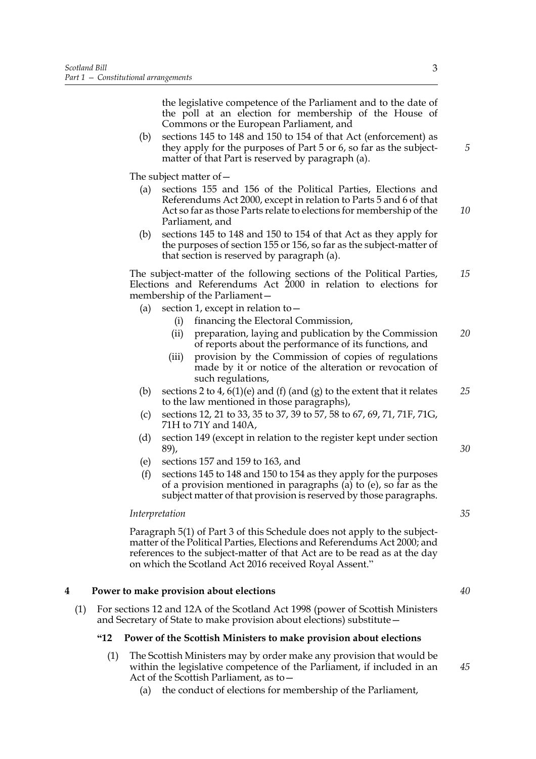the legislative competence of the Parliament and to the date of the poll at an election for membership of the House of Commons or the European Parliament, and

(b) sections 145 to 148 and 150 to 154 of that Act (enforcement) as they apply for the purposes of Part 5 or 6, so far as the subjectmatter of that Part is reserved by paragraph (a).

The subject matter of—

- (a) sections 155 and 156 of the Political Parties, Elections and Referendums Act 2000, except in relation to Parts 5 and 6 of that Act so far as those Parts relate to elections for membership of the Parliament, and *10*
- (b) sections 145 to 148 and 150 to 154 of that Act as they apply for the purposes of section 155 or 156, so far as the subject-matter of that section is reserved by paragraph (a).

 The subject-matter of the following sections of the Political Parties, Elections and Referendums Act 2000 in relation to elections for membership of the Parliament— *15*

- (a) section 1, except in relation to  $-$ 
	- (i) financing the Electoral Commission,
	- (ii) preparation, laying and publication by the Commission of reports about the performance of its functions, and *20*
	- (iii) provision by the Commission of copies of regulations made by it or notice of the alteration or revocation of such regulations,
- (b) sections 2 to 4,  $6(1)(e)$  and (f) (and (g) to the extent that it relates to the law mentioned in those paragraphs), *25*
- (c) sections 12, 21 to 33, 35 to 37, 39 to 57, 58 to 67, 69, 71, 71F, 71G, 71H to 71Y and 140A,
- (d) section 149 (except in relation to the register kept under section 89),
- (e) sections 157 and 159 to 163, and
- (f) sections 145 to 148 and 150 to 154 as they apply for the purposes of a provision mentioned in paragraphs  $\overline{a}$  to  $\overline{e}$ ), so far as the subject matter of that provision is reserved by those paragraphs.

#### *Interpretation*

 Paragraph 5(1) of Part 3 of this Schedule does not apply to the subjectmatter of the Political Parties, Elections and Referendums Act 2000; and references to the subject-matter of that Act are to be read as at the day on which the Scotland Act 2016 received Royal Assent."

#### **4 Power to make provision about elections**

(1) For sections 12 and 12A of the Scotland Act 1998 (power of Scottish Ministers and Secretary of State to make provision about elections) substitute—

#### **"12 Power of the Scottish Ministers to make provision about elections**

- (1) The Scottish Ministers may by order make any provision that would be within the legislative competence of the Parliament, if included in an Act of the Scottish Parliament, as to—
	- (a) the conduct of elections for membership of the Parliament,

*5*

*30*

*40*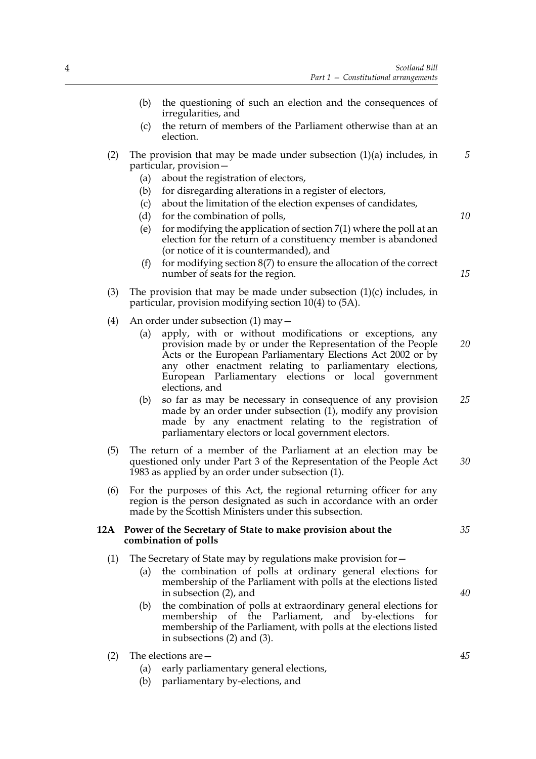- (b) the questioning of such an election and the consequences of irregularities, and
- (c) the return of members of the Parliament otherwise than at an election.
- (2) The provision that may be made under subsection (1)(a) includes, in particular, provision— *5*
	- (a) about the registration of electors,
	- (b) for disregarding alterations in a register of electors,
	- (c) about the limitation of the election expenses of candidates,
	- (d) for the combination of polls,
	- (e) for modifying the application of section  $7(1)$  where the poll at an election for the return of a constituency member is abandoned (or notice of it is countermanded), and
	- (f) for modifying section  $8(7)$  to ensure the allocation of the correct number of seats for the region.
- (3) The provision that may be made under subsection  $(1)(c)$  includes, in particular, provision modifying section 10(4) to (5A).
- (4) An order under subsection (1) may—
	- (a) apply, with or without modifications or exceptions, any provision made by or under the Representation of the People Acts or the European Parliamentary Elections Act 2002 or by any other enactment relating to parliamentary elections, European Parliamentary elections or local government elections, and *20*
	- (b) so far as may be necessary in consequence of any provision made by an order under subsection (1), modify any provision made by any enactment relating to the registration of parliamentary electors or local government electors. *25*
- (5) The return of a member of the Parliament at an election may be questioned only under Part 3 of the Representation of the People Act 1983 as applied by an order under subsection (1). *30*
- (6) For the purposes of this Act, the regional returning officer for any region is the person designated as such in accordance with an order made by the Scottish Ministers under this subsection.

#### **12A Power of the Secretary of State to make provision about the combination of polls**

- (1) The Secretary of State may by regulations make provision for—
	- (a) the combination of polls at ordinary general elections for membership of the Parliament with polls at the elections listed in subsection (2), and
	- (b) the combination of polls at extraordinary general elections for membership of the Parliament, and by-elections for membership of the Parliament, with polls at the elections listed in subsections (2) and (3).

## (2) The elections are—

- (a) early parliamentary general elections,
- (b) parliamentary by-elections, and

*45*

*40*

*35*

*10*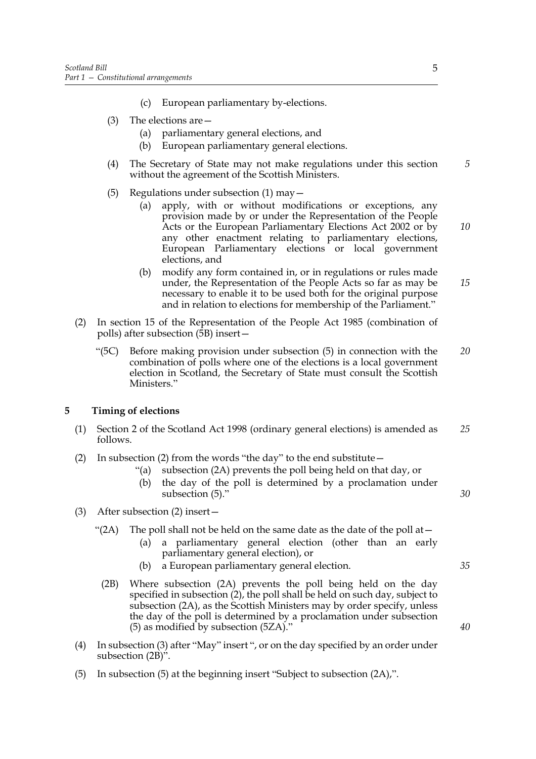- (c) European parliamentary by-elections.
- (3) The elections are—
	- (a) parliamentary general elections, and
	- (b) European parliamentary general elections.
- (4) The Secretary of State may not make regulations under this section without the agreement of the Scottish Ministers.
- (5) Regulations under subsection  $(1)$  may  $-$ 
	- (a) apply, with or without modifications or exceptions, any provision made by or under the Representation of the People Acts or the European Parliamentary Elections Act 2002 or by any other enactment relating to parliamentary elections, European Parliamentary elections or local government elections, and
	- (b) modify any form contained in, or in regulations or rules made under, the Representation of the People Acts so far as may be necessary to enable it to be used both for the original purpose and in relation to elections for membership of the Parliament." *15*
- (2) In section 15 of the Representation of the People Act 1985 (combination of polls) after subsection (5B) insert—
	- "(5C) Before making provision under subsection (5) in connection with the combination of polls where one of the elections is a local government election in Scotland, the Secretary of State must consult the Scottish Ministers." *20*

#### **5 Timing of elections**

- (1) Section 2 of the Scotland Act 1998 (ordinary general elections) is amended as follows. *25*
- (2) In subsection (2) from the words "the day" to the end substitute—
	- "(a) subsection (2A) prevents the poll being held on that day, or
	- (b) the day of the poll is determined by a proclamation under subsection (5)."
- (3) After subsection (2) insert—
	- "(2A) The poll shall not be held on the same date as the date of the poll at  $-$ 
		- (a) a parliamentary general election (other than an early parliamentary general election), or
		- (b) a European parliamentary general election.
	- (2B) Where subsection (2A) prevents the poll being held on the day specified in subsection (2), the poll shall be held on such day, subject to subsection (2A), as the Scottish Ministers may by order specify, unless the day of the poll is determined by a proclamation under subsection (5) as modified by subsection (5ZA)."
- (4) In subsection (3) after "May" insert ", or on the day specified by an order under subsection  $(2B)$ ".
- (5) In subsection (5) at the beginning insert "Subject to subsection (2A),".

*5*

*10*

*40*

*35*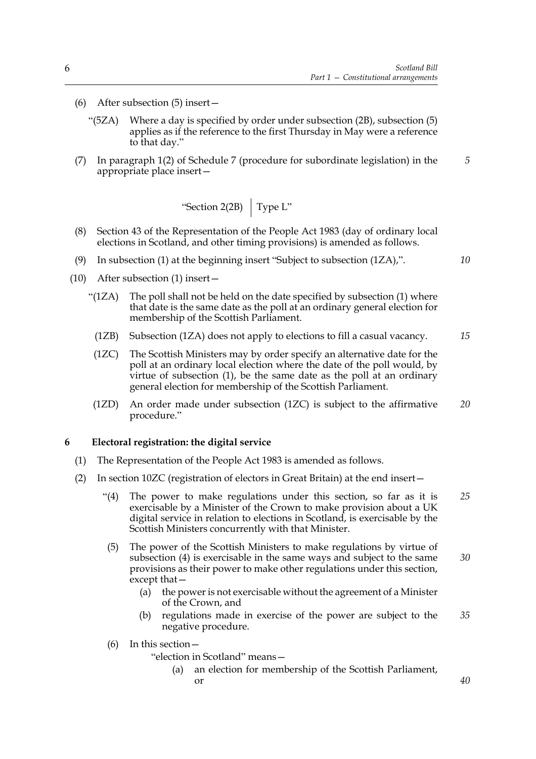*5*

*10*

*40*

- (6) After subsection (5) insert—
	- "(5ZA) Where a day is specified by order under subsection (2B), subsection (5) applies as if the reference to the first Thursday in May were a reference to that day."
- (7) In paragraph 1(2) of Schedule 7 (procedure for subordinate legislation) in the appropriate place insert—

"Section 2(2B) 
$$
\int
$$
 Type L"

- (8) Section 43 of the Representation of the People Act 1983 (day of ordinary local elections in Scotland, and other timing provisions) is amended as follows.
- (9) In subsection (1) at the beginning insert "Subject to subsection (1ZA),".
- (10) After subsection (1) insert—
	- "(1ZA) The poll shall not be held on the date specified by subsection (1) where that date is the same date as the poll at an ordinary general election for membership of the Scottish Parliament.
		- (1ZB) Subsection (1ZA) does not apply to elections to fill a casual vacancy. *15*
		- (1ZC) The Scottish Ministers may by order specify an alternative date for the poll at an ordinary local election where the date of the poll would, by virtue of subsection (1), be the same date as the poll at an ordinary general election for membership of the Scottish Parliament.
	- (1ZD) An order made under subsection (1ZC) is subject to the affirmative procedure." *20*

#### **6 Electoral registration: the digital service**

- (1) The Representation of the People Act 1983 is amended as follows.
- (2) In section 10ZC (registration of electors in Great Britain) at the end insert—
	- "(4) The power to make regulations under this section, so far as it is exercisable by a Minister of the Crown to make provision about a UK digital service in relation to elections in Scotland, is exercisable by the Scottish Ministers concurrently with that Minister. *25*
	- (5) The power of the Scottish Ministers to make regulations by virtue of subsection (4) is exercisable in the same ways and subject to the same provisions as their power to make other regulations under this section, except that— *30*
		- (a) the power is not exercisable without the agreement of a Minister of the Crown, and
		- (b) regulations made in exercise of the power are subject to the negative procedure. *35*
	- (6) In this section—
		- "election in Scotland" means
			- an election for membership of the Scottish Parliament, or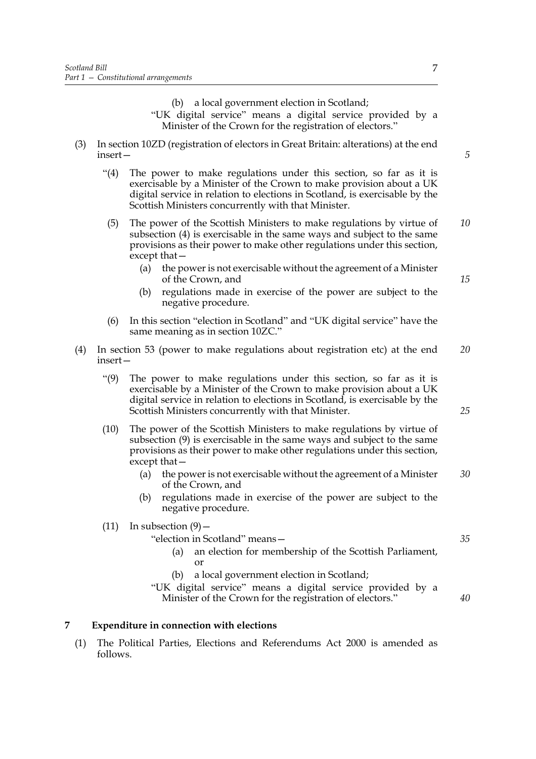(b) a local government election in Scotland;

"UK digital service" means a digital service provided by a Minister of the Crown for the registration of electors."

- (3) In section 10ZD (registration of electors in Great Britain: alterations) at the end insert—
	- "(4) The power to make regulations under this section, so far as it is exercisable by a Minister of the Crown to make provision about a UK digital service in relation to elections in Scotland, is exercisable by the Scottish Ministers concurrently with that Minister.
	- (5) The power of the Scottish Ministers to make regulations by virtue of subsection (4) is exercisable in the same ways and subject to the same provisions as their power to make other regulations under this section, except that— *10*
		- (a) the power is not exercisable without the agreement of a Minister of the Crown, and
		- (b) regulations made in exercise of the power are subject to the negative procedure.
	- (6) In this section "election in Scotland" and "UK digital service" have the same meaning as in section 10ZC."
- (4) In section 53 (power to make regulations about registration etc) at the end insert— *20*
	- "(9) The power to make regulations under this section, so far as it is exercisable by a Minister of the Crown to make provision about a UK digital service in relation to elections in Scotland, is exercisable by the Scottish Ministers concurrently with that Minister.
	- (10) The power of the Scottish Ministers to make regulations by virtue of subsection (9) is exercisable in the same ways and subject to the same provisions as their power to make other regulations under this section, except that—
		- (a) the power is not exercisable without the agreement of a Minister of the Crown, and *30*
		- (b) regulations made in exercise of the power are subject to the negative procedure.
	- (11) In subsection  $(9)$  -

"election in Scotland" means—

- (a) an election for membership of the Scottish Parliament, or
- (b) a local government election in Scotland;

"UK digital service" means a digital service provided by a Minister of the Crown for the registration of electors."

## **7 Expenditure in connection with elections**

(1) The Political Parties, Elections and Referendums Act 2000 is amended as follows.

*5*

*25*

*15*

*40*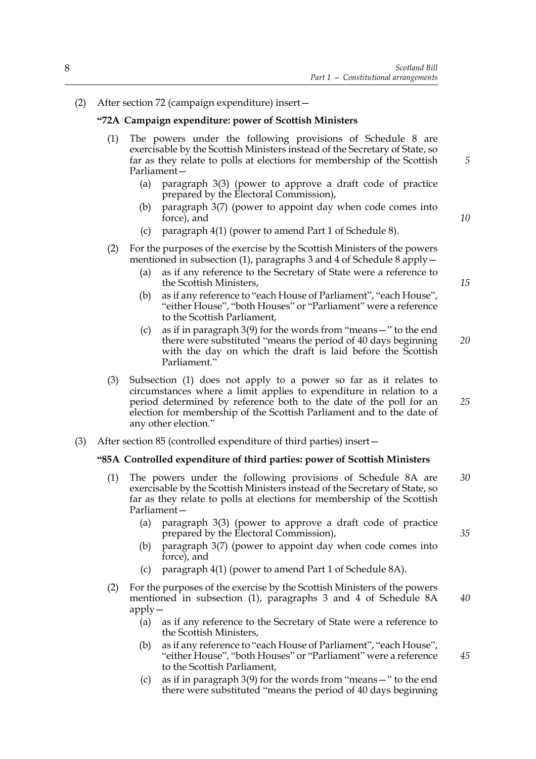(2) After section 72 (campaign expenditure) insert—

## **"72A Campaign expenditure: power of Scottish Ministers**

- (1) The powers under the following provisions of Schedule 8 are exercisable by the Scottish Ministers instead of the Secretary of State, so far as they relate to polls at elections for membership of the Scottish Parliament—
	- (a) paragraph 3(3) (power to approve a draft code of practice prepared by the Electoral Commission),
	- (b) paragraph 3(7) (power to appoint day when code comes into force), and
	- (c) paragraph 4(1) (power to amend Part 1 of Schedule 8).
- (2) For the purposes of the exercise by the Scottish Ministers of the powers mentioned in subsection (1), paragraphs 3 and 4 of Schedule 8 apply—
	- (a) as if any reference to the Secretary of State were a reference to the Scottish Ministers,
	- (b) as if any reference to "each House of Parliament", "each House", "either House", "both Houses" or "Parliament" were a reference to the Scottish Parliament,
	- (c) as if in paragraph 3(9) for the words from "means—" to the end there were substituted "means the period of 40 days beginning with the day on which the draft is laid before the Scottish Parliament." *20*
- (3) Subsection (1) does not apply to a power so far as it relates to circumstances where a limit applies to expenditure in relation to a period determined by reference both to the date of the poll for an election for membership of the Scottish Parliament and to the date of any other election."
- (3) After section 85 (controlled expenditure of third parties) insert—

#### **"85A Controlled expenditure of third parties: power of Scottish Ministers**

- (1) The powers under the following provisions of Schedule 8A are exercisable by the Scottish Ministers instead of the Secretary of State, so far as they relate to polls at elections for membership of the Scottish Parliament— *30*
	- (a) paragraph 3(3) (power to approve a draft code of practice prepared by the Electoral Commission),
	- (b) paragraph 3(7) (power to appoint day when code comes into force), and
	- (c) paragraph 4(1) (power to amend Part 1 of Schedule 8A).
- (2) For the purposes of the exercise by the Scottish Ministers of the powers mentioned in subsection (1), paragraphs 3 and 4 of Schedule 8A apply—
	- (a) as if any reference to the Secretary of State were a reference to the Scottish Ministers,
	- (b) as if any reference to "each House of Parliament", "each House", "either House", "both Houses" or "Parliament" were a reference to the Scottish Parliament,
	- (c) as if in paragraph 3(9) for the words from "means—" to the end there were substituted "means the period of 40 days beginning

*15*

*10*

*5*

*25*

*35*

*40*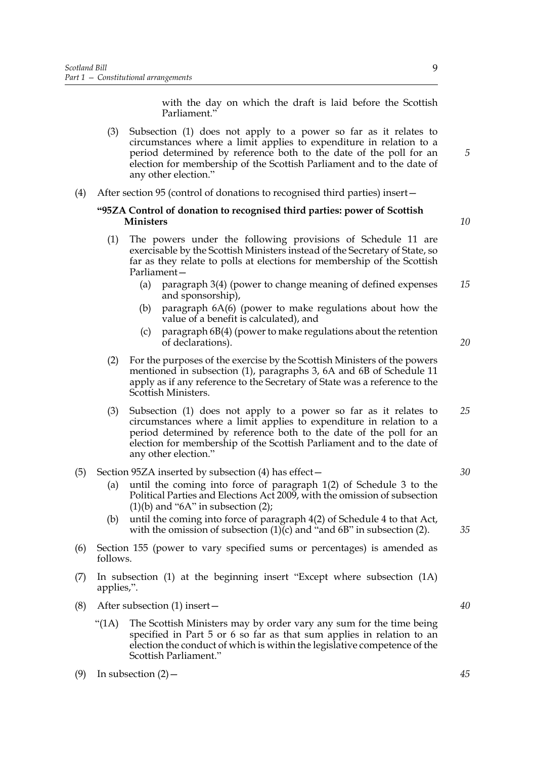with the day on which the draft is laid before the Scottish Parliament."

- (3) Subsection (1) does not apply to a power so far as it relates to circumstances where a limit applies to expenditure in relation to a period determined by reference both to the date of the poll for an election for membership of the Scottish Parliament and to the date of any other election."
- (4) After section 95 (control of donations to recognised third parties) insert—

## **"95ZA Control of donation to recognised third parties: power of Scottish Ministers**

- (1) The powers under the following provisions of Schedule 11 are exercisable by the Scottish Ministers instead of the Secretary of State, so far as they relate to polls at elections for membership of the Scottish Parliament—
	- (a) paragraph 3(4) (power to change meaning of defined expenses and sponsorship), *15*
	- (b) paragraph 6A(6) (power to make regulations about how the value of a benefit is calculated), and
	- (c) paragraph 6B(4) (power to make regulations about the retention of declarations).
- (2) For the purposes of the exercise by the Scottish Ministers of the powers mentioned in subsection (1), paragraphs 3, 6A and 6B of Schedule 11 apply as if any reference to the Secretary of State was a reference to the Scottish Ministers.
- (3) Subsection (1) does not apply to a power so far as it relates to circumstances where a limit applies to expenditure in relation to a period determined by reference both to the date of the poll for an election for membership of the Scottish Parliament and to the date of any other election." *25*
- (5) Section 95ZA inserted by subsection (4) has effect—
	- (a) until the coming into force of paragraph 1(2) of Schedule 3 to the Political Parties and Elections Act 2009, with the omission of subsection  $(1)(b)$  and "6A" in subsection  $(2)$ ;
	- (b) until the coming into force of paragraph 4(2) of Schedule 4 to that Act, with the omission of subsection  $(1)(c)$  and "and 6B" in subsection (2).
- (6) Section 155 (power to vary specified sums or percentages) is amended as follows.
- (7) In subsection (1) at the beginning insert "Except where subsection (1A) applies,".
- (8) After subsection (1) insert—
	- " $(1A)$  The Scottish Ministers may by order vary any sum for the time being specified in Part 5 or 6 so far as that sum applies in relation to an election the conduct of which is within the legislative competence of the Scottish Parliament."
- (9) In subsection  $(2)$  –

*35*

*30*

*40*

*20*

*5*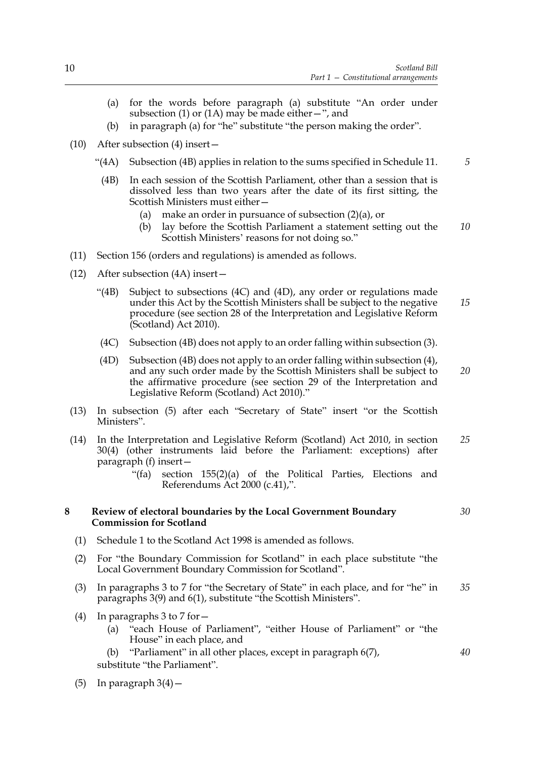- (a) for the words before paragraph (a) substitute "An order under subsection (1) or (1A) may be made either  $-$ ", and
- (b) in paragraph (a) for "he" substitute "the person making the order".
- (10) After subsection (4) insert—
	- "(4A) Subsection (4B) applies in relation to the sums specified in Schedule 11.
		- (4B) In each session of the Scottish Parliament, other than a session that is dissolved less than two years after the date of its first sitting, the Scottish Ministers must either—
			- (a) make an order in pursuance of subsection (2)(a), or
			- (b) lay before the Scottish Parliament a statement setting out the Scottish Ministers' reasons for not doing so." *10*
- (11) Section 156 (orders and regulations) is amended as follows.
- (12) After subsection (4A) insert—
	- "(4B) Subject to subsections (4C) and (4D), any order or regulations made under this Act by the Scottish Ministers shall be subject to the negative procedure (see section 28 of the Interpretation and Legislative Reform (Scotland) Act 2010). *15*
	- (4C) Subsection (4B) does not apply to an order falling within subsection (3).
	- (4D) Subsection (4B) does not apply to an order falling within subsection (4), and any such order made by the Scottish Ministers shall be subject to the affirmative procedure (see section 29 of the Interpretation and Legislative Reform (Scotland) Act 2010)." *20*
- (13) In subsection (5) after each "Secretary of State" insert "or the Scottish Ministers".
- (14) In the Interpretation and Legislative Reform (Scotland) Act 2010, in section 30(4) (other instruments laid before the Parliament: exceptions) after paragraph (f) insert— *25*
	- "(fa) section 155(2)(a) of the Political Parties, Elections and Referendums Act 2000 (c.41),".

#### **8 Review of electoral boundaries by the Local Government Boundary Commission for Scotland**

- (1) Schedule 1 to the Scotland Act 1998 is amended as follows.
- (2) For "the Boundary Commission for Scotland" in each place substitute "the Local Government Boundary Commission for Scotland".
- (3) In paragraphs 3 to 7 for "the Secretary of State" in each place, and for "he" in paragraphs 3(9) and 6(1), substitute "the Scottish Ministers". *35*
- (4) In paragraphs 3 to 7 for  $-$ 
	- (a) "each House of Parliament", "either House of Parliament" or "the House" in each place, and
	- (b) "Parliament" in all other places, except in paragraph 6(7), substitute "the Parliament".
- (5) In paragraph  $3(4)$  –

*30*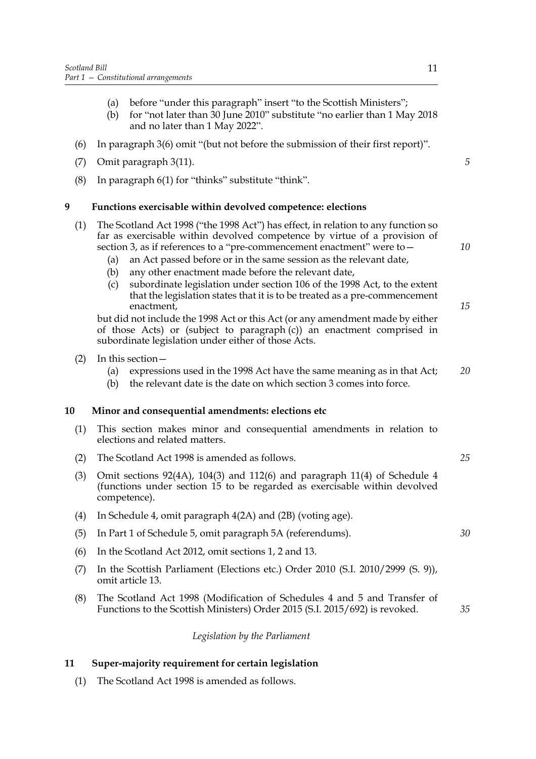- (a) before "under this paragraph" insert "to the Scottish Ministers";
- (b) for "not later than 30 June 2010" substitute "no earlier than 1 May 2018 and no later than 1 May 2022".
- (6) In paragraph 3(6) omit "(but not before the submission of their first report)".
- (7) Omit paragraph 3(11).
- (8) In paragraph 6(1) for "thinks" substitute "think".

## **9 Functions exercisable within devolved competence: elections**

- (1) The Scotland Act 1998 ("the 1998 Act") has effect, in relation to any function so far as exercisable within devolved competence by virtue of a provision of section 3, as if references to a "pre-commencement enactment" were to -
	- (a) an Act passed before or in the same session as the relevant date,
	- (b) any other enactment made before the relevant date,
	- (c) subordinate legislation under section 106 of the 1998 Act, to the extent that the legislation states that it is to be treated as a pre-commencement enactment,

but did not include the 1998 Act or this Act (or any amendment made by either of those Acts) or (subject to paragraph (c)) an enactment comprised in subordinate legislation under either of those Acts.

- (2) In this section—
	- (a) expressions used in the 1998 Act have the same meaning as in that Act; *20*
	- (b) the relevant date is the date on which section 3 comes into force.

## **10 Minor and consequential amendments: elections etc**

- (1) This section makes minor and consequential amendments in relation to elections and related matters.
- (2) The Scotland Act 1998 is amended as follows.
- (3) Omit sections 92(4A), 104(3) and 112(6) and paragraph 11(4) of Schedule 4 (functions under section 15 to be regarded as exercisable within devolved competence).
- (4) In Schedule 4, omit paragraph 4(2A) and (2B) (voting age).
- (5) In Part 1 of Schedule 5, omit paragraph 5A (referendums).
- (6) In the Scotland Act 2012, omit sections 1, 2 and 13.
- (7) In the Scottish Parliament (Elections etc.) Order 2010 (S.I. 2010/2999 (S. 9)), omit article 13.
- (8) The Scotland Act 1998 (Modification of Schedules 4 and 5 and Transfer of Functions to the Scottish Ministers) Order 2015 (S.I. 2015/692) is revoked.

## *Legislation by the Parliament*

## **11 Super-majority requirement for certain legislation**

(1) The Scotland Act 1998 is amended as follows.

*5*

*10*

*15*

*30*

*35*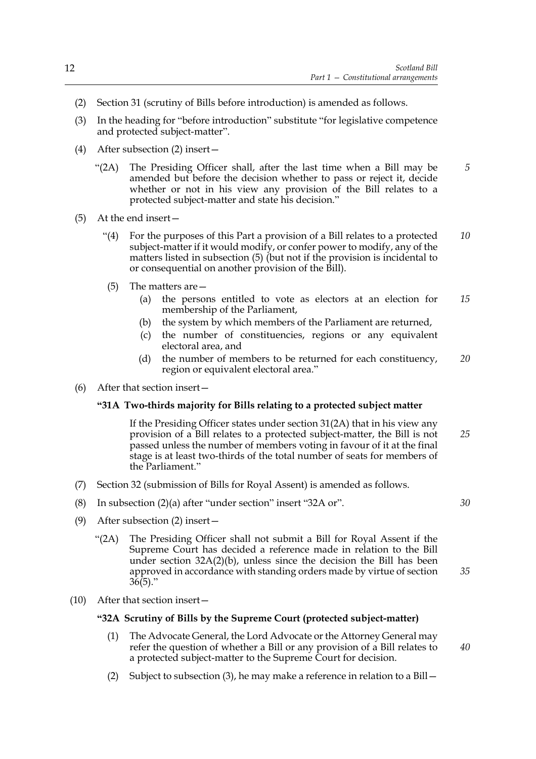- (2) Section 31 (scrutiny of Bills before introduction) is amended as follows.
- (3) In the heading for "before introduction" substitute "for legislative competence and protected subject-matter".
- (4) After subsection (2) insert—
	- "(2A) The Presiding Officer shall, after the last time when a Bill may be amended but before the decision whether to pass or reject it, decide whether or not in his view any provision of the Bill relates to a protected subject-matter and state his decision." *5*
- (5) At the end insert—
	- "(4) For the purposes of this Part a provision of a Bill relates to a protected subject-matter if it would modify, or confer power to modify, any of the matters listed in subsection (5) (but not if the provision is incidental to or consequential on another provision of the Bill). *10*
	- (5) The matters are—
		- (a) the persons entitled to vote as electors at an election for membership of the Parliament, *15*
		- (b) the system by which members of the Parliament are returned,
		- (c) the number of constituencies, regions or any equivalent electoral area, and
		- (d) the number of members to be returned for each constituency, region or equivalent electoral area." *20*
- (6) After that section insert—

## **"31A Two-thirds majority for Bills relating to a protected subject matter**

If the Presiding Officer states under section 31(2A) that in his view any provision of a Bill relates to a protected subject-matter, the Bill is not passed unless the number of members voting in favour of it at the final stage is at least two-thirds of the total number of seats for members of the Parliament." *25*

- (7) Section 32 (submission of Bills for Royal Assent) is amended as follows.
- (8) In subsection (2)(a) after "under section" insert "32A or".

*30*

*35*

*40*

- (9) After subsection (2) insert—
	- "(2A) The Presiding Officer shall not submit a Bill for Royal Assent if the Supreme Court has decided a reference made in relation to the Bill under section 32A(2)(b), unless since the decision the Bill has been approved in accordance with standing orders made by virtue of section  $36(5)$ ."
- (10) After that section insert—

## **"32A Scrutiny of Bills by the Supreme Court (protected subject-matter)**

- (1) The Advocate General, the Lord Advocate or the Attorney General may refer the question of whether a Bill or any provision of a Bill relates to a protected subject-matter to the Supreme Court for decision.
- (2) Subject to subsection (3), he may make a reference in relation to a Bill—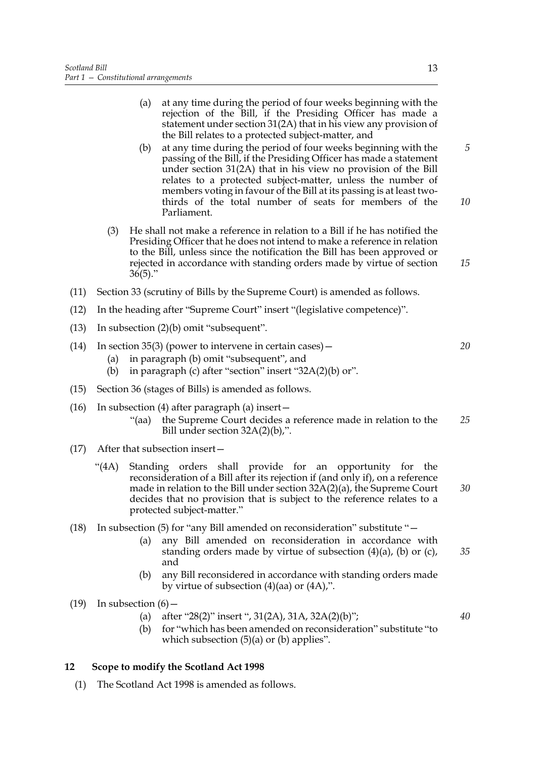- (a) at any time during the period of four weeks beginning with the rejection of the Bill, if the Presiding Officer has made a statement under section 31(2A) that in his view any provision of the Bill relates to a protected subject-matter, and
- (b) at any time during the period of four weeks beginning with the passing of the Bill, if the Presiding Officer has made a statement under section 31(2A) that in his view no provision of the Bill relates to a protected subject-matter, unless the number of members voting in favour of the Bill at its passing is at least twothirds of the total number of seats for members of the Parliament. *5 10*
- (3) He shall not make a reference in relation to a Bill if he has notified the Presiding Officer that he does not intend to make a reference in relation to the Bill, unless since the notification the Bill has been approved or rejected in accordance with standing orders made by virtue of section  $36(5)$ ."
- (11) Section 33 (scrutiny of Bills by the Supreme Court) is amended as follows.
- (12) In the heading after "Supreme Court" insert "(legislative competence)".
- (13) In subsection (2)(b) omit "subsequent".
- (14) In section 35(3) (power to intervene in certain cases)  $-$ (a) in paragraph (b) omit "subsequent", and *20*
	- (b) in paragraph (c) after "section" insert " $32A(2)$ (b) or".
- (15) Section 36 (stages of Bills) is amended as follows.
- (16) In subsection (4) after paragraph (a) insert—
	- "(aa) the Supreme Court decides a reference made in relation to the Bill under section 32A(2)(b),". *25*
- (17) After that subsection insert—
	- "(4A) Standing orders shall provide for an opportunity for the reconsideration of a Bill after its rejection if (and only if), on a reference made in relation to the Bill under section 32A(2)(a), the Supreme Court decides that no provision that is subject to the reference relates to a protected subject-matter."
- (18) In subsection (5) for "any Bill amended on reconsideration" substitute "—
	- (a) any Bill amended on reconsideration in accordance with standing orders made by virtue of subsection  $(4)(a)$ ,  $(b)$  or  $(c)$ , and *35*
	- (b) any Bill reconsidered in accordance with standing orders made by virtue of subsection (4)(aa) or (4A),".
- $(19)$  In subsection  $(6)$ 
	- (a) after "28(2)" insert ", 31(2A), 31A, 32A(2)(b)";
	- (b) for "which has been amended on reconsideration" substitute "to which subsection  $(5)(a)$  or  $(b)$  applies".

## **12 Scope to modify the Scotland Act 1998**

(1) The Scotland Act 1998 is amended as follows.

*30*

*40*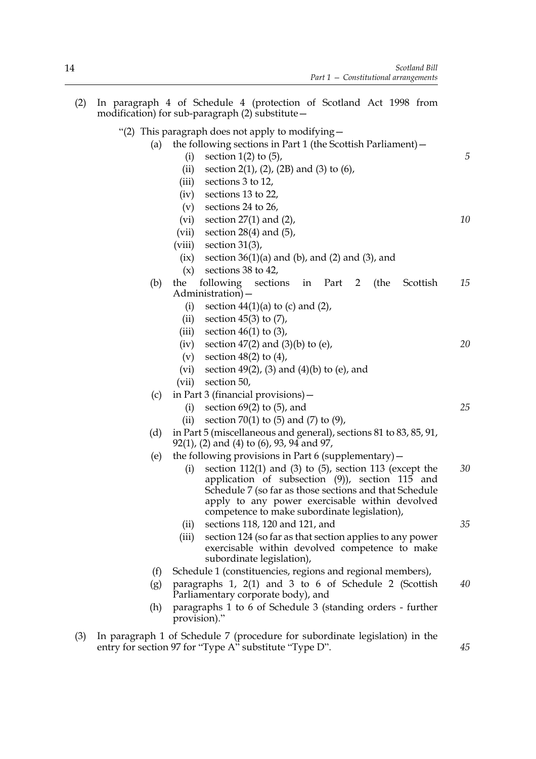| (2) |     |              | In paragraph 4 of Schedule 4 (protection of Scotland Act 1998 from<br>modification) for sub-paragraph $(2)$ substitute $-$                                                                                                                                                     |    |
|-----|-----|--------------|--------------------------------------------------------------------------------------------------------------------------------------------------------------------------------------------------------------------------------------------------------------------------------|----|
|     |     |              | "(2) This paragraph does not apply to modifying $-$                                                                                                                                                                                                                            |    |
|     | (a) |              | the following sections in Part 1 (the Scottish Parliament) -                                                                                                                                                                                                                   |    |
|     |     | (i)          | section $1(2)$ to $(5)$ ,                                                                                                                                                                                                                                                      | 5  |
|     |     | (ii)         | section 2(1), (2), (2B) and (3) to $(6)$ ,                                                                                                                                                                                                                                     |    |
|     |     | (iii)        | sections 3 to 12,                                                                                                                                                                                                                                                              |    |
|     |     | (iv)         | sections 13 to 22,                                                                                                                                                                                                                                                             |    |
|     |     | (v)          | sections 24 to 26,                                                                                                                                                                                                                                                             |    |
|     |     | (vi)         | section $27(1)$ and $(2)$ ,                                                                                                                                                                                                                                                    | 10 |
|     |     | (vii)        | section $28(4)$ and $(5)$ ,                                                                                                                                                                                                                                                    |    |
|     |     | (viii)       | section $31(3)$ ,                                                                                                                                                                                                                                                              |    |
|     |     | (ix)         | section $36(1)(a)$ and $(b)$ , and $(2)$ and $(3)$ , and                                                                                                                                                                                                                       |    |
|     |     | (x)          | sections 38 to 42,                                                                                                                                                                                                                                                             |    |
|     | (b) | the          | following<br>sections<br>(the<br>in Part 2<br>Scottish<br>Administration) –                                                                                                                                                                                                    | 15 |
|     |     | (i)          | section $44(1)(a)$ to (c) and (2),                                                                                                                                                                                                                                             |    |
|     |     | (ii)         | section $45(3)$ to $(7)$ ,                                                                                                                                                                                                                                                     |    |
|     |     | (iii)        | section $46(1)$ to $(3)$ ,                                                                                                                                                                                                                                                     |    |
|     |     | (iv)         | section $47(2)$ and $(3)(b)$ to (e),                                                                                                                                                                                                                                           | 20 |
|     |     | (v)          | section $48(2)$ to $(4)$ ,                                                                                                                                                                                                                                                     |    |
|     |     | (vi)         | section $49(2)$ , (3) and (4)(b) to (e), and                                                                                                                                                                                                                                   |    |
|     |     | (vii)        | section 50,                                                                                                                                                                                                                                                                    |    |
|     | (c) |              | in Part 3 (financial provisions) $-$                                                                                                                                                                                                                                           |    |
|     |     | (i)          | section $69(2)$ to $(5)$ , and                                                                                                                                                                                                                                                 | 25 |
|     |     | (ii)         | section 70(1) to $(5)$ and $(7)$ to $(9)$ ,                                                                                                                                                                                                                                    |    |
|     | (d) |              | in Part 5 (miscellaneous and general), sections 81 to 83, 85, 91,<br>$92(1)$ , (2) and (4) to (6), 93, 94 and 97,                                                                                                                                                              |    |
|     | (e) |              | the following provisions in Part 6 (supplementary) $-$                                                                                                                                                                                                                         |    |
|     |     | (i)          | section $112(1)$ and $(3)$ to $(5)$ , section $113$ (except the<br>application of subsection (9)), section 115 and<br>Schedule 7 (so far as those sections and that Schedule<br>apply to any power exercisable within devolved<br>competence to make subordinate legislation), | 30 |
|     |     | (ii)         | sections 118, 120 and 121, and                                                                                                                                                                                                                                                 | 35 |
|     |     | (iii)        | section 124 (so far as that section applies to any power<br>exercisable within devolved competence to make<br>subordinate legislation),                                                                                                                                        |    |
|     | (f) |              | Schedule 1 (constituencies, regions and regional members),                                                                                                                                                                                                                     |    |
|     | (g) |              | paragraphs 1, 2(1) and 3 to 6 of Schedule 2 (Scottish<br>Parliamentary corporate body), and                                                                                                                                                                                    | 40 |
|     | (h) | provision)." | paragraphs 1 to 6 of Schedule 3 (standing orders - further                                                                                                                                                                                                                     |    |
| (3) |     |              | In paragraph 1 of Schedule 7 (procedure for subordinate legislation) in the<br>entry for section 97 for "Type A" substitute "Type D".                                                                                                                                          | 45 |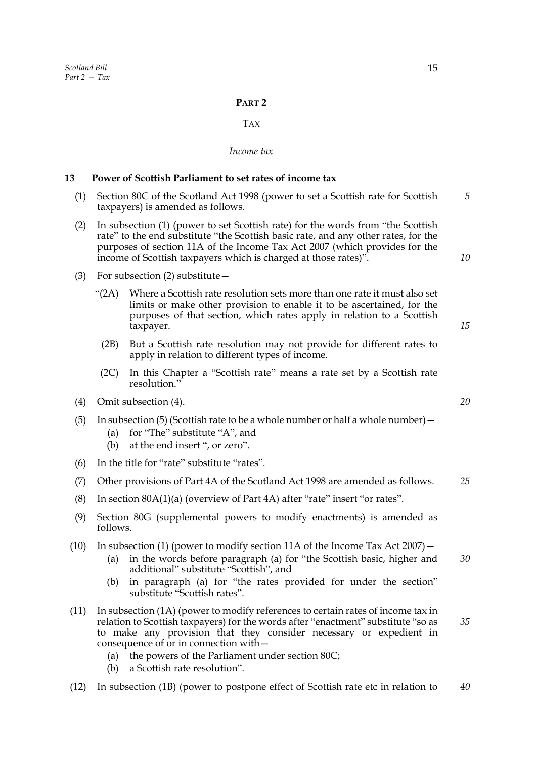## **PART 2**

## TAX

#### *Income tax*

## **13 Power of Scottish Parliament to set rates of income tax**

- (1) Section 80C of the Scotland Act 1998 (power to set a Scottish rate for Scottish taxpayers) is amended as follows. *5*
- (2) In subsection (1) (power to set Scottish rate) for the words from "the Scottish rate" to the end substitute "the Scottish basic rate, and any other rates, for the purposes of section 11A of the Income Tax Act 2007 (which provides for the income of Scottish taxpayers which is charged at those rates)".
- (3) For subsection (2) substitute—
	- "(2A) Where a Scottish rate resolution sets more than one rate it must also set limits or make other provision to enable it to be ascertained, for the purposes of that section, which rates apply in relation to a Scottish taxpayer.
		- (2B) But a Scottish rate resolution may not provide for different rates to apply in relation to different types of income.
	- (2C) In this Chapter a "Scottish rate" means a rate set by a Scottish rate resolution."
- (4) Omit subsection (4).
- (5) In subsection (5) (Scottish rate to be a whole number or half a whole number)—
	- (a) for "The" substitute "A", and
	- (b) at the end insert ", or zero".
- (6) In the title for "rate" substitute "rates".
- (7) Other provisions of Part 4A of the Scotland Act 1998 are amended as follows. *25*
- (8) In section 80A(1)(a) (overview of Part 4A) after "rate" insert "or rates".
- (9) Section 80G (supplemental powers to modify enactments) is amended as follows.
- (10) In subsection (1) (power to modify section 11A of the Income Tax Act 2007)—
	- (a) in the words before paragraph (a) for "the Scottish basic, higher and additional" substitute "Scottish", and *30*
	- (b) in paragraph (a) for "the rates provided for under the section" substitute "Scottish rates".
- (11) In subsection (1A) (power to modify references to certain rates of income tax in relation to Scottish taxpayers) for the words after "enactment" substitute "so as to make any provision that they consider necessary or expedient in consequence of or in connection with— *35*
	- (a) the powers of the Parliament under section 80C;
	- (b) a Scottish rate resolution".
- (12) In subsection (1B) (power to postpone effect of Scottish rate etc in relation to *40*

*20*

*10*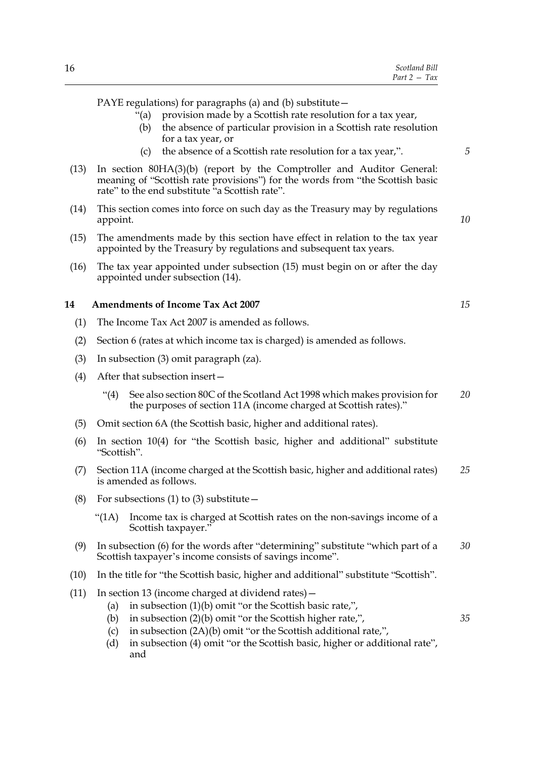| Scotland Bill  |
|----------------|
| $Part 2 - Tax$ |

PAYE regulations) for paragraphs (a) and (b) substitute—

- "(a) provision made by a Scottish rate resolution for a tax year,
- (b) the absence of particular provision in a Scottish rate resolution for a tax year, or
- (c) the absence of a Scottish rate resolution for a tax year,".
- (13) In section 80HA(3)(b) (report by the Comptroller and Auditor General: meaning of "Scottish rate provisions") for the words from "the Scottish basic rate" to the end substitute "a Scottish rate".
- (14) This section comes into force on such day as the Treasury may by regulations appoint.
- (15) The amendments made by this section have effect in relation to the tax year appointed by the Treasury by regulations and subsequent tax years.
- (16) The tax year appointed under subsection (15) must begin on or after the day appointed under subsection (14).

## **14 Amendments of Income Tax Act 2007**

- (1) The Income Tax Act 2007 is amended as follows.
- (2) Section 6 (rates at which income tax is charged) is amended as follows.
- (3) In subsection (3) omit paragraph (za).
- (4) After that subsection insert—
	- "(4) See also section 80C of the Scotland Act 1998 which makes provision for the purposes of section 11A (income charged at Scottish rates)." *20*
- (5) Omit section 6A (the Scottish basic, higher and additional rates).
- (6) In section 10(4) for "the Scottish basic, higher and additional" substitute "Scottish".
- (7) Section 11A (income charged at the Scottish basic, higher and additional rates) is amended as follows. *25*
- (8) For subsections (1) to (3) substitute  $-$ 
	- "(1A) Income tax is charged at Scottish rates on the non-savings income of a Scottish taxpayer."
- (9) In subsection (6) for the words after "determining" substitute "which part of a Scottish taxpayer's income consists of savings income". *30*
- (10) In the title for "the Scottish basic, higher and additional" substitute "Scottish".
- (11) In section 13 (income charged at dividend rates)—
	- (a) in subsection (1)(b) omit "or the Scottish basic rate,",
	- (b) in subsection (2)(b) omit "or the Scottish higher rate,",
	- (c) in subsection (2A)(b) omit "or the Scottish additional rate,",
	- (d) in subsection (4) omit "or the Scottish basic, higher or additional rate", and

*15*

*35*

*5*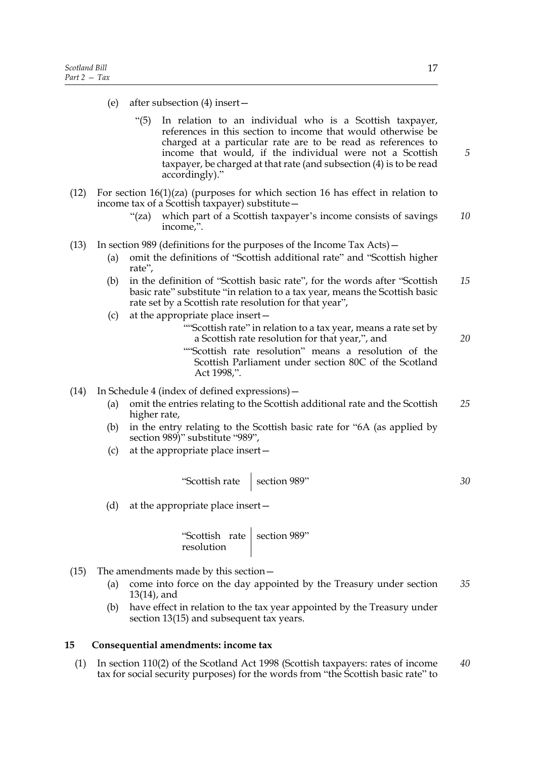- (e) after subsection (4) insert—
	- "(5) In relation to an individual who is a Scottish taxpayer, references in this section to income that would otherwise be charged at a particular rate are to be read as references to income that would, if the individual were not a Scottish taxpayer, be charged at that rate (and subsection (4) is to be read accordingly)."
- (12) For section  $16(1)(za)$  (purposes for which section 16 has effect in relation to income tax of a Scottish taxpayer) substitute—
	- "(za) which part of a Scottish taxpayer's income consists of savings income,". *10*
- (13) In section 989 (definitions for the purposes of the Income Tax Acts)—
	- (a) omit the definitions of "Scottish additional rate" and "Scottish higher rate",
	- (b) in the definition of "Scottish basic rate", for the words after "Scottish basic rate" substitute "in relation to a tax year, means the Scottish basic rate set by a Scottish rate resolution for that year", *15*
	- (c) at the appropriate place insert—
		- ""Scottish rate" in relation to a tax year, means a rate set by a Scottish rate resolution for that year,", and
		- ""Scottish rate resolution" means a resolution of the Scottish Parliament under section 80C of the Scotland Act 1998,".
- (14) In Schedule 4 (index of defined expressions)—
	- (a) omit the entries relating to the Scottish additional rate and the Scottish higher rate, *25*
	- (b) in the entry relating to the Scottish basic rate for "6A (as applied by section 989)" substitute "989",
	- (c) at the appropriate place insert—

"Scottish rate  $\Big|$  section 989"

(d) at the appropriate place insert—

"Scottish rate resolution section 989"

- (15) The amendments made by this section—
	- (a) come into force on the day appointed by the Treasury under section 13(14), and *35*
	- (b) have effect in relation to the tax year appointed by the Treasury under section 13(15) and subsequent tax years.

#### **15 Consequential amendments: income tax**

(1) In section 110(2) of the Scotland Act 1998 (Scottish taxpayers: rates of income tax for social security purposes) for the words from "the Scottish basic rate" to *40*

*5*

*30*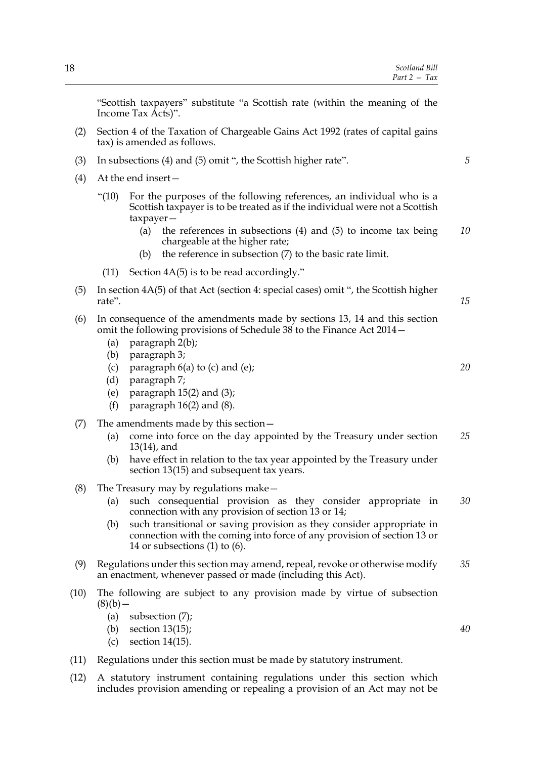| 18   | Scotland Bill<br>Part $2 - Tax$                                                                                                                                                                                                                                                                                                                                     |    |  |
|------|---------------------------------------------------------------------------------------------------------------------------------------------------------------------------------------------------------------------------------------------------------------------------------------------------------------------------------------------------------------------|----|--|
|      | "Scottish taxpayers" substitute "a Scottish rate (within the meaning of the<br>Income Tax Acts)".<br>Section 4 of the Taxation of Chargeable Gains Act 1992 (rates of capital gains<br>tax) is amended as follows.                                                                                                                                                  |    |  |
| (2)  |                                                                                                                                                                                                                                                                                                                                                                     |    |  |
| (3)  | In subsections (4) and (5) omit ", the Scottish higher rate".                                                                                                                                                                                                                                                                                                       |    |  |
| (4)  | At the end insert-                                                                                                                                                                                                                                                                                                                                                  |    |  |
|      | " $(10)$<br>For the purposes of the following references, an individual who is a<br>Scottish taxpayer is to be treated as if the individual were not a Scottish<br>$t$ axpayer $-$<br>the references in subsections $(4)$ and $(5)$ to income tax being<br>(a)<br>chargeable at the higher rate;<br>the reference in subsection (7) to the basic rate limit.<br>(b) | 10 |  |
|      |                                                                                                                                                                                                                                                                                                                                                                     |    |  |
|      | Section $4A(5)$ is to be read accordingly."<br>(11)                                                                                                                                                                                                                                                                                                                 |    |  |
| (5)  | In section $4A(5)$ of that Act (section 4: special cases) omit ", the Scottish higher<br>rate".                                                                                                                                                                                                                                                                     | 15 |  |
| (6)  | In consequence of the amendments made by sections 13, 14 and this section<br>omit the following provisions of Schedule 38 to the Finance Act 2014 -<br>paragraph 2(b);<br>(a)<br>paragraph 3;                                                                                                                                                                       |    |  |
|      | (b)<br>paragraph $6(a)$ to (c) and (e);<br>(c)<br>paragraph 7;<br>(d)<br>paragraph $15(2)$ and $(3)$ ;<br>(e)<br>(f)<br>paragraph $16(2)$ and $(8)$ .                                                                                                                                                                                                               | 20 |  |
| (7)  | The amendments made by this section $-$<br>come into force on the day appointed by the Treasury under section<br>(a)<br>$13(14)$ , and<br>have effect in relation to the tax year appointed by the Treasury under<br>(b)<br>section 13(15) and subsequent tax years.                                                                                                | 25 |  |
| (8)  | The Treasury may by regulations make $-$                                                                                                                                                                                                                                                                                                                            |    |  |
|      | such consequential provision as they consider appropriate in<br>(a)<br>connection with any provision of section 13 or 14;<br>such transitional or saving provision as they consider appropriate in<br>(b)<br>connection with the coming into force of any provision of section 13 or<br>14 or subsections $(1)$ to $(6)$ .                                          | 30 |  |
| (9)  | Regulations under this section may amend, repeal, revoke or otherwise modify<br>an enactment, whenever passed or made (including this Act).                                                                                                                                                                                                                         |    |  |
| (10) | The following are subject to any provision made by virtue of subsection<br>$(8)(b)$ –<br>(a)<br>subsection $(7)$ ;<br>section $13(15)$ ;<br>(b)                                                                                                                                                                                                                     | 40 |  |
|      | section $14(15)$ .<br>(c)                                                                                                                                                                                                                                                                                                                                           |    |  |
| (11) | Regulations under this section must be made by statutory instrument.                                                                                                                                                                                                                                                                                                |    |  |

(12) A statutory instrument containing regulations under this section which includes provision amending or repealing a provision of an Act may not be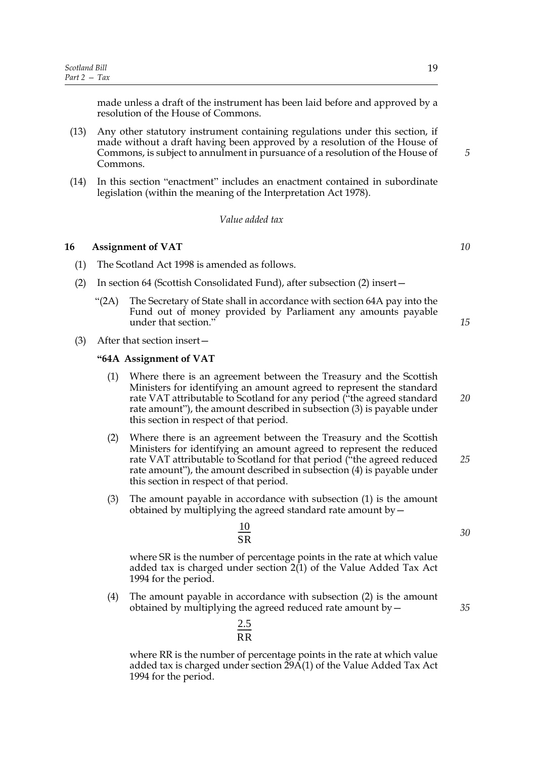made unless a draft of the instrument has been laid before and approved by a resolution of the House of Commons.

- (13) Any other statutory instrument containing regulations under this section, if made without a draft having been approved by a resolution of the House of Commons, is subject to annulment in pursuance of a resolution of the House of Commons.
- (14) In this section "enactment" includes an enactment contained in subordinate legislation (within the meaning of the Interpretation Act 1978).

#### *Value added tax*

## **16 Assignment of VAT**

- (1) The Scotland Act 1998 is amended as follows.
- (2) In section 64 (Scottish Consolidated Fund), after subsection (2) insert—
	- " $(2A)$  The Secretary of State shall in accordance with section 64A pay into the Fund out of money provided by Parliament any amounts payable under that section."
- (3) After that section insert—

#### **"64A Assignment of VAT**

- (1) Where there is an agreement between the Treasury and the Scottish Ministers for identifying an amount agreed to represent the standard rate VAT attributable to Scotland for any period ("the agreed standard rate amount"), the amount described in subsection (3) is payable under this section in respect of that period.
- (2) Where there is an agreement between the Treasury and the Scottish Ministers for identifying an amount agreed to represent the reduced rate VAT attributable to Scotland for that period ("the agreed reduced rate amount"), the amount described in subsection (4) is payable under this section in respect of that period. *25*
- (3) The amount payable in accordance with subsection (1) is the amount obtained by multiplying the agreed standard rate amount  $by$   $-$

$$
\frac{10}{\text{SR}}
$$

2.5 RR  $\frac{2.5}{\sqrt{2}}$ 

where SR is the number of percentage points in the rate at which value added tax is charged under section  $2(1)$  of the Value Added Tax Act 1994 for the period.

(4) The amount payable in accordance with subsection (2) is the amount obtained by multiplying the agreed reduced rate amount by—

where RR is the number of percentage points in the rate at which value added tax is charged under section 29A(1) of the Value Added Tax Act 1994 for the period.

*10*

*20*

*15*

*30*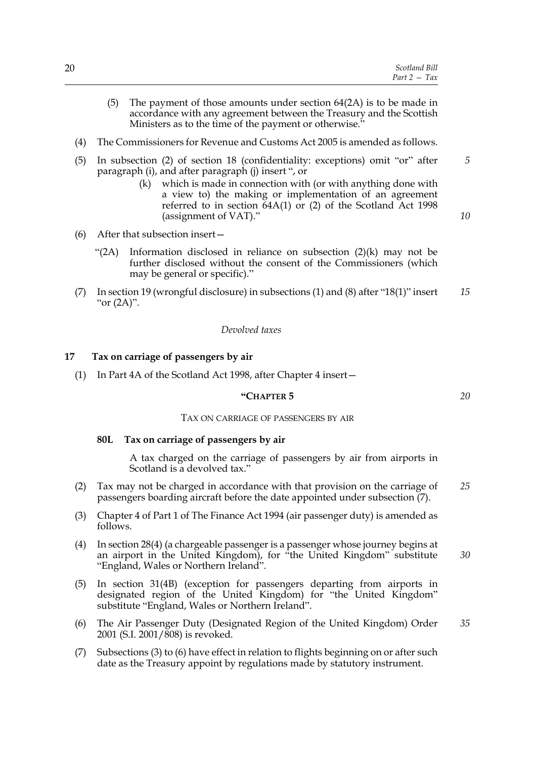|  |  | Scotland Bill  |
|--|--|----------------|
|  |  | $Part 2 - Tax$ |
|  |  |                |

- (5) The payment of those amounts under section 64(2A) is to be made in accordance with any agreement between the Treasury and the Scottish Ministers as to the time of the payment or otherwise."
- (4) The Commissioners for Revenue and Customs Act 2005 is amended as follows.
- (5) In subsection (2) of section 18 (confidentiality: exceptions) omit "or" after paragraph (i), and after paragraph (j) insert ", or
	- (k) which is made in connection with (or with anything done with a view to) the making or implementation of an agreement referred to in section 64A(1) or (2) of the Scotland Act 1998 (assignment of VAT)."
- (6) After that subsection insert—
	- "(2A) Information disclosed in reliance on subsection (2)(k) may not be further disclosed without the consent of the Commissioners (which may be general or specific)."
- (7) In section 19 (wrongful disclosure) in subsections (1) and (8) after "18(1)" insert " $or (2A)$ ". *15*

#### *Devolved taxes*

#### **17 Tax on carriage of passengers by air**

(1) In Part 4A of the Scotland Act 1998, after Chapter 4 insert—

#### **"CHAPTER 5**

#### TAX ON CARRIAGE OF PASSENGERS BY AIR

#### **80L Tax on carriage of passengers by air**

A tax charged on the carriage of passengers by air from airports in Scotland is a devolved tax."

- (2) Tax may not be charged in accordance with that provision on the carriage of passengers boarding aircraft before the date appointed under subsection (7). *25*
- (3) Chapter 4 of Part 1 of The Finance Act 1994 (air passenger duty) is amended as follows.
- (4) In section 28(4) (a chargeable passenger is a passenger whose journey begins at an airport in the United Kingdom), for "the United Kingdom" substitute "England, Wales or Northern Ireland". *30*
- (5) In section 31(4B) (exception for passengers departing from airports in designated region of the United Kingdom) for "the United Kingdom" substitute "England, Wales or Northern Ireland".
- (6) The Air Passenger Duty (Designated Region of the United Kingdom) Order 2001 (S.I. 2001/808) is revoked. *35*
- (7) Subsections (3) to (6) have effect in relation to flights beginning on or after such date as the Treasury appoint by regulations made by statutory instrument.

*20*

*5*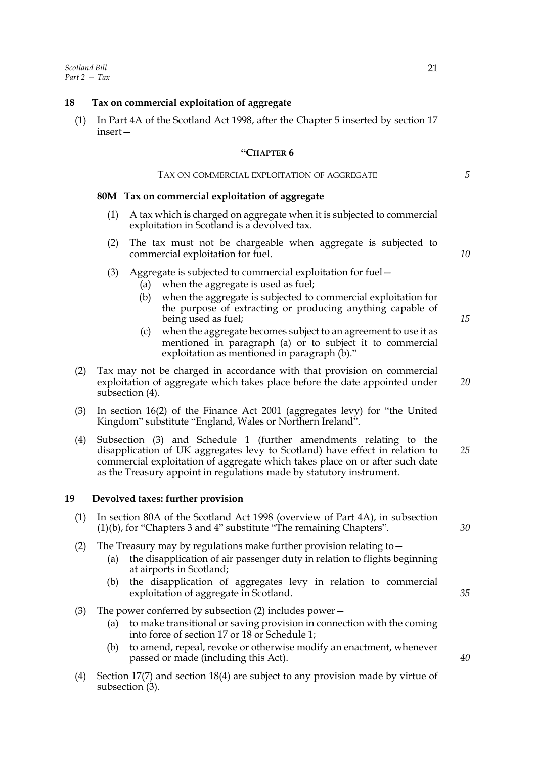## **18 Tax on commercial exploitation of aggregate**

(1) In Part 4A of the Scotland Act 1998, after the Chapter 5 inserted by section 17 insert—

## **"CHAPTER 6**

## TAX ON COMMERCIAL EXPLOITATION OF AGGREGATE

## **80M Tax on commercial exploitation of aggregate**

- (1) A tax which is charged on aggregate when it is subjected to commercial exploitation in Scotland is a devolved tax.
- (2) The tax must not be chargeable when aggregate is subjected to commercial exploitation for fuel.
- (3) Aggregate is subjected to commercial exploitation for fuel—
	- (a) when the aggregate is used as fuel;
	- (b) when the aggregate is subjected to commercial exploitation for the purpose of extracting or producing anything capable of being used as fuel;
	- (c) when the aggregate becomes subject to an agreement to use it as mentioned in paragraph (a) or to subject it to commercial exploitation as mentioned in paragraph (b)."
- (2) Tax may not be charged in accordance with that provision on commercial exploitation of aggregate which takes place before the date appointed under subsection (4).
- (3) In section 16(2) of the Finance Act 2001 (aggregates levy) for "the United Kingdom" substitute "England, Wales or Northern Ireland".
- (4) Subsection (3) and Schedule 1 (further amendments relating to the disapplication of UK aggregates levy to Scotland) have effect in relation to commercial exploitation of aggregate which takes place on or after such date as the Treasury appoint in regulations made by statutory instrument. *25*

#### **19 Devolved taxes: further provision**

- (1) In section 80A of the Scotland Act 1998 (overview of Part 4A), in subsection (1)(b), for "Chapters 3 and 4" substitute "The remaining Chapters".
- (2) The Treasury may by regulations make further provision relating to—
	- (a) the disapplication of air passenger duty in relation to flights beginning at airports in Scotland;
	- (b) the disapplication of aggregates levy in relation to commercial exploitation of aggregate in Scotland.
- (3) The power conferred by subsection (2) includes power—
	- (a) to make transitional or saving provision in connection with the coming into force of section 17 or 18 or Schedule 1;
	- (b) to amend, repeal, revoke or otherwise modify an enactment, whenever passed or made (including this Act).
- (4) Section 17(7) and section 18(4) are subject to any provision made by virtue of subsection (3).

*5*

*10*

*15*

*20*

*30*

*35*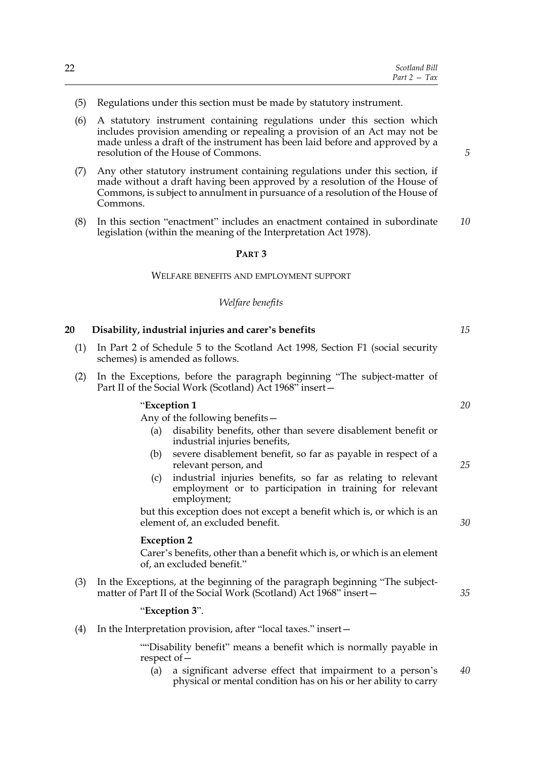| 22 | Scotland Bill                             |
|----|-------------------------------------------|
|    | Tax<br>Part 2<br>$\overline{\phantom{0}}$ |

- (5) Regulations under this section must be made by statutory instrument.
- (6) A statutory instrument containing regulations under this section which includes provision amending or repealing a provision of an Act may not be made unless a draft of the instrument has been laid before and approved by a resolution of the House of Commons.
- (7) Any other statutory instrument containing regulations under this section, if made without a draft having been approved by a resolution of the House of Commons, is subject to annulment in pursuance of a resolution of the House of Commons.
- (8) In this section "enactment" includes an enactment contained in subordinate legislation (within the meaning of the Interpretation Act 1978). *10*

## **PART 3**

#### WELFARE BENEFITS AND EMPLOYMENT SUPPORT

## *Welfare benefits*

**20 Disability, industrial injuries and carer's benefits**

| (1) | In Part 2 of Schedule 5 to the Scotland Act 1998, Section F1 (social security<br>schemes) is amended as follows.                              |    |
|-----|-----------------------------------------------------------------------------------------------------------------------------------------------|----|
| (2) | In the Exceptions, before the paragraph beginning "The subject-matter of<br>Part II of the Social Work (Scotland) Act 1968" insert-           |    |
|     | "Exception 1                                                                                                                                  | 20 |
|     | Any of the following benefits $-$                                                                                                             |    |
|     | disability benefits, other than severe disablement benefit or<br>(a)<br>industrial injuries benefits,                                         |    |
|     | severe disablement benefit, so far as payable in respect of a<br>(b)<br>relevant person, and                                                  | 25 |
|     | industrial injuries benefits, so far as relating to relevant<br>(c)<br>employment or to participation in training for relevant<br>employment; |    |
|     | but this exception does not except a benefit which is, or which is an                                                                         |    |
|     | element of, an excluded benefit.                                                                                                              | 30 |

#### **Exception 2**

Carer's benefits, other than a benefit which is, or which is an element of, an excluded benefit."

(3) In the Exceptions, at the beginning of the paragraph beginning "The subjectmatter of Part II of the Social Work (Scotland) Act 1968" insert-

## "**Exception 3**".

(4) In the Interpretation provision, after "local taxes." insert—

""Disability benefit" means a benefit which is normally payable in respect of—

(a) a significant adverse effect that impairment to a person's physical or mental condition has on his or her ability to carry *40*

*15*

*25*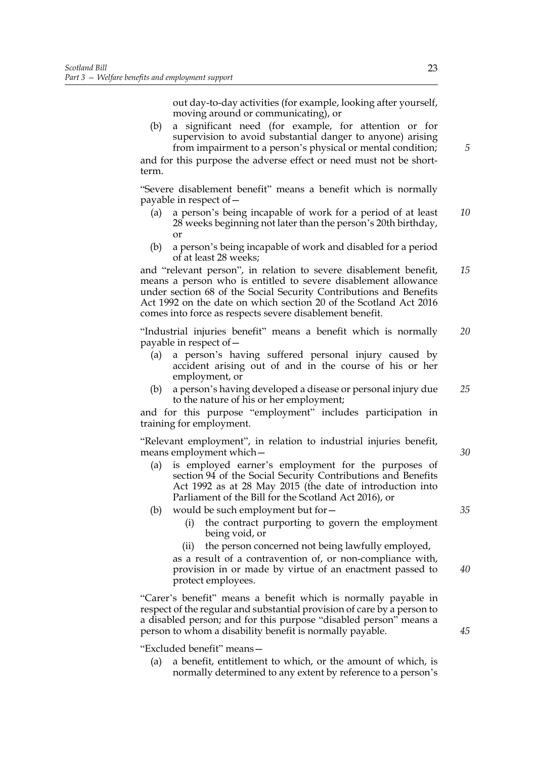out day-to-day activities (for example, looking after yourself, moving around or communicating), or

(b) a significant need (for example, for attention or for supervision to avoid substantial danger to anyone) arising from impairment to a person's physical or mental condition;

and for this purpose the adverse effect or need must not be shortterm.

"Severe disablement benefit" means a benefit which is normally payable in respect of—

- (a) a person's being incapable of work for a period of at least 28 weeks beginning not later than the person's 20th birthday, or *10*
- (b) a person's being incapable of work and disabled for a period of at least 28 weeks;

and "relevant person", in relation to severe disablement benefit, means a person who is entitled to severe disablement allowance under section 68 of the Social Security Contributions and Benefits Act 1992 on the date on which section 20 of the Scotland Act 2016 comes into force as respects severe disablement benefit. *15*

"Industrial injuries benefit" means a benefit which is normally payable in respect of— *20*

- (a) a person's having suffered personal injury caused by accident arising out of and in the course of his or her employment, or
- (b) a person's having developed a disease or personal injury due to the nature of his or her employment; *25*

and for this purpose "employment" includes participation in training for employment.

"Relevant employment", in relation to industrial injuries benefit, means employment which—

- (a) is employed earner's employment for the purposes of section 94 of the Social Security Contributions and Benefits Act 1992 as at 28 May 2015 (the date of introduction into Parliament of the Bill for the Scotland Act 2016), or
- (b) would be such employment but for—
	- (i) the contract purporting to govern the employment being void, or
	- (ii) the person concerned not being lawfully employed, as a result of a contravention of, or non-compliance with, provision in or made by virtue of an enactment passed to protect employees. *40*

"Carer's benefit" means a benefit which is normally payable in respect of the regular and substantial provision of care by a person to a disabled person; and for this purpose "disabled person" means a person to whom a disability benefit is normally payable.

"Excluded benefit" means—

(a) a benefit, entitlement to which, or the amount of which, is normally determined to any extent by reference to a person's *5*

*35*

*30*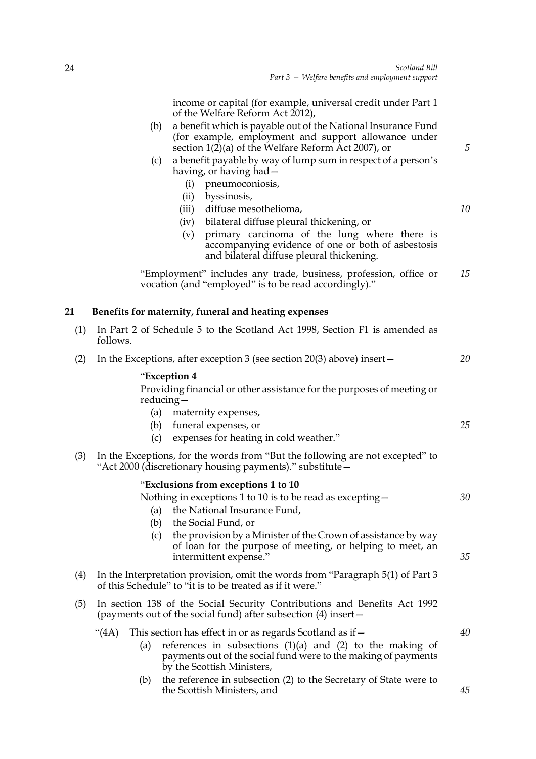*5*

*10*

*25*

income or capital (for example, universal credit under Part 1 of the Welfare Reform Act 2012),

- (b) a benefit which is payable out of the National Insurance Fund (for example, employment and support allowance under section  $1(2)$ (a) of the Welfare Reform Act 2007), or
- (c) a benefit payable by way of lump sum in respect of a person's having, or having had—
	- (i) pneumoconiosis,
	- (ii) byssinosis,
	- (iii) diffuse mesothelioma,
	- (iv) bilateral diffuse pleural thickening, or
	- (v) primary carcinoma of the lung where there is accompanying evidence of one or both of asbestosis and bilateral diffuse pleural thickening.

"Employment" includes any trade, business, profession, office or vocation (and "employed" is to be read accordingly)." *15*

## **21 Benefits for maternity, funeral and heating expenses**

| (1) In Part 2 of Schedule 5 to the Scotland Act 1998, Section F1 is amended as |  |
|--------------------------------------------------------------------------------|--|
| follows.                                                                       |  |

(2) In the Exceptions, after exception 3 (see section 20(3) above) insert— *20*

## "**Exception 4**

Providing financial or other assistance for the purposes of meeting or reducing—

- (a) maternity expenses,
- (b) funeral expenses, or
- (c) expenses for heating in cold weather."
- (3) In the Exceptions, for the words from "But the following are not excepted" to "Act 2000 (discretionary housing payments)." substitute—

#### "**Exclusions from exceptions 1 to 10**

|     |       |     | Nothing in exceptions 1 to 10 is to be read as excepting $-$                                                                                                  | 30 |
|-----|-------|-----|---------------------------------------------------------------------------------------------------------------------------------------------------------------|----|
|     |       | (a) | the National Insurance Fund,                                                                                                                                  |    |
|     |       | (b) | the Social Fund, or                                                                                                                                           |    |
|     |       | (c) | the provision by a Minister of the Crown of assistance by way<br>of loan for the purpose of meeting, or helping to meet, an<br>intermittent expense."         | 35 |
| (4) |       |     | In the Interpretation provision, omit the words from "Paragraph 5(1) of Part 3<br>of this Schedule" to "it is to be treated as if it were."                   |    |
| (5) |       |     | In section 138 of the Social Security Contributions and Benefits Act 1992<br>(payments out of the social fund) after subsection (4) insert -                  |    |
|     | "(4A) |     | This section has effect in or as regards Scotland as if –                                                                                                     | 40 |
|     |       | (a) | references in subsections $(1)(a)$ and $(2)$ to the making of<br>payments out of the social fund were to the making of payments<br>by the Scottish Ministers, |    |
|     |       | (b) | the reference in subsection (2) to the Secretary of State were to<br>the Scottish Ministers, and                                                              | 45 |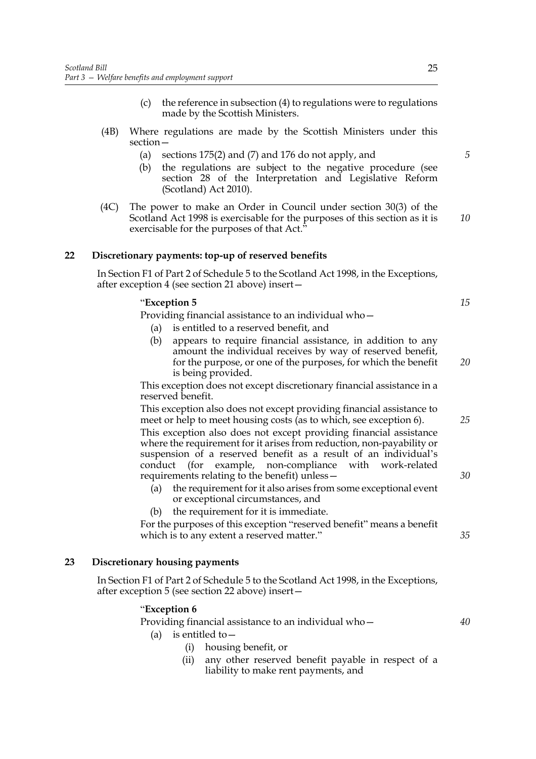- (c) the reference in subsection (4) to regulations were to regulations made by the Scottish Ministers.
- (4B) Where regulations are made by the Scottish Ministers under this section—
	- (a) sections 175(2) and (7) and 176 do not apply, and
	- (b) the regulations are subject to the negative procedure (see section 28 of the Interpretation and Legislative Reform (Scotland) Act 2010).
- (4C) The power to make an Order in Council under section 30(3) of the Scotland Act 1998 is exercisable for the purposes of this section as it is exercisable for the purposes of that Act."

## **22 Discretionary payments: top-up of reserved benefits**

In Section F1 of Part 2 of Schedule 5 to the Scotland Act 1998, in the Exceptions, after exception 4 (see section 21 above) insert—

## "**Exception 5**

Providing financial assistance to an individual who—

- (a) is entitled to a reserved benefit, and
- (b) appears to require financial assistance, in addition to any amount the individual receives by way of reserved benefit, for the purpose, or one of the purposes, for which the benefit is being provided. *20*

This exception does not except discretionary financial assistance in a reserved benefit.

This exception also does not except providing financial assistance to meet or help to meet housing costs (as to which, see exception 6). This exception also does not except providing financial assistance where the requirement for it arises from reduction, non-payability or suspension of a reserved benefit as a result of an individual's conduct (for example, non-compliance with work-related requirements relating to the benefit) unless—

- (a) the requirement for it also arises from some exceptional event or exceptional circumstances, and
- (b) the requirement for it is immediate.

For the purposes of this exception "reserved benefit" means a benefit which is to any extent a reserved matter."

## **23 Discretionary housing payments**

In Section F1 of Part 2 of Schedule 5 to the Scotland Act 1998, in the Exceptions, after exception 5 (see section 22 above) insert—

#### "**Exception 6**

Providing financial assistance to an individual who—

- (a) is entitled to  $-$ 
	- (i) housing benefit, or
	- (ii) any other reserved benefit payable in respect of a liability to make rent payments, and

*10*

*5*

*25*

*30*

*35*

*40*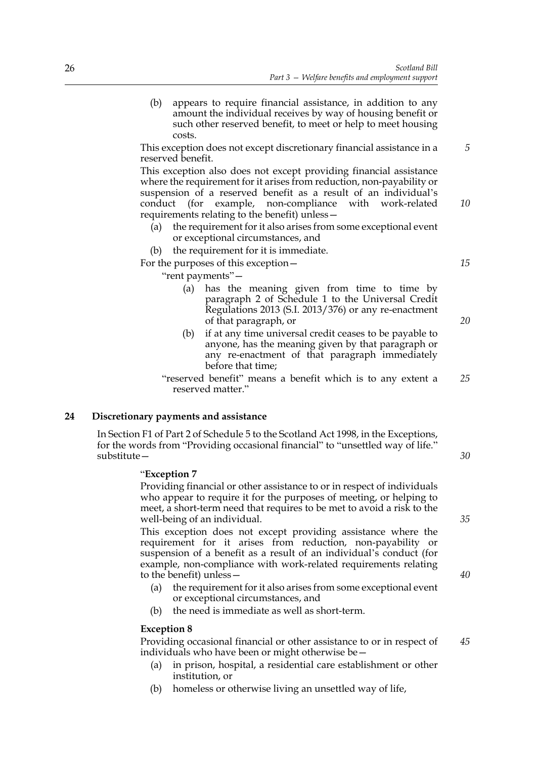(b) appears to require financial assistance, in addition to any amount the individual receives by way of housing benefit or such other reserved benefit, to meet or help to meet housing costs.

This exception does not except discretionary financial assistance in a reserved benefit.

This exception also does not except providing financial assistance where the requirement for it arises from reduction, non-payability or suspension of a reserved benefit as a result of an individual's conduct (for example, non-compliance with work-related requirements relating to the benefit) unless—

the requirement for it also arises from some exceptional event or exceptional circumstances, and

(b) the requirement for it is immediate.

For the purposes of this exception—

"rent payments"—

- (a) has the meaning given from time to time by paragraph 2 of Schedule 1 to the Universal Credit Regulations 2013 (S.I. 2013/376) or any re-enactment of that paragraph, or
- (b) if at any time universal credit ceases to be payable to anyone, has the meaning given by that paragraph or any re-enactment of that paragraph immediately before that time;
- "reserved benefit" means a benefit which is to any extent a reserved matter." *25*

## **24 Discretionary payments and assistance**

In Section F1 of Part 2 of Schedule 5 to the Scotland Act 1998, in the Exceptions, for the words from "Providing occasional financial" to "unsettled way of life." substitute—

## "**Exception 7**

Providing financial or other assistance to or in respect of individuals who appear to require it for the purposes of meeting, or helping to meet, a short-term need that requires to be met to avoid a risk to the well-being of an individual.

This exception does not except providing assistance where the requirement for it arises from reduction, non-payability or suspension of a benefit as a result of an individual's conduct (for example, non-compliance with work-related requirements relating to the benefit) unless—

- (a) the requirement for it also arises from some exceptional event or exceptional circumstances, and
- (b) the need is immediate as well as short-term.

#### **Exception 8**

Providing occasional financial or other assistance to or in respect of individuals who have been or might otherwise be— *45*

- (a) in prison, hospital, a residential care establishment or other institution, or
- (b) homeless or otherwise living an unsettled way of life,

*40*

*35*

*30*

*5*

*10*

*15*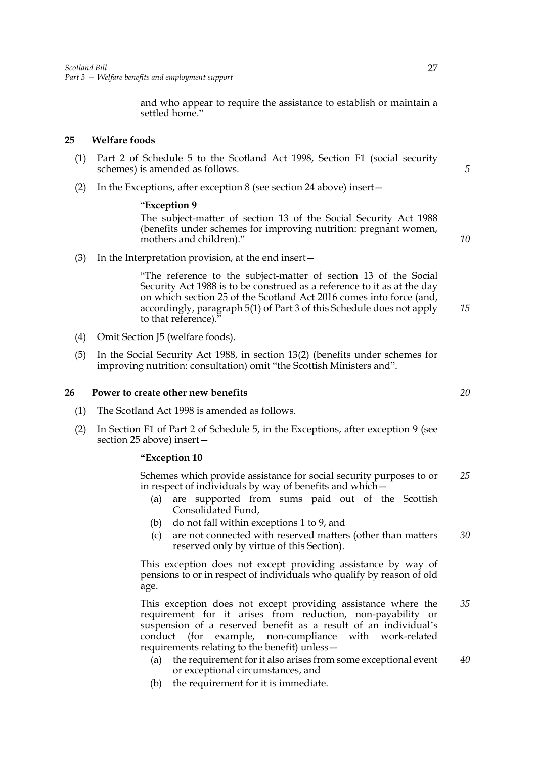and who appear to require the assistance to establish or maintain a settled home."

## **25 Welfare foods**

- (1) Part 2 of Schedule 5 to the Scotland Act 1998, Section F1 (social security schemes) is amended as follows.
- (2) In the Exceptions, after exception 8 (see section 24 above) insert—

## "**Exception 9**

The subject-matter of section 13 of the Social Security Act 1988 (benefits under schemes for improving nutrition: pregnant women, mothers and children)."

(3) In the Interpretation provision, at the end insert—

"The reference to the subject-matter of section 13 of the Social Security Act 1988 is to be construed as a reference to it as at the day on which section 25 of the Scotland Act 2016 comes into force (and, accordingly, paragraph 5(1) of Part 3 of this Schedule does not apply to that reference).' *15*

- (4) Omit Section J5 (welfare foods).
- (5) In the Social Security Act 1988, in section 13(2) (benefits under schemes for improving nutrition: consultation) omit "the Scottish Ministers and".

#### **26 Power to create other new benefits**

- (1) The Scotland Act 1998 is amended as follows.
- (2) In Section F1 of Part 2 of Schedule 5, in the Exceptions, after exception 9 (see section 25 above) insert—

#### **"Exception 10**

Schemes which provide assistance for social security purposes to or in respect of individuals by way of benefits and which— *25*

- (a) are supported from sums paid out of the Scottish Consolidated Fund,
- (b) do not fall within exceptions 1 to 9, and
- (c) are not connected with reserved matters (other than matters reserved only by virtue of this Section). *30*

This exception does not except providing assistance by way of pensions to or in respect of individuals who qualify by reason of old age.

This exception does not except providing assistance where the requirement for it arises from reduction, non-payability or suspension of a reserved benefit as a result of an individual's conduct (for example, non-compliance with work-related requirements relating to the benefit) unless— *35*

- (a) the requirement for it also arises from some exceptional event or exceptional circumstances, and *40*
- (b) the requirement for it is immediate.

*20*

*5*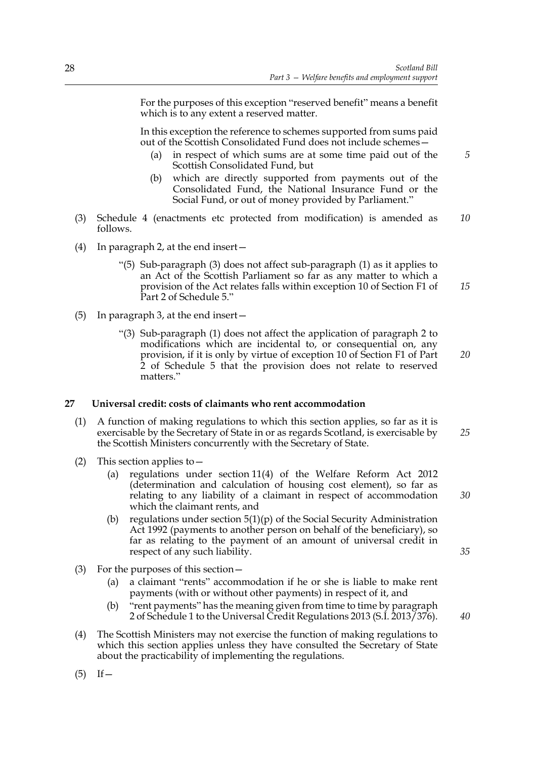For the purposes of this exception "reserved benefit" means a benefit which is to any extent a reserved matter.

In this exception the reference to schemes supported from sums paid out of the Scottish Consolidated Fund does not include schemes—

- (a) in respect of which sums are at some time paid out of the Scottish Consolidated Fund, but
- (b) which are directly supported from payments out of the Consolidated Fund, the National Insurance Fund or the Social Fund, or out of money provided by Parliament."
- (3) Schedule 4 (enactments etc protected from modification) is amended as follows. *10*
- (4) In paragraph 2, at the end insert—
	- "(5) Sub-paragraph (3) does not affect sub-paragraph (1) as it applies to an Act of the Scottish Parliament so far as any matter to which a provision of the Act relates falls within exception 10 of Section F1 of Part 2 of Schedule 5." *15*
- (5) In paragraph 3, at the end insert—
	- "(3) Sub-paragraph (1) does not affect the application of paragraph 2 to modifications which are incidental to, or consequential on, any provision, if it is only by virtue of exception 10 of Section F1 of Part 2 of Schedule 5 that the provision does not relate to reserved matters."

## **27 Universal credit: costs of claimants who rent accommodation**

- (1) A function of making regulations to which this section applies, so far as it is exercisable by the Secretary of State in or as regards Scotland, is exercisable by the Scottish Ministers concurrently with the Secretary of State. *25*
- (2) This section applies to—
	- (a) regulations under section 11(4) of the Welfare Reform Act 2012 (determination and calculation of housing cost element), so far as relating to any liability of a claimant in respect of accommodation which the claimant rents, and
	- (b) regulations under section  $5(1)(p)$  of the Social Security Administration Act 1992 (payments to another person on behalf of the beneficiary), so far as relating to the payment of an amount of universal credit in respect of any such liability.
- (3) For the purposes of this section—
	- (a) a claimant "rents" accommodation if he or she is liable to make rent payments (with or without other payments) in respect of it, and
	- (b) "rent payments" has the meaning given from time to time by paragraph 2 of Schedule 1 to the Universal Credit Regulations 2013 (S.I. 2013/376).
- (4) The Scottish Ministers may not exercise the function of making regulations to which this section applies unless they have consulted the Secretary of State about the practicability of implementing the regulations.

*35*

*30*

*20*

*5*

*40*

 $(5)$  If —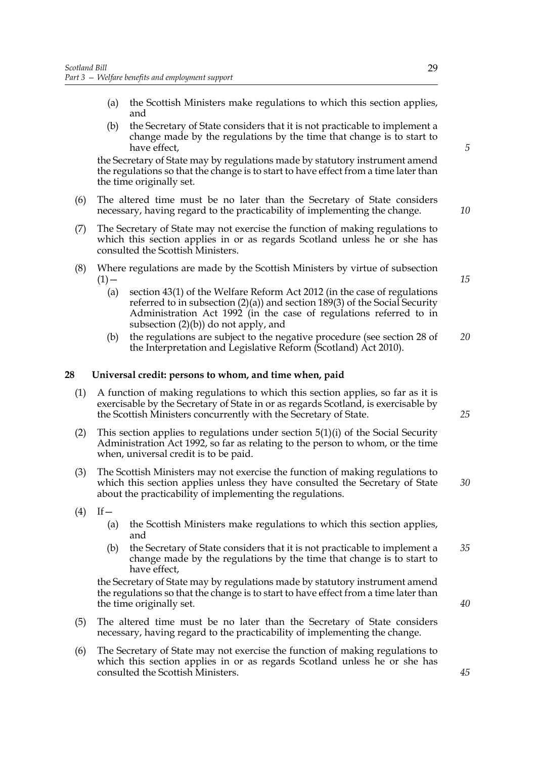- (a) the Scottish Ministers make regulations to which this section applies, and
- (b) the Secretary of State considers that it is not practicable to implement a change made by the regulations by the time that change is to start to have effect,

the Secretary of State may by regulations made by statutory instrument amend the regulations so that the change is to start to have effect from a time later than the time originally set.

- (6) The altered time must be no later than the Secretary of State considers necessary, having regard to the practicability of implementing the change.
- (7) The Secretary of State may not exercise the function of making regulations to which this section applies in or as regards Scotland unless he or she has consulted the Scottish Ministers.
- (8) Where regulations are made by the Scottish Ministers by virtue of subsection  $(1)$  —
	- (a) section 43(1) of the Welfare Reform Act 2012 (in the case of regulations referred to in subsection (2)(a)) and section 189(3) of the Social Security Administration Act 1992 (in the case of regulations referred to in subsection  $(2)(b)$  do not apply, and
	- (b) the regulations are subject to the negative procedure (see section 28 of the Interpretation and Legislative Reform (Scotland) Act 2010). *20*

#### **28 Universal credit: persons to whom, and time when, paid**

- (1) A function of making regulations to which this section applies, so far as it is exercisable by the Secretary of State in or as regards Scotland, is exercisable by the Scottish Ministers concurrently with the Secretary of State.
- (2) This section applies to regulations under section 5(1)(i) of the Social Security Administration Act 1992, so far as relating to the person to whom, or the time when, universal credit is to be paid.
- (3) The Scottish Ministers may not exercise the function of making regulations to which this section applies unless they have consulted the Secretary of State about the practicability of implementing the regulations.
- $(4)$  If
	- (a) the Scottish Ministers make regulations to which this section applies, and
	- (b) the Secretary of State considers that it is not practicable to implement a change made by the regulations by the time that change is to start to have effect. *35*

the Secretary of State may by regulations made by statutory instrument amend the regulations so that the change is to start to have effect from a time later than the time originally set.

- (5) The altered time must be no later than the Secretary of State considers necessary, having regard to the practicability of implementing the change.
- (6) The Secretary of State may not exercise the function of making regulations to which this section applies in or as regards Scotland unless he or she has consulted the Scottish Ministers.

*10*

*5*

*15*

*25*

*30*

*40*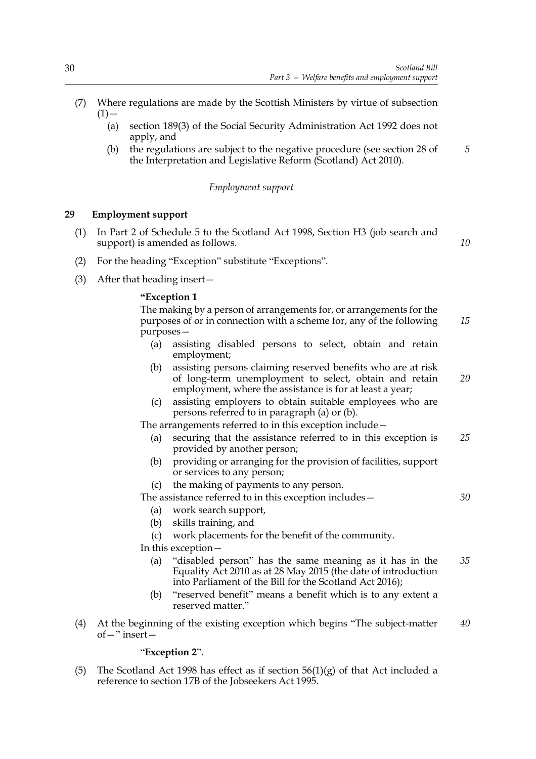- (7) Where regulations are made by the Scottish Ministers by virtue of subsection  $(1)$  —
	- (a) section 189(3) of the Social Security Administration Act 1992 does not apply, and
	- (b) the regulations are subject to the negative procedure (see section 28 of the Interpretation and Legislative Reform (Scotland) Act 2010). *5*

#### *Employment support*

## **29 Employment support**

(1) In Part 2 of Schedule 5 to the Scotland Act 1998, Section H3 (job search and support) is amended as follows.

*10*

*30*

- (2) For the heading "Exception" substitute "Exceptions".
- (3) After that heading insert—

## **"Exception 1**

The making by a person of arrangements for, or arrangements for the purposes of or in connection with a scheme for, any of the following purposes— *15*

- (a) assisting disabled persons to select, obtain and retain employment;
- (b) assisting persons claiming reserved benefits who are at risk of long-term unemployment to select, obtain and retain employment, where the assistance is for at least a year; *20*
- (c) assisting employers to obtain suitable employees who are persons referred to in paragraph (a) or (b).

The arrangements referred to in this exception include—

- (a) securing that the assistance referred to in this exception is provided by another person; *25*
- (b) providing or arranging for the provision of facilities, support or services to any person;
- (c) the making of payments to any person.

The assistance referred to in this exception includes—

- (a) work search support,
- (b) skills training, and
- (c) work placements for the benefit of the community.

In this exception—

- (a) "disabled person" has the same meaning as it has in the Equality Act 2010 as at 28 May 2015 (the date of introduction into Parliament of the Bill for the Scotland Act 2016); *35*
- (b) "reserved benefit" means a benefit which is to any extent a reserved matter."
- (4) At the beginning of the existing exception which begins "The subject-matter of—" insert— *40*

#### "**Exception 2**".

(5) The Scotland Act 1998 has effect as if section  $56(1)(g)$  of that Act included a reference to section 17B of the Jobseekers Act 1995.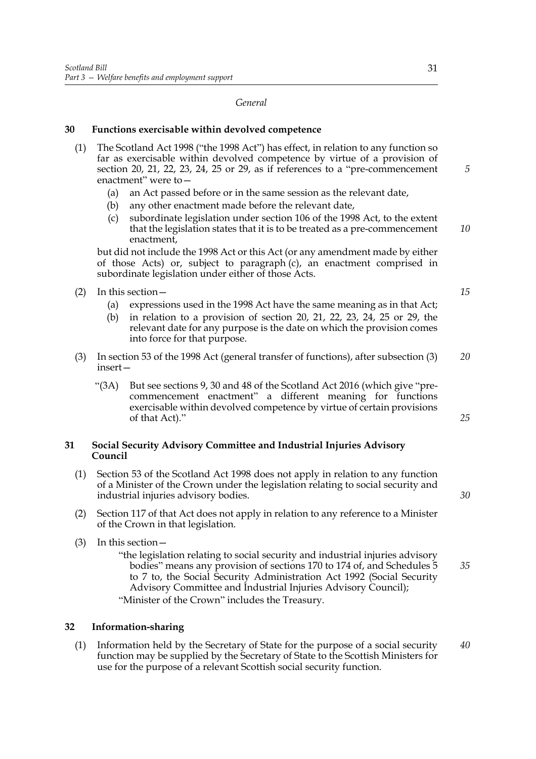#### *General*

#### **30 Functions exercisable within devolved competence**

- (1) The Scotland Act 1998 ("the 1998 Act") has effect, in relation to any function so far as exercisable within devolved competence by virtue of a provision of section 20, 21, 22, 23, 24, 25 or 29, as if references to a "pre-commencement enactment" were to—
	- (a) an Act passed before or in the same session as the relevant date,
	- (b) any other enactment made before the relevant date,
	- (c) subordinate legislation under section 106 of the 1998 Act, to the extent that the legislation states that it is to be treated as a pre-commencement enactment, *10*

but did not include the 1998 Act or this Act (or any amendment made by either of those Acts) or, subject to paragraph (c), an enactment comprised in subordinate legislation under either of those Acts.

- (2) In this section—
	- (a) expressions used in the 1998 Act have the same meaning as in that Act;
	- (b) in relation to a provision of section 20, 21, 22, 23, 24, 25 or 29, the relevant date for any purpose is the date on which the provision comes into force for that purpose.
- (3) In section 53 of the 1998 Act (general transfer of functions), after subsection (3) insert— *20*
	- "(3A) But see sections 9, 30 and 48 of the Scotland Act 2016 (which give "precommencement enactment" a different meaning for functions exercisable within devolved competence by virtue of certain provisions of that Act)."

## **31 Social Security Advisory Committee and Industrial Injuries Advisory Council**

- (1) Section 53 of the Scotland Act 1998 does not apply in relation to any function of a Minister of the Crown under the legislation relating to social security and industrial injuries advisory bodies.
- (2) Section 117 of that Act does not apply in relation to any reference to a Minister of the Crown in that legislation.
- (3) In this section—
	- "the legislation relating to social security and industrial injuries advisory bodies" means any provision of sections 170 to 174 of, and Schedules 5 to 7 to, the Social Security Administration Act 1992 (Social Security Advisory Committee and Industrial Injuries Advisory Council); *35*

"Minister of the Crown" includes the Treasury.

## **32 Information-sharing**

(1) Information held by the Secretary of State for the purpose of a social security function may be supplied by the Secretary of State to the Scottish Ministers for use for the purpose of a relevant Scottish social security function. *40*

*5*

*15*

*30*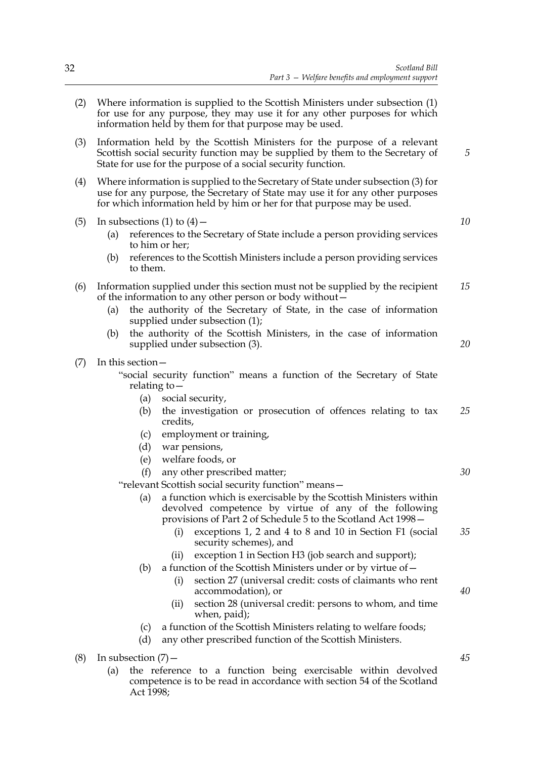- (2) Where information is supplied to the Scottish Ministers under subsection (1) for use for any purpose, they may use it for any other purposes for which information held by them for that purpose may be used.
- (3) Information held by the Scottish Ministers for the purpose of a relevant Scottish social security function may be supplied by them to the Secretary of State for use for the purpose of a social security function.
- (4) Where information is supplied to the Secretary of State under subsection (3) for use for any purpose, the Secretary of State may use it for any other purposes for which information held by him or her for that purpose may be used.
- (5) In subsections (1) to  $(4)$ 
	- (a) references to the Secretary of State include a person providing services to him or her;
	- (b) references to the Scottish Ministers include a person providing services to them.
- (6) Information supplied under this section must not be supplied by the recipient of the information to any other person or body without— *15*
	- (a) the authority of the Secretary of State, in the case of information supplied under subsection (1);
	- (b) the authority of the Scottish Ministers, in the case of information supplied under subsection (3).
- (7) In this section—

"social security function" means a function of the Secretary of State relating to—

- (a) social security,
- (b) the investigation or prosecution of offences relating to tax credits, *25*
- (c) employment or training,
- (d) war pensions,
- (e) welfare foods, or
- (f) any other prescribed matter;

"relevant Scottish social security function" means—

- (a) a function which is exercisable by the Scottish Ministers within devolved competence by virtue of any of the following provisions of Part 2 of Schedule 5 to the Scotland Act 1998—
	- (i) exceptions 1, 2 and 4 to 8 and 10 in Section F1 (social security schemes), and *35*
	- (ii) exception 1 in Section H3 (job search and support);
- (b) a function of the Scottish Ministers under or by virtue of  $-$ 
	- (i) section 27 (universal credit: costs of claimants who rent accommodation), or
	- (ii) section 28 (universal credit: persons to whom, and time when, paid);
- (c) a function of the Scottish Ministers relating to welfare foods;
- (d) any other prescribed function of the Scottish Ministers.
- (8) In subsection  $(7)$ 
	- (a) the reference to a function being exercisable within devolved competence is to be read in accordance with section 54 of the Scotland Act 1998;

*45*

*40*

*5*

*10*

*20*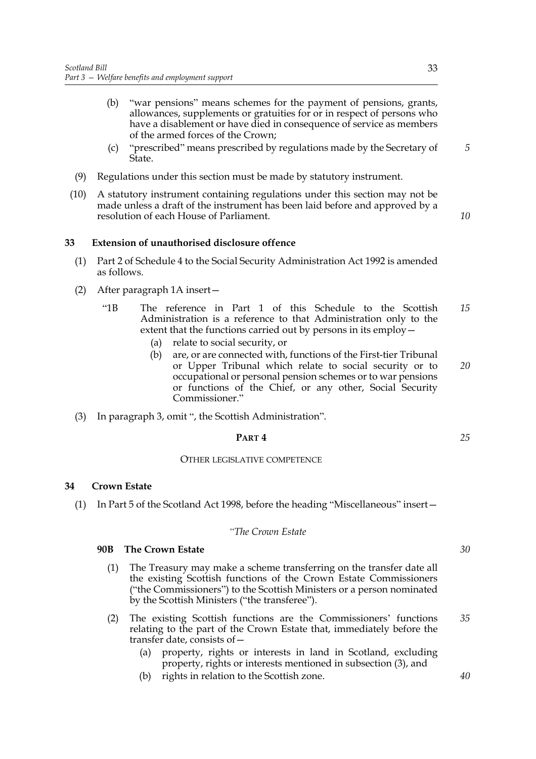- (b) "war pensions" means schemes for the payment of pensions, grants, allowances, supplements or gratuities for or in respect of persons who have a disablement or have died in consequence of service as members of the armed forces of the Crown;
- (c) "prescribed" means prescribed by regulations made by the Secretary of State.
- (9) Regulations under this section must be made by statutory instrument.
- (10) A statutory instrument containing regulations under this section may not be made unless a draft of the instrument has been laid before and approved by a resolution of each House of Parliament.

## **33 Extension of unauthorised disclosure offence**

- (1) Part 2 of Schedule 4 to the Social Security Administration Act 1992 is amended as follows.
- (2) After paragraph 1A insert—
	- "1B The reference in Part 1 of this Schedule to the Scottish Administration is a reference to that Administration only to the extent that the functions carried out by persons in its employ— *15*
		- (a) relate to social security, or
		- (b) are, or are connected with, functions of the First-tier Tribunal or Upper Tribunal which relate to social security or to occupational or personal pension schemes or to war pensions or functions of the Chief, or any other, Social Security Commissioner." *20*
- (3) In paragraph 3, omit ", the Scottish Administration".

#### **PART 4**

#### OTHER LEGISLATIVE COMPETENCE

#### **34 Crown Estate**

(1) In Part 5 of the Scotland Act 1998, before the heading "Miscellaneous" insert—

#### *"The Crown Estate*

## **90B The Crown Estate**

- (1) The Treasury may make a scheme transferring on the transfer date all the existing Scottish functions of the Crown Estate Commissioners ("the Commissioners") to the Scottish Ministers or a person nominated by the Scottish Ministers ("the transferee").
- (2) The existing Scottish functions are the Commissioners' functions relating to the part of the Crown Estate that, immediately before the transfer date, consists of—
	- (a) property, rights or interests in land in Scotland, excluding property, rights or interests mentioned in subsection (3), and
	- (b) rights in relation to the Scottish zone.

*5*

*10*

*25*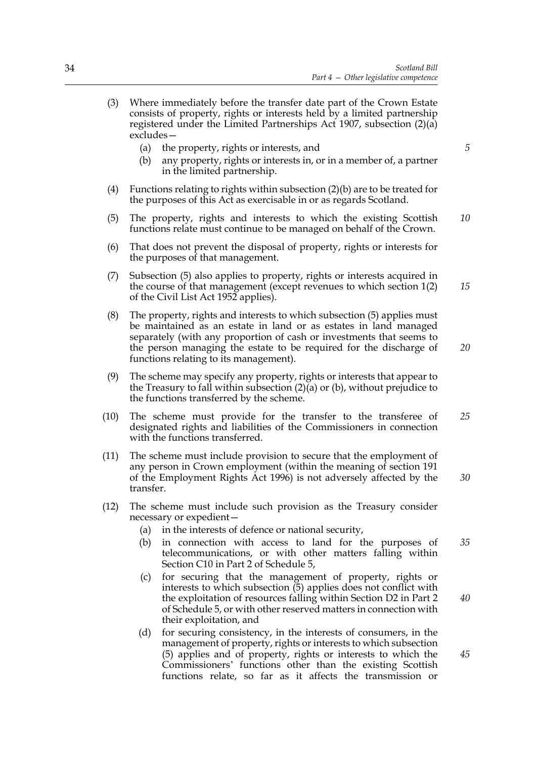- (3) Where immediately before the transfer date part of the Crown Estate consists of property, rights or interests held by a limited partnership registered under the Limited Partnerships Act 1907, subsection (2)(a) excludes—
	- (a) the property, rights or interests, and
	- (b) any property, rights or interests in, or in a member of, a partner in the limited partnership.
- (4) Functions relating to rights within subsection (2)(b) are to be treated for the purposes of this Act as exercisable in or as regards Scotland.
- (5) The property, rights and interests to which the existing Scottish functions relate must continue to be managed on behalf of the Crown. *10*
- (6) That does not prevent the disposal of property, rights or interests for the purposes of that management.
- (7) Subsection (5) also applies to property, rights or interests acquired in the course of that management (except revenues to which section 1(2) of the Civil List Act 1952 applies). *15*
- (8) The property, rights and interests to which subsection (5) applies must be maintained as an estate in land or as estates in land managed separately (with any proportion of cash or investments that seems to the person managing the estate to be required for the discharge of functions relating to its management).
- (9) The scheme may specify any property, rights or interests that appear to the Treasury to fall within subsection (2)(a) or (b), without prejudice to the functions transferred by the scheme.
- (10) The scheme must provide for the transfer to the transferee of designated rights and liabilities of the Commissioners in connection with the functions transferred. *25*
- (11) The scheme must include provision to secure that the employment of any person in Crown employment (within the meaning of section 191 of the Employment Rights Act 1996) is not adversely affected by the transfer. *30*
- (12) The scheme must include such provision as the Treasury consider necessary or expedient—
	- (a) in the interests of defence or national security,
	- (b) in connection with access to land for the purposes of telecommunications, or with other matters falling within Section C10 in Part 2 of Schedule 5, *35*
	- (c) for securing that the management of property, rights or interests to which subsection  $(5)$  applies does not conflict with the exploitation of resources falling within Section D2 in Part 2 of Schedule 5, or with other reserved matters in connection with their exploitation, and
	- (d) for securing consistency, in the interests of consumers, in the management of property, rights or interests to which subsection (5) applies and of property, rights or interests to which the Commissioners' functions other than the existing Scottish functions relate, so far as it affects the transmission or

*45*

*40*

*5*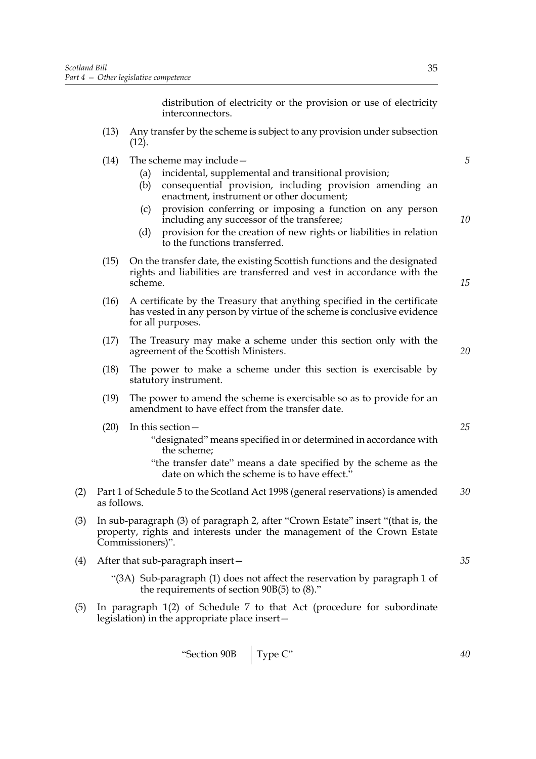distribution of electricity or the provision or use of electricity interconnectors.

- (13) Any transfer by the scheme is subject to any provision under subsection  $(12)$ .
- (14) The scheme may include—
	- (a) incidental, supplemental and transitional provision;
	- (b) consequential provision, including provision amending an enactment, instrument or other document;
	- (c) provision conferring or imposing a function on any person including any successor of the transferee;
	- (d) provision for the creation of new rights or liabilities in relation to the functions transferred.
- (15) On the transfer date, the existing Scottish functions and the designated rights and liabilities are transferred and vest in accordance with the scheme.
- (16) A certificate by the Treasury that anything specified in the certificate has vested in any person by virtue of the scheme is conclusive evidence for all purposes.
- (17) The Treasury may make a scheme under this section only with the agreement of the Scottish Ministers.
- (18) The power to make a scheme under this section is exercisable by statutory instrument.
- (19) The power to amend the scheme is exercisable so as to provide for an amendment to have effect from the transfer date.
- (20) In this section—
	- "designated" means specified in or determined in accordance with the scheme;
	- "the transfer date" means a date specified by the scheme as the date on which the scheme is to have effect."
- (2) Part 1 of Schedule 5 to the Scotland Act 1998 (general reservations) is amended as follows. *30*
- (3) In sub-paragraph (3) of paragraph 2, after "Crown Estate" insert "(that is, the property, rights and interests under the management of the Crown Estate Commissioners)".
- (4) After that sub-paragraph insert—
	- "(3A) Sub-paragraph (1) does not affect the reservation by paragraph 1 of the requirements of section 90B(5) to (8)."
- (5) In paragraph 1(2) of Schedule 7 to that Act (procedure for subordinate legislation) in the appropriate place insert—

*5*

*10*

*15*

*20*

*25*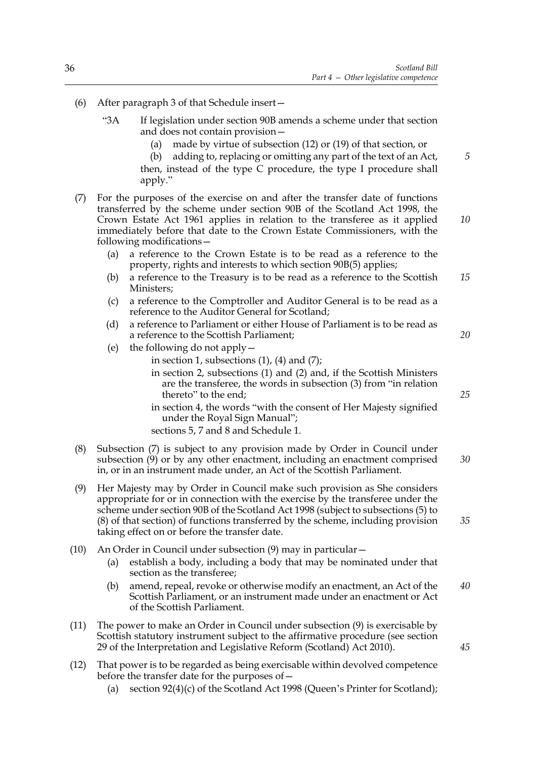- (6) After paragraph 3 of that Schedule insert—
	- "3A If legislation under section 90B amends a scheme under that section and does not contain provision—
		- (a) made by virtue of subsection (12) or (19) of that section, or
		- (b) adding to, replacing or omitting any part of the text of an Act, then, instead of the type C procedure, the type I procedure shall apply."
- (7) For the purposes of the exercise on and after the transfer date of functions transferred by the scheme under section 90B of the Scotland Act 1998, the Crown Estate Act 1961 applies in relation to the transferee as it applied immediately before that date to the Crown Estate Commissioners, with the following modifications—
	- (a) a reference to the Crown Estate is to be read as a reference to the property, rights and interests to which section 90B(5) applies;
	- (b) a reference to the Treasury is to be read as a reference to the Scottish Ministers; *15*
	- (c) a reference to the Comptroller and Auditor General is to be read as a reference to the Auditor General for Scotland;
	- (d) a reference to Parliament or either House of Parliament is to be read as a reference to the Scottish Parliament;
	- (e) the following do not apply
		- in section 1, subsections  $(1)$ ,  $(4)$  and  $(7)$ ;
			- in section 2, subsections (1) and (2) and, if the Scottish Ministers are the transferee, the words in subsection (3) from "in relation thereto" to the end;
			- in section 4, the words "with the consent of Her Majesty signified under the Royal Sign Manual";

sections 5, 7 and 8 and Schedule 1.

- (8) Subsection (7) is subject to any provision made by Order in Council under subsection (9) or by any other enactment, including an enactment comprised in, or in an instrument made under, an Act of the Scottish Parliament. *30*
- (9) Her Majesty may by Order in Council make such provision as She considers appropriate for or in connection with the exercise by the transferee under the scheme under section 90B of the Scotland Act 1998 (subject to subsections (5) to (8) of that section) of functions transferred by the scheme, including provision taking effect on or before the transfer date.
- (10) An Order in Council under subsection (9) may in particular—
	- (a) establish a body, including a body that may be nominated under that section as the transferee;
	- (b) amend, repeal, revoke or otherwise modify an enactment, an Act of the Scottish Parliament, or an instrument made under an enactment or Act of the Scottish Parliament. *40*
- (11) The power to make an Order in Council under subsection (9) is exercisable by Scottish statutory instrument subject to the affirmative procedure (see section 29 of the Interpretation and Legislative Reform (Scotland) Act 2010).
- (12) That power is to be regarded as being exercisable within devolved competence before the transfer date for the purposes of—
	- (a) section 92(4)(c) of the Scotland Act 1998 (Queen's Printer for Scotland);

*25*

*20*

*5*

*10*

*35*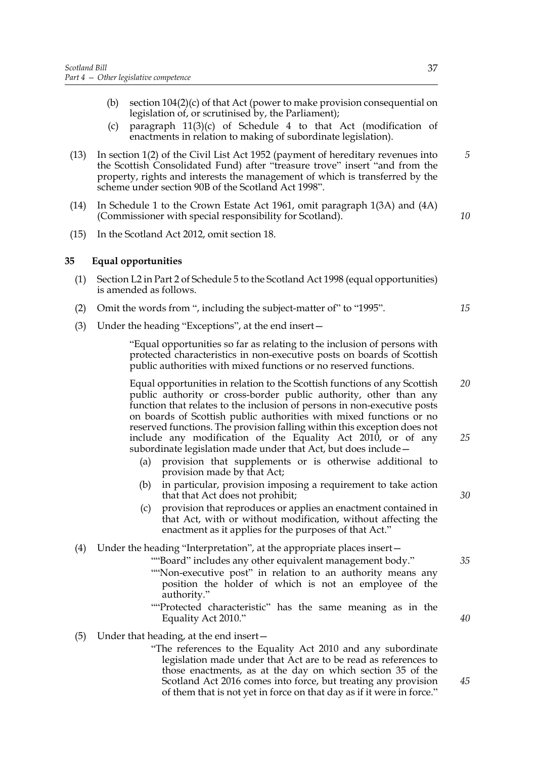- (b) section  $104(2)(c)$  of that Act (power to make provision consequential on legislation of, or scrutinised by, the Parliament);
- (c) paragraph 11(3)(c) of Schedule 4 to that Act (modification of enactments in relation to making of subordinate legislation).
- (13) In section 1(2) of the Civil List Act 1952 (payment of hereditary revenues into the Scottish Consolidated Fund) after "treasure trove" insert "and from the property, rights and interests the management of which is transferred by the scheme under section 90B of the Scotland Act 1998".
- (14) In Schedule 1 to the Crown Estate Act 1961, omit paragraph 1(3A) and (4A) (Commissioner with special responsibility for Scotland).
- (15) In the Scotland Act 2012, omit section 18.

#### **35 Equal opportunities**

- (1) Section L2 in Part 2 of Schedule 5 to the Scotland Act 1998 (equal opportunities) is amended as follows.
- (2) Omit the words from ", including the subject-matter of" to "1995".
- (3) Under the heading "Exceptions", at the end insert—

 "Equal opportunities so far as relating to the inclusion of persons with protected characteristics in non-executive posts on boards of Scottish public authorities with mixed functions or no reserved functions.

 Equal opportunities in relation to the Scottish functions of any Scottish public authority or cross-border public authority, other than any function that relates to the inclusion of persons in non-executive posts on boards of Scottish public authorities with mixed functions or no reserved functions. The provision falling within this exception does not include any modification of the Equality Act 2010, or of any subordinate legislation made under that Act, but does include— *20 25*

- (a) provision that supplements or is otherwise additional to provision made by that Act;
- (b) in particular, provision imposing a requirement to take action that that Act does not prohibit;
- (c) provision that reproduces or applies an enactment contained in that Act, with or without modification, without affecting the enactment as it applies for the purposes of that Act."

# (4) Under the heading "Interpretation", at the appropriate places insert—

- ""Board" includes any other equivalent management body." ""Non-executive post" in relation to an authority means any position the holder of which is not an employee of the authority."
- ""Protected characteristic" has the same meaning as in the Equality Act 2010."
- (5) Under that heading, at the end insert—
	- "The references to the Equality Act 2010 and any subordinate legislation made under that Act are to be read as references to those enactments, as at the day on which section 35 of the Scotland Act 2016 comes into force, but treating any provision of them that is not yet in force on that day as if it were in force."

*35*

*30*

*40*

*45*

*15*

*5*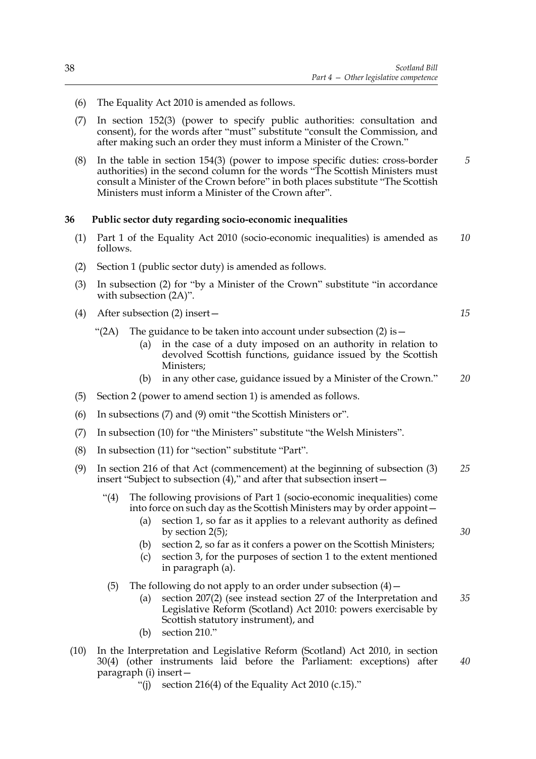- (6) The Equality Act 2010 is amended as follows.
- (7) In section 152(3) (power to specify public authorities: consultation and consent), for the words after "must" substitute "consult the Commission, and after making such an order they must inform a Minister of the Crown."
- (8) In the table in section 154(3) (power to impose specific duties: cross-border authorities) in the second column for the words "The Scottish Ministers must consult a Minister of the Crown before" in both places substitute "The Scottish Ministers must inform a Minister of the Crown after". *5*

#### **36 Public sector duty regarding socio-economic inequalities**

- (1) Part 1 of the Equality Act 2010 (socio-economic inequalities) is amended as follows. *10*
- (2) Section 1 (public sector duty) is amended as follows.
- (3) In subsection (2) for "by a Minister of the Crown" substitute "in accordance with subsection (2A)".
- (4) After subsection (2) insert—
	- "(2A) The guidance to be taken into account under subsection  $(2)$  is  $-$ 
		- (a) in the case of a duty imposed on an authority in relation to devolved Scottish functions, guidance issued by the Scottish Ministers;
		- (b) in any other case, guidance issued by a Minister of the Crown." *20*
- (5) Section 2 (power to amend section 1) is amended as follows.
- (6) In subsections (7) and (9) omit "the Scottish Ministers or".
- (7) In subsection (10) for "the Ministers" substitute "the Welsh Ministers".
- (8) In subsection (11) for "section" substitute "Part".

|                                                                             | (9) In section 216 of that Act (commencement) at the beginning of subsection (3) | 25 |  |
|-----------------------------------------------------------------------------|----------------------------------------------------------------------------------|----|--|
| insert "Subject to subsection $(4)$ ," and after that subsection insert $-$ |                                                                                  |    |  |

- "(4) The following provisions of Part 1 (socio-economic inequalities) come into force on such day as the Scottish Ministers may by order appoint—
	- (a) section 1, so far as it applies to a relevant authority as defined by section 2(5);
		- (b) section 2, so far as it confers a power on the Scottish Ministers;
		- (c) section 3, for the purposes of section 1 to the extent mentioned in paragraph (a).
- (5) The following do not apply to an order under subsection  $(4)$  -
	- (a) section 207(2) (see instead section 27 of the Interpretation and Legislative Reform (Scotland) Act 2010: powers exercisable by Scottish statutory instrument), and *35*
	- (b) section 210."
- (10) In the Interpretation and Legislative Reform (Scotland) Act 2010, in section 30(4) (other instruments laid before the Parliament: exceptions) after paragraph (i) insert— *40*
	- "(i) section 216(4) of the Equality Act 2010 (c.15)."

*15*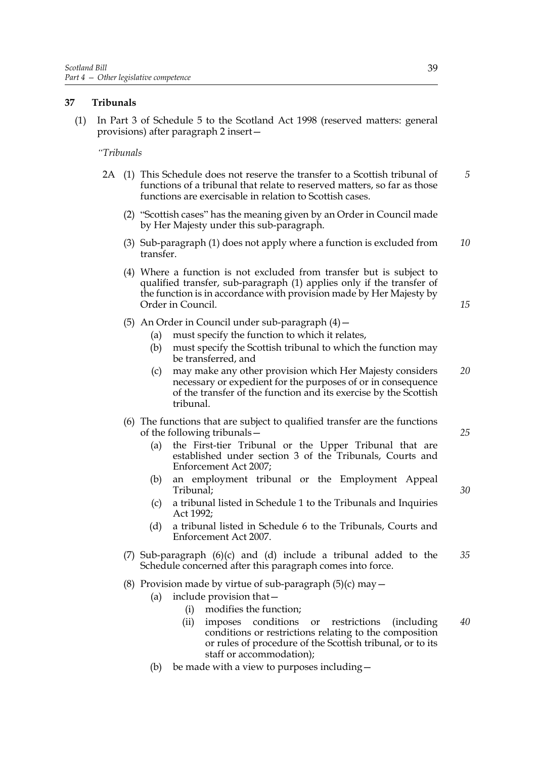# **37 Tribunals**

(1) In Part 3 of Schedule 5 to the Scotland Act 1998 (reserved matters: general provisions) after paragraph 2 insert—

## *"Tribunals*

- 2A (1) This Schedule does not reserve the transfer to a Scottish tribunal of functions of a tribunal that relate to reserved matters, so far as those functions are exercisable in relation to Scottish cases. *5*
	- (2) "Scottish cases" has the meaning given by an Order in Council made by Her Majesty under this sub-paragraph.
	- (3) Sub-paragraph (1) does not apply where a function is excluded from transfer. *10*
	- (4) Where a function is not excluded from transfer but is subject to qualified transfer, sub-paragraph (1) applies only if the transfer of the function is in accordance with provision made by Her Majesty by Order in Council.

(5) An Order in Council under sub-paragraph  $(4)$  -

- (a) must specify the function to which it relates,
- (b) must specify the Scottish tribunal to which the function may be transferred, and
- (c) may make any other provision which Her Majesty considers necessary or expedient for the purposes of or in consequence of the transfer of the function and its exercise by the Scottish tribunal. *20*
- (6) The functions that are subject to qualified transfer are the functions of the following tribunals—
	- (a) the First-tier Tribunal or the Upper Tribunal that are established under section 3 of the Tribunals, Courts and Enforcement Act 2007;
	- (b) an employment tribunal or the Employment Appeal Tribunal;
	- (c) a tribunal listed in Schedule 1 to the Tribunals and Inquiries Act 1992;
	- (d) a tribunal listed in Schedule 6 to the Tribunals, Courts and Enforcement Act 2007.
- (7) Sub-paragraph (6)(c) and (d) include a tribunal added to the Schedule concerned after this paragraph comes into force. *35*
- (8) Provision made by virtue of sub-paragraph  $(5)(c)$  may  $-$ 
	- (a) include provision that—
		- (i) modifies the function;
		- (ii) imposes conditions or restrictions (including conditions or restrictions relating to the composition or rules of procedure of the Scottish tribunal, or to its staff or accommodation); *40*
	- (b) be made with a view to purposes including—

*15*

*25*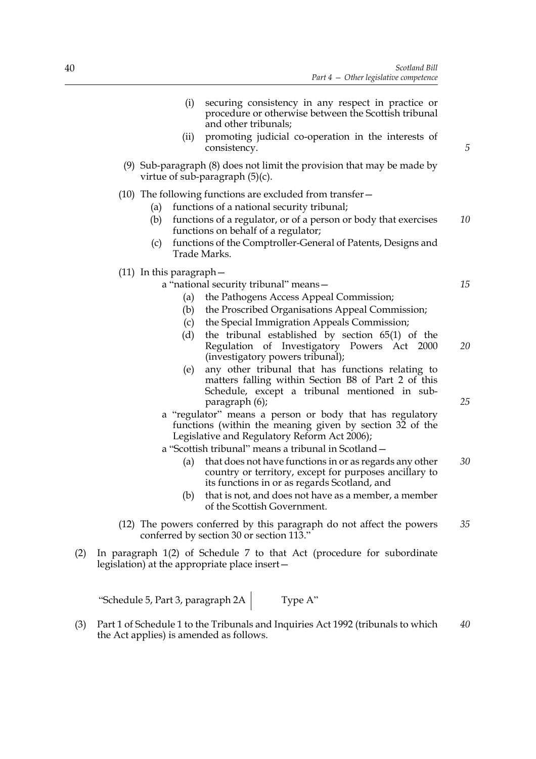| 5  | (i)<br>securing consistency in any respect in practice or<br>procedure or otherwise between the Scottish tribunal<br>and other tribunals;<br>promoting judicial co-operation in the interests of<br>(ii)<br>consistency.                                                                                                                                               |     |
|----|------------------------------------------------------------------------------------------------------------------------------------------------------------------------------------------------------------------------------------------------------------------------------------------------------------------------------------------------------------------------|-----|
|    | $(9)$ Sub-paragraph $(8)$ does not limit the provision that may be made by<br>virtue of sub-paragraph $(5)(c)$ .                                                                                                                                                                                                                                                       |     |
| 10 | $(10)$ The following functions are excluded from transfer $-$<br>functions of a national security tribunal;<br>(a)<br>(b)<br>functions of a regulator, or of a person or body that exercises<br>functions on behalf of a regulator;<br>functions of the Comptroller-General of Patents, Designs and<br>(c)<br>Trade Marks.                                             |     |
| 15 | $(11)$ In this paragraph $-$<br>a "national security tribunal" means -<br>the Pathogens Access Appeal Commission;<br>(a)<br>the Proscribed Organisations Appeal Commission;<br>(b)                                                                                                                                                                                     |     |
| 20 | the Special Immigration Appeals Commission;<br>(c)<br>(d)<br>the tribunal established by section $65(1)$ of the<br>Regulation of Investigatory Powers Act 2000<br>(investigatory powers tribunal);<br>any other tribunal that has functions relating to<br>(e)<br>matters falling within Section B8 of Part 2 of this<br>Schedule, except a tribunal mentioned in sub- |     |
| 25 | paragraph (6);<br>a "regulator" means a person or body that has regulatory<br>functions (within the meaning given by section 32 of the<br>Legislative and Regulatory Reform Act 2006);<br>a "Scottish tribunal" means a tribunal in Scotland -                                                                                                                         |     |
| 30 | that does not have functions in or as regards any other<br>(a)<br>country or territory, except for purposes ancillary to<br>its functions in or as regards Scotland, and<br>that is not, and does not have as a member, a member<br>(b)                                                                                                                                |     |
| 35 | of the Scottish Government.<br>(12) The powers conferred by this paragraph do not affect the powers<br>conferred by section 30 or section 113."                                                                                                                                                                                                                        |     |
|    | In paragraph 1(2) of Schedule 7 to that Act (procedure for subordinate<br>legislation) at the appropriate place insert-                                                                                                                                                                                                                                                | (2) |
|    |                                                                                                                                                                                                                                                                                                                                                                        |     |

"Schedule 5, Part 3, paragraph  $2A$  Type A"

(3) Part 1 of Schedule 1 to the Tribunals and Inquiries Act 1992 (tribunals to which the Act applies) is amended as follows. *40*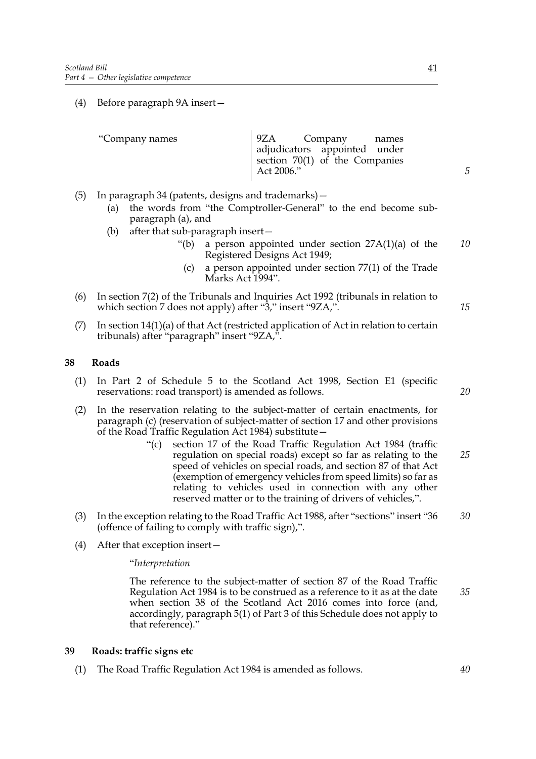(4) Before paragraph 9A insert—

| "Company names" | 9ZA Company names                |  |
|-----------------|----------------------------------|--|
|                 | adjudicators appointed under     |  |
|                 | section $70(1)$ of the Companies |  |
|                 | Act 2006."                       |  |
|                 |                                  |  |

- (5) In paragraph 34 (patents, designs and trademarks)—
	- (a) the words from "the Comptroller-General" to the end become subparagraph (a), and
	- (b) after that sub-paragraph insert—
		- "(b) a person appointed under section  $27A(1)(a)$  of the Registered Designs Act 1949; *10*
			- (c) a person appointed under section 77(1) of the Trade Marks Act 1994".
- (6) In section 7(2) of the Tribunals and Inquiries Act 1992 (tribunals in relation to which section 7 does not apply) after "3," insert "9ZA,".
- (7) In section 14(1)(a) of that Act (restricted application of Act in relation to certain tribunals) after "paragraph" insert "9ZA,".

# **38 Roads**

- (1) In Part 2 of Schedule 5 to the Scotland Act 1998, Section E1 (specific reservations: road transport) is amended as follows.
- (2) In the reservation relating to the subject-matter of certain enactments, for paragraph (c) (reservation of subject-matter of section 17 and other provisions of the Road Traffic Regulation Act 1984) substitute—
	- "(c) section 17 of the Road Traffic Regulation Act 1984 (traffic regulation on special roads) except so far as relating to the speed of vehicles on special roads, and section 87 of that Act (exemption of emergency vehicles from speed limits) so far as relating to vehicles used in connection with any other reserved matter or to the training of drivers of vehicles,". *25*
- (3) In the exception relating to the Road Traffic Act 1988, after "sections" insert "36 (offence of failing to comply with traffic sign),". *30*
- (4) After that exception insert—

"*Interpretation*

 The reference to the subject-matter of section 87 of the Road Traffic Regulation Act 1984 is to be construed as a reference to it as at the date when section 38 of the Scotland Act 2016 comes into force (and, accordingly, paragraph 5(1) of Part 3 of this Schedule does not apply to that reference)."

#### **39 Roads: traffic signs etc**

(1) The Road Traffic Regulation Act 1984 is amended as follows.

*20*

*15*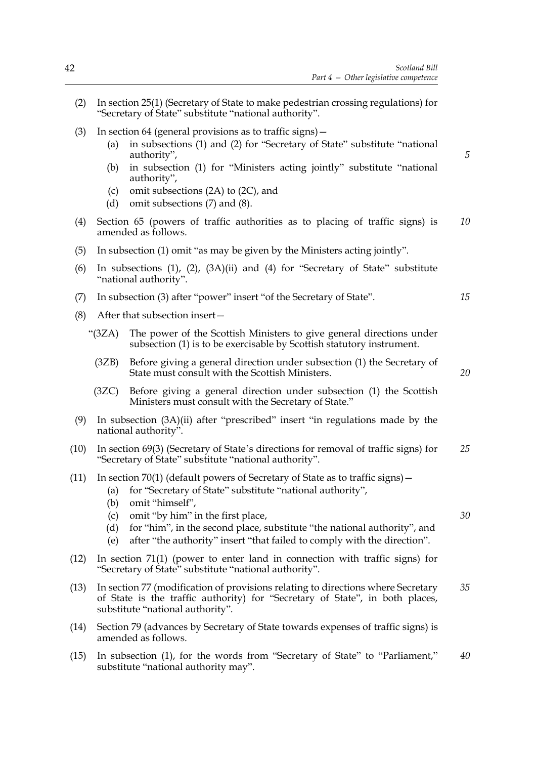- (2) In section 25(1) (Secretary of State to make pedestrian crossing regulations) for "Secretary of State" substitute "national authority".
- (3) In section 64 (general provisions as to traffic signs)—
	- (a) in subsections (1) and (2) for "Secretary of State" substitute "national authority",
	- (b) in subsection (1) for "Ministers acting jointly" substitute "national authority",
	- (c) omit subsections (2A) to (2C), and
	- (d) omit subsections (7) and (8).
- (4) Section 65 (powers of traffic authorities as to placing of traffic signs) is amended as follows. *10*
- (5) In subsection (1) omit "as may be given by the Ministers acting jointly".
- (6) In subsections (1), (2), (3A)(ii) and (4) for "Secretary of State" substitute "national authority".
- (7) In subsection (3) after "power" insert "of the Secretary of State".
- (8) After that subsection insert—
	- "(3ZA) The power of the Scottish Ministers to give general directions under subsection (1) is to be exercisable by Scottish statutory instrument.
		- (3ZB) Before giving a general direction under subsection (1) the Secretary of State must consult with the Scottish Ministers.
		- (3ZC) Before giving a general direction under subsection (1) the Scottish Ministers must consult with the Secretary of State."
- (9) In subsection (3A)(ii) after "prescribed" insert "in regulations made by the national authority".
- (10) In section 69(3) (Secretary of State's directions for removal of traffic signs) for "Secretary of State" substitute "national authority". *25*
- (11) In section 70(1) (default powers of Secretary of State as to traffic signs)—
	- (a) for "Secretary of State" substitute "national authority",
	- (b) omit "himself",
	- (c) omit "by him" in the first place,
	- (d) for "him", in the second place, substitute "the national authority", and
	- (e) after "the authority" insert "that failed to comply with the direction".
- (12) In section 71(1) (power to enter land in connection with traffic signs) for "Secretary of State" substitute "national authority".
- (13) In section 77 (modification of provisions relating to directions where Secretary of State is the traffic authority) for "Secretary of State", in both places, substitute "national authority". *35*
- (14) Section 79 (advances by Secretary of State towards expenses of traffic signs) is amended as follows.
- (15) In subsection (1), for the words from "Secretary of State" to "Parliament," substitute "national authority may". *40*

*15*

*5*

*20*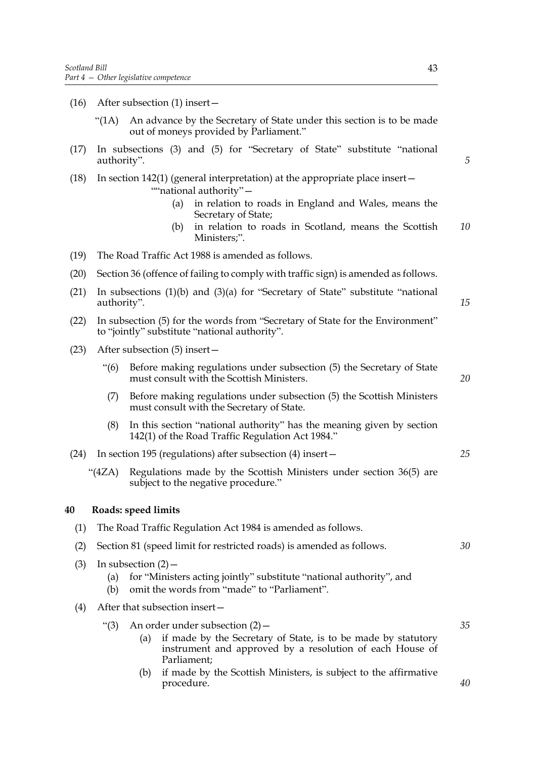- (16) After subsection (1) insert—
	- "(1A) An advance by the Secretary of State under this section is to be made out of moneys provided by Parliament."
- (17) In subsections (3) and (5) for "Secretary of State" substitute "national authority".
- (18) In section 142(1) (general interpretation) at the appropriate place insert— ""national authority"-
	- (a) in relation to roads in England and Wales, means the Secretary of State;
	- (b) in relation to roads in Scotland, means the Scottish Ministers;". *10*
- (19) The Road Traffic Act 1988 is amended as follows.
- (20) Section 36 (offence of failing to comply with traffic sign) is amended as follows.
- (21) In subsections (1)(b) and (3)(a) for "Secretary of State" substitute "national authority".
- (22) In subsection (5) for the words from "Secretary of State for the Environment" to "jointly" substitute "national authority".
- (23) After subsection (5) insert—
	- "(6) Before making regulations under subsection (5) the Secretary of State must consult with the Scottish Ministers.
	- (7) Before making regulations under subsection (5) the Scottish Ministers must consult with the Secretary of State.
	- (8) In this section "national authority" has the meaning given by section 142(1) of the Road Traffic Regulation Act 1984."
- (24) In section 195 (regulations) after subsection (4) insert—
	- "(4ZA) Regulations made by the Scottish Ministers under section 36(5) are subject to the negative procedure."

#### **40 Roads: speed limits**

| (1) | The Road Traffic Regulation Act 1984 is amended as follows.                                                                                                                                     |    |  |
|-----|-------------------------------------------------------------------------------------------------------------------------------------------------------------------------------------------------|----|--|
| (2) | Section 81 (speed limit for restricted roads) is amended as follows.                                                                                                                            |    |  |
| (3) | In subsection $(2)$ –<br>for "Ministers acting jointly" substitute "national authority", and<br>(a)<br>omit the words from "made" to "Parliament".<br>(b)                                       |    |  |
| (4) | After that subsection insert-                                                                                                                                                                   |    |  |
|     | An order under subsection $(2)$ –<br>" $(3)$<br>if made by the Secretary of State, is to be made by statutory<br>(a)<br>instrument and approved by a resolution of each House of<br>Parliament; | 35 |  |
|     | if made by the Scottish Ministers, is subject to the affirmative<br>(b)<br>procedure.                                                                                                           | 40 |  |

*5*

*15*

*20*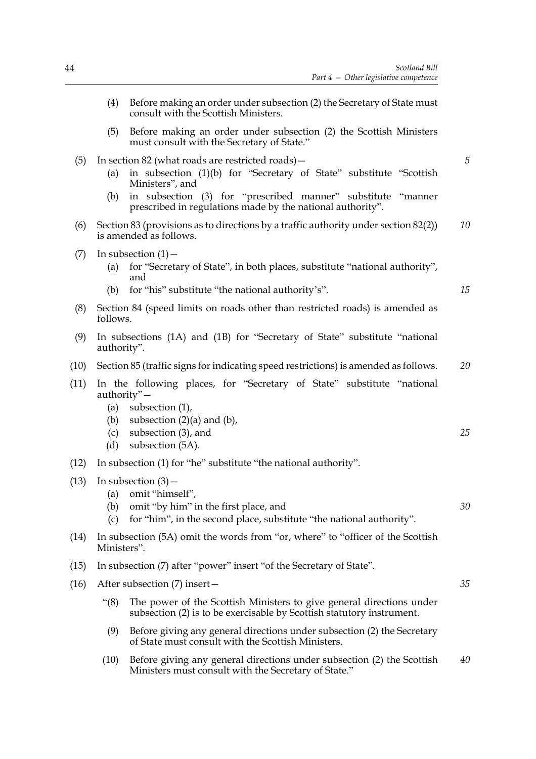- (4) Before making an order under subsection (2) the Secretary of State must consult with the Scottish Ministers. (5) Before making an order under subsection (2) the Scottish Ministers must consult with the Secretary of State." (5) In section 82 (what roads are restricted roads)— (a) in subsection (1)(b) for "Secretary of State" substitute "Scottish Ministers", and (b) in subsection (3) for "prescribed manner" substitute "manner prescribed in regulations made by the national authority". (6) Section 83 (provisions as to directions by a traffic authority under section 82(2)) is amended as follows.  $(7)$  In subsection  $(1)$  – (a) for "Secretary of State", in both places, substitute "national authority", and (b) for "his" substitute "the national authority's". (8) Section 84 (speed limits on roads other than restricted roads) is amended as follows. (9) In subsections (1A) and (1B) for "Secretary of State" substitute "national authority". (10) Section 85 (traffic signs for indicating speed restrictions) is amended as follows. (11) In the following places, for "Secretary of State" substitute "national authority"— (a) subsection (1), (b) subsection  $(2)(a)$  and  $(b)$ , (c) subsection (3), and (d) subsection (5A). (12) In subsection (1) for "he" substitute "the national authority".  $(13)$  In subsection  $(3)$  – (a) omit "himself", (b) omit "by him" in the first place, and (c) for "him", in the second place, substitute "the national authority". (14) In subsection (5A) omit the words from "or, where" to "officer of the Scottish Ministers". (15) In subsection (7) after "power" insert "of the Secretary of State". (16) After subsection (7) insert— "(8) The power of the Scottish Ministers to give general directions under subsection (2) is to be exercisable by Scottish statutory instrument. (9) Before giving any general directions under subsection (2) the Secretary of State must consult with the Scottish Ministers. *5 10 15 20 25 30 35*
	- (10) Before giving any general directions under subsection (2) the Scottish Ministers must consult with the Secretary of State." *40*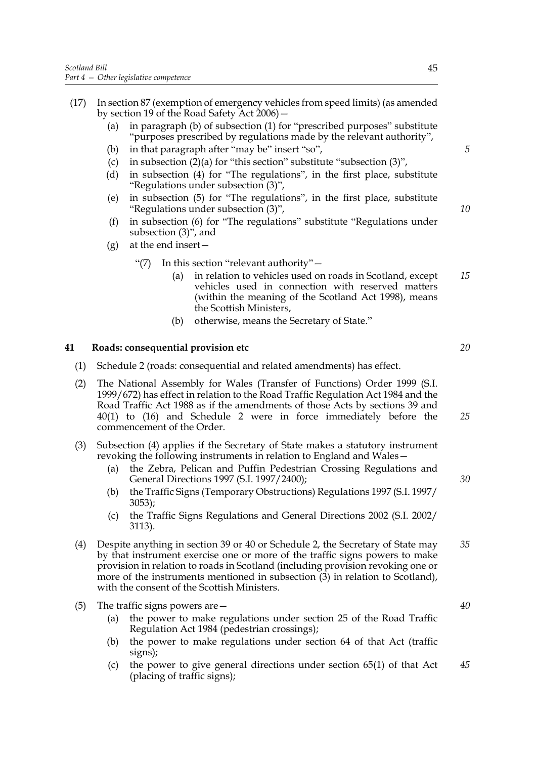- (17) In section 87 (exemption of emergency vehicles from speed limits) (as amended by section 19 of the Road Safety Act 2006)—
	- (a) in paragraph (b) of subsection (1) for "prescribed purposes" substitute "purposes prescribed by regulations made by the relevant authority",
	- (b) in that paragraph after "may be" insert "so",
	- (c) in subsection  $(2)(a)$  for "this section" substitute "subsection  $(3)$ ",
	- (d) in subsection (4) for "The regulations", in the first place, substitute "Regulations under subsection (3)",
	- (e) in subsection (5) for "The regulations", in the first place, substitute "Regulations under subsection (3)",
	- (f) in subsection (6) for "The regulations" substitute "Regulations under subsection (3)", and
	- $(g)$  at the end insert
		- "(7) In this section "relevant authority"—
			- (a) in relation to vehicles used on roads in Scotland, except vehicles used in connection with reserved matters (within the meaning of the Scotland Act 1998), means the Scottish Ministers, *15*
			- (b) otherwise, means the Secretary of State."

## **41 Roads: consequential provision etc**

- (1) Schedule 2 (roads: consequential and related amendments) has effect.
- (2) The National Assembly for Wales (Transfer of Functions) Order 1999 (S.I. 1999/672) has effect in relation to the Road Traffic Regulation Act 1984 and the Road Traffic Act 1988 as if the amendments of those Acts by sections 39 and 40(1) to (16) and Schedule 2 were in force immediately before the commencement of the Order.
- (3) Subsection (4) applies if the Secretary of State makes a statutory instrument revoking the following instruments in relation to England and Wales—
	- (a) the Zebra, Pelican and Puffin Pedestrian Crossing Regulations and General Directions 1997 (S.I. 1997/2400);
	- (b) the Traffic Signs (Temporary Obstructions) Regulations 1997 (S.I. 1997/ 3053);
	- (c) the Traffic Signs Regulations and General Directions 2002 (S.I. 2002/ 3113).
- (4) Despite anything in section 39 or 40 or Schedule 2, the Secretary of State may by that instrument exercise one or more of the traffic signs powers to make provision in relation to roads in Scotland (including provision revoking one or more of the instruments mentioned in subsection  $(3)$  in relation to Scotland), with the consent of the Scottish Ministers. *35*
- (5) The traffic signs powers are—
	- (a) the power to make regulations under section 25 of the Road Traffic Regulation Act 1984 (pedestrian crossings);
	- (b) the power to make regulations under section 64 of that Act (traffic signs);
	- (c) the power to give general directions under section 65(1) of that Act (placing of traffic signs); *45*

*5*

*10*

*20*

*30*

*25*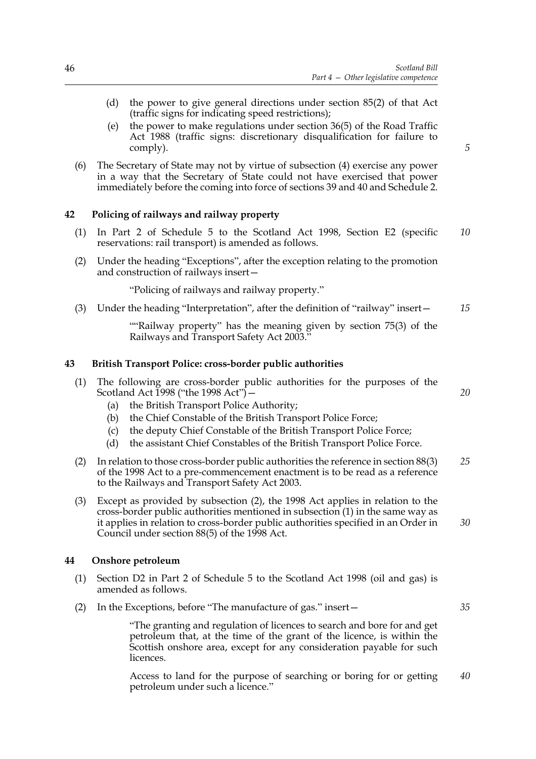- (d) the power to give general directions under section 85(2) of that Act (traffic signs for indicating speed restrictions);
- (e) the power to make regulations under section 36(5) of the Road Traffic Act 1988 (traffic signs: discretionary disqualification for failure to comply).
- (6) The Secretary of State may not by virtue of subsection (4) exercise any power in a way that the Secretary of State could not have exercised that power immediately before the coming into force of sections 39 and 40 and Schedule 2.

## **42 Policing of railways and railway property**

- (1) In Part 2 of Schedule 5 to the Scotland Act 1998, Section E2 (specific reservations: rail transport) is amended as follows. *10*
- (2) Under the heading "Exceptions", after the exception relating to the promotion and construction of railways insert—

"Policing of railways and railway property."

(3) Under the heading "Interpretation", after the definition of "railway" insert— *15*

> ""Railway property" has the meaning given by section 75(3) of the Railways and Transport Safety Act 2003."

#### **43 British Transport Police: cross-border public authorities**

|                                        | (1) The following are cross-border public authorities for the purposes of the |  |  |  |  |  |  |
|----------------------------------------|-------------------------------------------------------------------------------|--|--|--|--|--|--|
| Scotland Act 1998 ("the 1998 Act") $-$ |                                                                               |  |  |  |  |  |  |

- (a) the British Transport Police Authority;
- (b) the Chief Constable of the British Transport Police Force;
- (c) the deputy Chief Constable of the British Transport Police Force;
- (d) the assistant Chief Constables of the British Transport Police Force.
- (2) In relation to those cross-border public authorities the reference in section 88(3) of the 1998 Act to a pre-commencement enactment is to be read as a reference to the Railways and Transport Safety Act 2003. *25*
- (3) Except as provided by subsection (2), the 1998 Act applies in relation to the cross-border public authorities mentioned in subsection (1) in the same way as it applies in relation to cross-border public authorities specified in an Order in Council under section 88(5) of the 1998 Act. *30*

#### **44 Onshore petroleum**

- (1) Section D2 in Part 2 of Schedule 5 to the Scotland Act 1998 (oil and gas) is amended as follows.
- (2) In the Exceptions, before "The manufacture of gas." insert—

 "The granting and regulation of licences to search and bore for and get petroleum that, at the time of the grant of the licence, is within the Scottish onshore area, except for any consideration payable for such licences.

 Access to land for the purpose of searching or boring for or getting petroleum under such a licence." *40*

*5*

*20*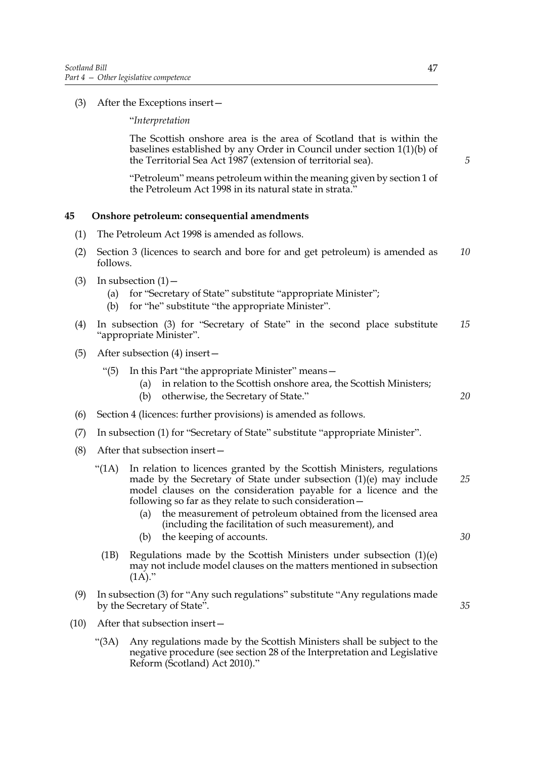(3) After the Exceptions insert—

"*Interpretation*

 The Scottish onshore area is the area of Scotland that is within the baselines established by any Order in Council under section 1(1)(b) of the Territorial Sea Act 1987 (extension of territorial sea).

 "Petroleum" means petroleum within the meaning given by section 1 of the Petroleum Act 1998 in its natural state in strata.'

# **45 Onshore petroleum: consequential amendments**

- (1) The Petroleum Act 1998 is amended as follows.
- (2) Section 3 (licences to search and bore for and get petroleum) is amended as follows. *10*
- (3) In subsection  $(1)$ 
	- (a) for "Secretary of State" substitute "appropriate Minister";
	- (b) for "he" substitute "the appropriate Minister".
- (4) In subsection (3) for "Secretary of State" in the second place substitute "appropriate Minister". *15*
- (5) After subsection (4) insert—
	- "(5) In this Part "the appropriate Minister" means—
		- (a) in relation to the Scottish onshore area, the Scottish Ministers;
		- (b) otherwise, the Secretary of State."
- (6) Section 4 (licences: further provisions) is amended as follows.
- (7) In subsection (1) for "Secretary of State" substitute "appropriate Minister".
- (8) After that subsection insert—
	- "(1A) In relation to licences granted by the Scottish Ministers, regulations made by the Secretary of State under subsection (1)(e) may include model clauses on the consideration payable for a licence and the following so far as they relate to such consideration— *25*
		- (a) the measurement of petroleum obtained from the licensed area (including the facilitation of such measurement), and
		- (b) the keeping of accounts.
		- (1B) Regulations made by the Scottish Ministers under subsection (1)(e) may not include model clauses on the matters mentioned in subsection  $(1\overrightarrow{A})$ ."
- (9) In subsection (3) for "Any such regulations" substitute "Any regulations made by the Secretary of State".
- (10) After that subsection insert—
	- "(3A) Any regulations made by the Scottish Ministers shall be subject to the negative procedure (see section 28 of the Interpretation and Legislative Reform (Scotland) Act 2010)."

*5*

*35*

*30*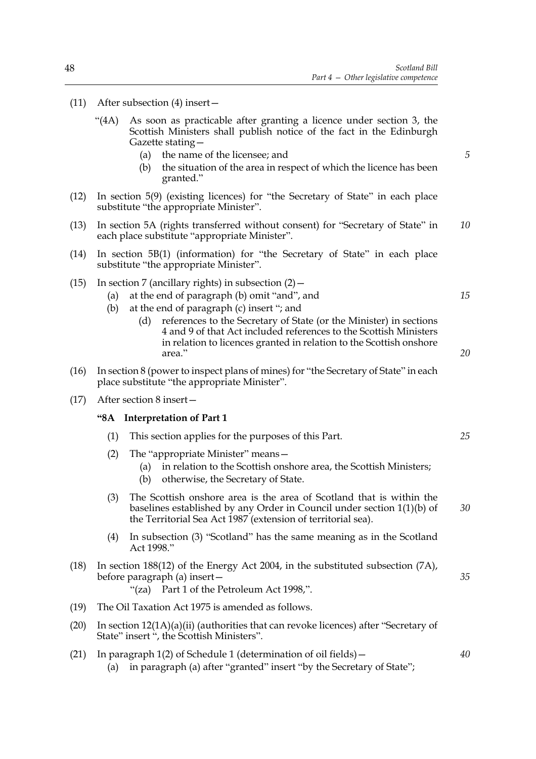- (11) After subsection (4) insert—
	- "(4A) As soon as practicable after granting a licence under section 3, the Scottish Ministers shall publish notice of the fact in the Edinburgh Gazette stating—
		- (a) the name of the licensee; and
		- (b) the situation of the area in respect of which the licence has been granted."
- (12) In section 5(9) (existing licences) for "the Secretary of State" in each place substitute "the appropriate Minister".
- (13) In section 5A (rights transferred without consent) for "Secretary of State" in each place substitute "appropriate Minister". *10*
- (14) In section 5B(1) (information) for "the Secretary of State" in each place substitute "the appropriate Minister".
- (15) In section 7 (ancillary rights) in subsection  $(2)$  -
	- (a) at the end of paragraph (b) omit "and", and
	- (b) at the end of paragraph (c) insert "; and
		- (d) references to the Secretary of State (or the Minister) in sections 4 and 9 of that Act included references to the Scottish Ministers in relation to licences granted in relation to the Scottish onshore area."
- (16) In section 8 (power to inspect plans of mines) for "the Secretary of State" in each place substitute "the appropriate Minister".
- (17) After section 8 insert—

## **"8A Interpretation of Part 1**

- (1) This section applies for the purposes of this Part.
- (2) The "appropriate Minister" means—
	- (a) in relation to the Scottish onshore area, the Scottish Ministers;
	- (b) otherwise, the Secretary of State.
- (3) The Scottish onshore area is the area of Scotland that is within the baselines established by any Order in Council under section 1(1)(b) of the Territorial Sea Act 1987 (extension of territorial sea). *30*
- (4) In subsection (3) "Scotland" has the same meaning as in the Scotland Act 1998."
- (18) In section 188(12) of the Energy Act 2004, in the substituted subsection (7A), before paragraph (a) insert— "(za) Part 1 of the Petroleum Act 1998,". *35*
- (19) The Oil Taxation Act 1975 is amended as follows.
- (20) In section 12(1A)(a)(ii) (authorities that can revoke licences) after "Secretary of State" insert ", the Scottish Ministers".
- (21) In paragraph 1(2) of Schedule 1 (determination of oil fields)— (a) in paragraph (a) after "granted" insert "by the Secretary of State";

*15*

*5*

*20*

*25*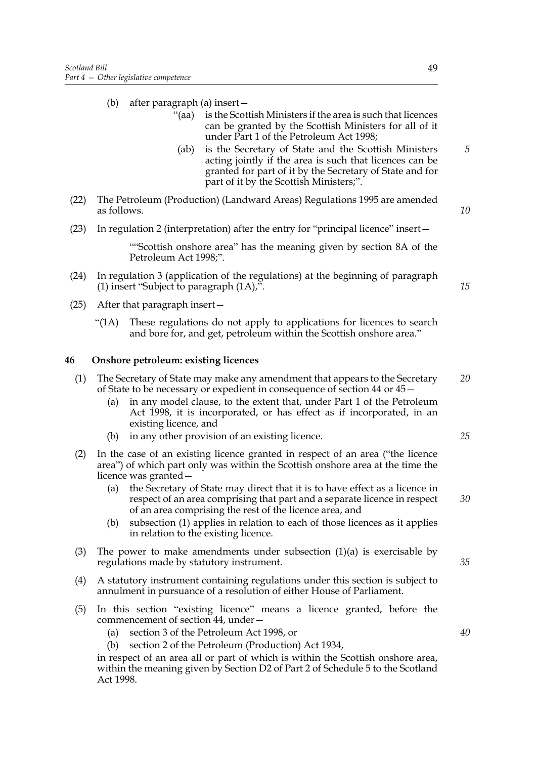- (b) after paragraph (a) insert—
	- "(aa) is the Scottish Ministers if the area is such that licences can be granted by the Scottish Ministers for all of it under Part 1 of the Petroleum Act 1998;
	- (ab) is the Secretary of State and the Scottish Ministers acting jointly if the area is such that licences can be granted for part of it by the Secretary of State and for part of it by the Scottish Ministers;".
- (22) The Petroleum (Production) (Landward Areas) Regulations 1995 are amended as follows.
- (23) In regulation 2 (interpretation) after the entry for "principal licence" insert—

 ""Scottish onshore area" has the meaning given by section 8A of the Petroleum Act 1998;".

- (24) In regulation 3 (application of the regulations) at the beginning of paragraph (1) insert "Subject to paragraph (1A),".
- (25) After that paragraph insert—
	- "(1A) These regulations do not apply to applications for licences to search and bore for, and get, petroleum within the Scottish onshore area."

# **46 Onshore petroleum: existing licences**

- (1) The Secretary of State may make any amendment that appears to the Secretary of State to be necessary or expedient in consequence of section 44 or 45— *20*
	- (a) in any model clause, to the extent that, under Part 1 of the Petroleum Act 1998, it is incorporated, or has effect as if incorporated, in an existing licence, and
	- (b) in any other provision of an existing licence.
- (2) In the case of an existing licence granted in respect of an area ("the licence area") of which part only was within the Scottish onshore area at the time the licence was granted—
	- (a) the Secretary of State may direct that it is to have effect as a licence in respect of an area comprising that part and a separate licence in respect of an area comprising the rest of the licence area, and
	- (b) subsection (1) applies in relation to each of those licences as it applies in relation to the existing licence.
- (3) The power to make amendments under subsection  $(1)(a)$  is exercisable by regulations made by statutory instrument.
- (4) A statutory instrument containing regulations under this section is subject to annulment in pursuance of a resolution of either House of Parliament.
- (5) In this section "existing licence" means a licence granted, before the commencement of section 44, under—
	- (a) section 3 of the Petroleum Act 1998, or
	- (b) section 2 of the Petroleum (Production) Act 1934,

in respect of an area all or part of which is within the Scottish onshore area, within the meaning given by Section D2 of Part 2 of Schedule 5 to the Scotland Act 1998.

*5*

*10*

*15*

*35*

*25*

*30*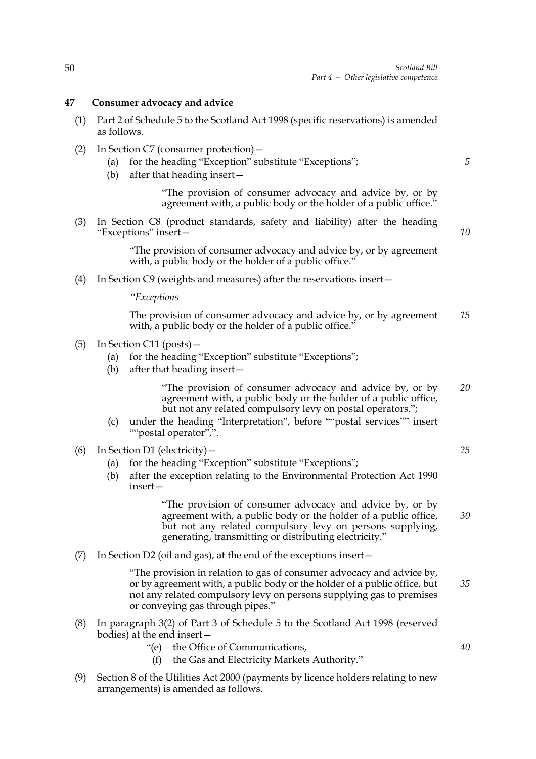# **47 Consumer advocacy and advice**

- (1) Part 2 of Schedule 5 to the Scotland Act 1998 (specific reservations) is amended as follows.
- (2) In Section C7 (consumer protection)—
	- (a) for the heading "Exception" substitute "Exceptions";
	- (b) after that heading insert—

 "The provision of consumer advocacy and advice by, or by agreement with, a public body or the holder of a public office."

(3) In Section C8 (product standards, safety and liability) after the heading "Exceptions" insert—

*10*

*5*

 "The provision of consumer advocacy and advice by, or by agreement with, a public body or the holder of a public office."

(4) In Section C9 (weights and measures) after the reservations insert—

*"Exceptions*

 The provision of consumer advocacy and advice by, or by agreement with, a public body or the holder of a public office." *15*

- (5) In Section C11 (posts)—
	- (a) for the heading "Exception" substitute "Exceptions";
	- (b) after that heading insert—

 "The provision of consumer advocacy and advice by, or by agreement with, a public body or the holder of a public office, but not any related compulsory levy on postal operators."; *20*

- (c) under the heading "Interpretation", before ""postal services"" insert ""postal operator",".
- (6) In Section D1 (electricity)—
	- (a) for the heading "Exception" substitute "Exceptions";
	- (b) after the exception relating to the Environmental Protection Act 1990 insert—

 "The provision of consumer advocacy and advice by, or by agreement with, a public body or the holder of a public office, but not any related compulsory levy on persons supplying, generating, transmitting or distributing electricity."

(7) In Section D2 (oil and gas), at the end of the exceptions insert—

 "The provision in relation to gas of consumer advocacy and advice by, or by agreement with, a public body or the holder of a public office, but not any related compulsory levy on persons supplying gas to premises or conveying gas through pipes."

- (8) In paragraph 3(2) of Part 3 of Schedule 5 to the Scotland Act 1998 (reserved bodies) at the end insert—
	- "(e) the Office of Communications,
		- (f) the Gas and Electricity Markets Authority."
- (9) Section 8 of the Utilities Act 2000 (payments by licence holders relating to new arrangements) is amended as follows.

*25*

*30*

*35*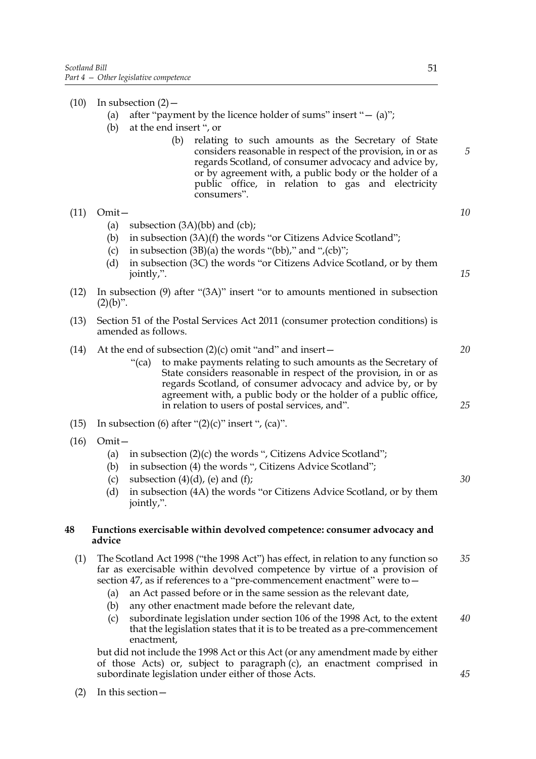$(10)$  In subsection  $(2)$  – (a) after "payment by the licence holder of sums" insert " $-$  (a)"; (b) at the end insert ", or (b) relating to such amounts as the Secretary of State considers reasonable in respect of the provision, in or as regards Scotland, of consumer advocacy and advice by, or by agreement with, a public body or the holder of a public office, in relation to gas and electricity consumers". (11) Omit— (a) subsection  $(3A)(bb)$  and  $(cb)$ ; (b) in subsection (3A)(f) the words "or Citizens Advice Scotland"; (c) in subsection  $(3B)(a)$  the words "(bb)," and ",(cb)"; (d) in subsection (3C) the words "or Citizens Advice Scotland, or by them jointly,". (12) In subsection (9) after "(3A)" insert "or to amounts mentioned in subsection  $(2)(b)$ ". (13) Section 51 of the Postal Services Act 2011 (consumer protection conditions) is amended as follows. (14) At the end of subsection  $(2)(c)$  omit "and" and insert-"(ca) to make payments relating to such amounts as the Secretary of State considers reasonable in respect of the provision, in or as regards Scotland, of consumer advocacy and advice by, or by agreement with, a public body or the holder of a public office, in relation to users of postal services, and". (15) In subsection (6) after " $(2)(c)$ " insert ",  $(ca)$ ". (16) Omit— (a) in subsection  $(2)(c)$  the words ", Citizens Advice Scotland"; (b) in subsection (4) the words ", Citizens Advice Scotland"; (c) subsection  $(4)(d)$ , (e) and  $(f)$ ; (d) in subsection (4A) the words "or Citizens Advice Scotland, or by them jointly,". **48 Functions exercisable within devolved competence: consumer advocacy and advice** (1) The Scotland Act 1998 ("the 1998 Act") has effect, in relation to any function so far as exercisable within devolved competence by virtue of a provision of section 47, as if references to a "pre-commencement enactment" were to— (a) an Act passed before or in the same session as the relevant date, (b) any other enactment made before the relevant date, (c) subordinate legislation under section 106 of the 1998 Act, to the extent that the legislation states that it is to be treated as a pre-commencement enactment, *5 10 15 20 30 35 40*

but did not include the 1998 Act or this Act (or any amendment made by either of those Acts) or, subject to paragraph (c), an enactment comprised in subordinate legislation under either of those Acts.

(2) In this section—

*25*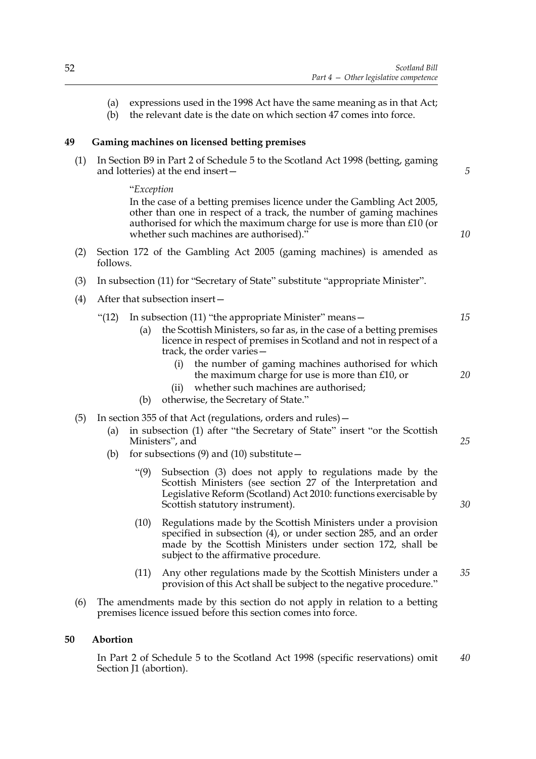- (a) expressions used in the 1998 Act have the same meaning as in that Act;
- (b) the relevant date is the date on which section 47 comes into force.

# **49 Gaming machines on licensed betting premises**

(1) In Section B9 in Part 2 of Schedule 5 to the Scotland Act 1998 (betting, gaming and lotteries) at the end insert—

"*Exception*

In the case of a betting premises licence under the Gambling Act 2005, other than one in respect of a track, the number of gaming machines authorised for which the maximum charge for use is more than £10 (or whether such machines are authorised)."

- (2) Section 172 of the Gambling Act 2005 (gaming machines) is amended as follows.
- (3) In subsection (11) for "Secretary of State" substitute "appropriate Minister".
- (4) After that subsection insert—
	- "(12) In subsection (11) "the appropriate Minister" means—
		- (a) the Scottish Ministers, so far as, in the case of a betting premises licence in respect of premises in Scotland and not in respect of a track, the order varies—
			- (i) the number of gaming machines authorised for which the maximum charge for use is more than £10, or
			- (ii) whether such machines are authorised;
		- (b) otherwise, the Secretary of State."
- (5) In section 355 of that Act (regulations, orders and rules)—
	- (a) in subsection (1) after "the Secretary of State" insert "or the Scottish Ministers", and
	- (b) for subsections  $(9)$  and  $(10)$  substitute  $-$ 
		- "(9) Subsection (3) does not apply to regulations made by the Scottish Ministers (see section 27 of the Interpretation and Legislative Reform (Scotland) Act 2010: functions exercisable by Scottish statutory instrument).
		- (10) Regulations made by the Scottish Ministers under a provision specified in subsection (4), or under section 285, and an order made by the Scottish Ministers under section 172, shall be subject to the affirmative procedure.
		- (11) Any other regulations made by the Scottish Ministers under a provision of this Act shall be subject to the negative procedure." *35*
- (6) The amendments made by this section do not apply in relation to a betting premises licence issued before this section comes into force.

# **50 Abortion**

In Part 2 of Schedule 5 to the Scotland Act 1998 (specific reservations) omit Section J1 (abortion). *40*

*5*

*10*

*15*

*20*

*25*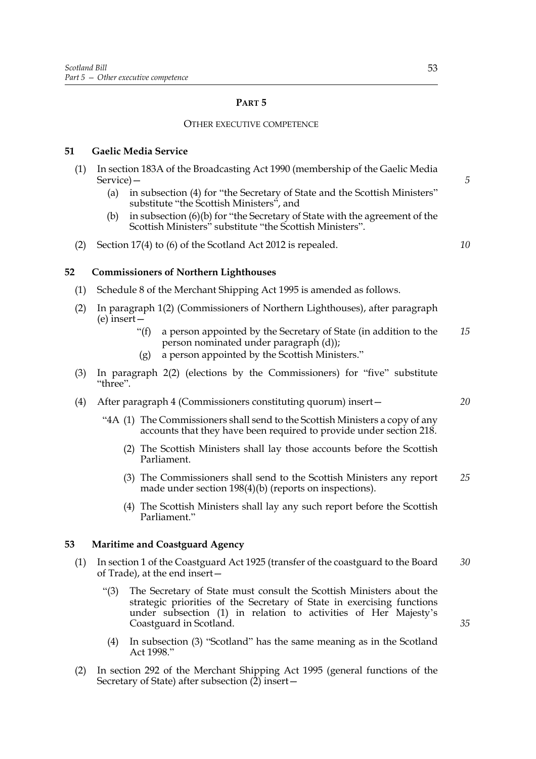# **PART 5**

## OTHER EXECUTIVE COMPETENCE

# **51 Gaelic Media Service**

- (1) In section 183A of the Broadcasting Act 1990 (membership of the Gaelic Media Service)—
	- (a) in subsection (4) for "the Secretary of State and the Scottish Ministers" substitute "the Scottish Ministers", and
	- (b) in subsection (6)(b) for "the Secretary of State with the agreement of the Scottish Ministers" substitute "the Scottish Ministers".
- (2) Section 17(4) to (6) of the Scotland Act 2012 is repealed.

*10*

*20*

*35*

*5*

# **52 Commissioners of Northern Lighthouses**

- (1) Schedule 8 of the Merchant Shipping Act 1995 is amended as follows.
- (2) In paragraph 1(2) (Commissioners of Northern Lighthouses), after paragraph (e) insert—
	- "(f) a person appointed by the Secretary of State (in addition to the person nominated under paragraph (d)); *15*
	- (g) a person appointed by the Scottish Ministers."
- (3) In paragraph 2(2) (elections by the Commissioners) for "five" substitute "three".
- (4) After paragraph 4 (Commissioners constituting quorum) insert—
	- "4A (1) The Commissioners shall send to the Scottish Ministers a copy of any accounts that they have been required to provide under section 218.
		- (2) The Scottish Ministers shall lay those accounts before the Scottish Parliament.
		- (3) The Commissioners shall send to the Scottish Ministers any report made under section 198(4)(b) (reports on inspections). *25*
		- (4) The Scottish Ministers shall lay any such report before the Scottish Parliament."

#### **53 Maritime and Coastguard Agency**

- (1) In section 1 of the Coastguard Act 1925 (transfer of the coastguard to the Board of Trade), at the end insert— *30*
	- "(3) The Secretary of State must consult the Scottish Ministers about the strategic priorities of the Secretary of State in exercising functions under subsection (1) in relation to activities of Her Majesty's Coastguard in Scotland.
	- (4) In subsection (3) "Scotland" has the same meaning as in the Scotland Act 1998."
- (2) In section 292 of the Merchant Shipping Act 1995 (general functions of the Secretary of State) after subsection  $(2)$  insert –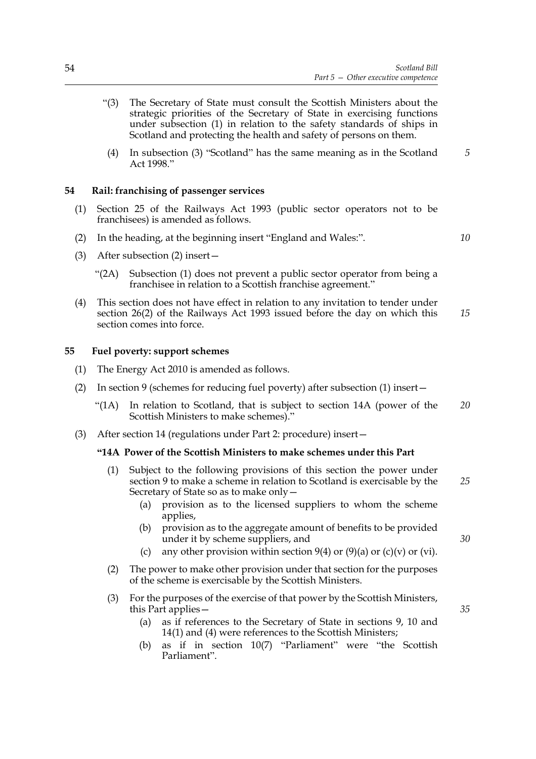- "(3) The Secretary of State must consult the Scottish Ministers about the strategic priorities of the Secretary of State in exercising functions under subsection (1) in relation to the safety standards of ships in Scotland and protecting the health and safety of persons on them.
- (4) In subsection (3) "Scotland" has the same meaning as in the Scotland Act 1998." *5*

#### **54 Rail: franchising of passenger services**

- (1) Section 25 of the Railways Act 1993 (public sector operators not to be franchisees) is amended as follows.
- (2) In the heading, at the beginning insert "England and Wales:".
- (3) After subsection (2) insert—
	- "(2A) Subsection (1) does not prevent a public sector operator from being a franchisee in relation to a Scottish franchise agreement."
- (4) This section does not have effect in relation to any invitation to tender under section 26(2) of the Railways Act 1993 issued before the day on which this section comes into force. *15*

#### **55 Fuel poverty: support schemes**

- (1) The Energy Act 2010 is amended as follows.
- (2) In section 9 (schemes for reducing fuel poverty) after subsection (1) insert—
	- "(1A) In relation to Scotland, that is subject to section 14A (power of the Scottish Ministers to make schemes)." *20*
- (3) After section 14 (regulations under Part 2: procedure) insert—

#### **"14A Power of the Scottish Ministers to make schemes under this Part**

- (1) Subject to the following provisions of this section the power under section 9 to make a scheme in relation to Scotland is exercisable by the Secretary of State so as to make only— *25*
	- (a) provision as to the licensed suppliers to whom the scheme applies,
	- (b) provision as to the aggregate amount of benefits to be provided under it by scheme suppliers, and
	- (c) any other provision within section 9(4) or (9)(a) or (c)(v) or (vi).
- (2) The power to make other provision under that section for the purposes of the scheme is exercisable by the Scottish Ministers.
- (3) For the purposes of the exercise of that power by the Scottish Ministers, this Part applies—
	- (a) as if references to the Secretary of State in sections 9, 10 and 14(1) and (4) were references to the Scottish Ministers;
	- (b) as if in section 10(7) "Parliament" were "the Scottish Parliament".

*35*

*30*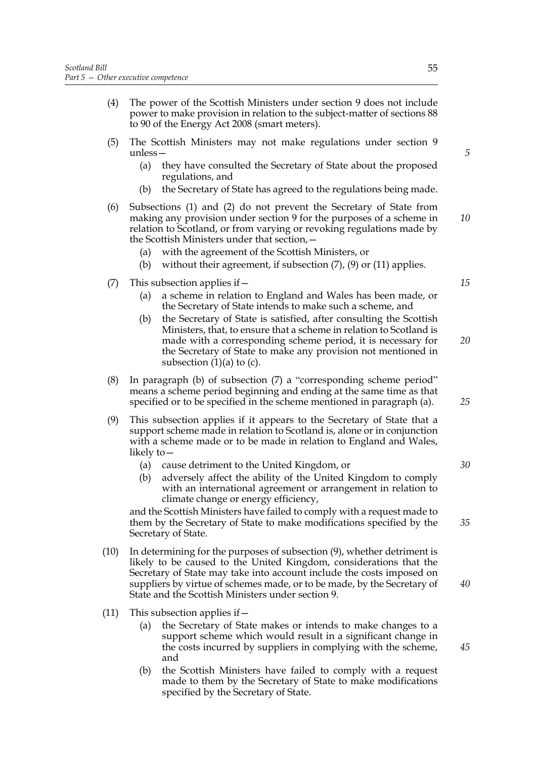- (4) The power of the Scottish Ministers under section 9 does not include power to make provision in relation to the subject-matter of sections 88 to 90 of the Energy Act 2008 (smart meters).
- (5) The Scottish Ministers may not make regulations under section 9 unless—
	- (a) they have consulted the Secretary of State about the proposed regulations, and
	- (b) the Secretary of State has agreed to the regulations being made.
- (6) Subsections (1) and (2) do not prevent the Secretary of State from making any provision under section 9 for the purposes of a scheme in relation to Scotland, or from varying or revoking regulations made by the Scottish Ministers under that section,
	- with the agreement of the Scottish Ministers, or
	- (b) without their agreement, if subsection  $(7)$ ,  $(9)$  or  $(11)$  applies.
- (7) This subsection applies if—
	- (a) a scheme in relation to England and Wales has been made, or the Secretary of State intends to make such a scheme, and
	- (b) the Secretary of State is satisfied, after consulting the Scottish Ministers, that, to ensure that a scheme in relation to Scotland is made with a corresponding scheme period, it is necessary for the Secretary of State to make any provision not mentioned in subsection  $(1)(a)$  to  $(c)$ . *20*
- (8) In paragraph (b) of subsection (7) a "corresponding scheme period" means a scheme period beginning and ending at the same time as that specified or to be specified in the scheme mentioned in paragraph (a).
- (9) This subsection applies if it appears to the Secretary of State that a support scheme made in relation to Scotland is, alone or in conjunction with a scheme made or to be made in relation to England and Wales, likely to—
	- (a) cause detriment to the United Kingdom, or
	- (b) adversely affect the ability of the United Kingdom to comply with an international agreement or arrangement in relation to climate change or energy efficiency,

and the Scottish Ministers have failed to comply with a request made to them by the Secretary of State to make modifications specified by the Secretary of State.

- (10) In determining for the purposes of subsection (9), whether detriment is likely to be caused to the United Kingdom, considerations that the Secretary of State may take into account include the costs imposed on suppliers by virtue of schemes made, or to be made, by the Secretary of State and the Scottish Ministers under section 9.
- (11) This subsection applies if  $-$ 
	- (a) the Secretary of State makes or intends to make changes to a support scheme which would result in a significant change in the costs incurred by suppliers in complying with the scheme, and
	- (b) the Scottish Ministers have failed to comply with a request made to them by the Secretary of State to make modifications specified by the Secretary of State.

*10*

*5*

*15*

*25*

*30*

*35*

*40*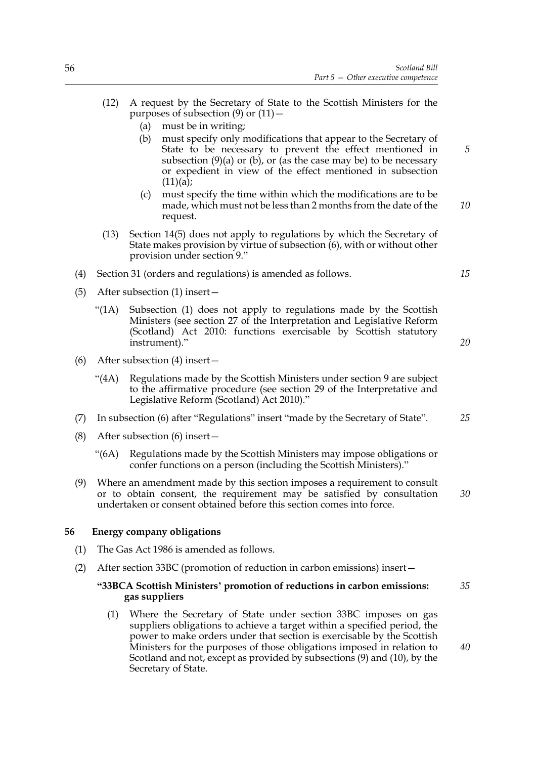- (12) A request by the Secretary of State to the Scottish Ministers for the purposes of subsection  $(9)$  or  $(11)$  –
	- (a) must be in writing;
	- (b) must specify only modifications that appear to the Secretary of State to be necessary to prevent the effect mentioned in subsection  $(9)(a)$  or  $(b)$ , or (as the case may be) to be necessary or expedient in view of the effect mentioned in subsection  $(11)(a);$
	- (c) must specify the time within which the modifications are to be made, which must not be less than 2 months from the date of the request. *10*
- (13) Section 14(5) does not apply to regulations by which the Secretary of State makes provision by virtue of subsection (6), with or without other provision under section 9."
- (4) Section 31 (orders and regulations) is amended as follows.
- (5) After subsection (1) insert—
	- "(1A) Subsection (1) does not apply to regulations made by the Scottish Ministers (see section 27 of the Interpretation and Legislative Reform (Scotland) Act 2010: functions exercisable by Scottish statutory instrument)."
- (6) After subsection (4) insert—
	- "(4A) Regulations made by the Scottish Ministers under section 9 are subject to the affirmative procedure (see section 29 of the Interpretative and Legislative Reform (Scotland) Act 2010)."
- (7) In subsection (6) after "Regulations" insert "made by the Secretary of State". *25*
- (8) After subsection (6) insert—
	- "(6A) Regulations made by the Scottish Ministers may impose obligations or confer functions on a person (including the Scottish Ministers)."
- (9) Where an amendment made by this section imposes a requirement to consult or to obtain consent, the requirement may be satisfied by consultation undertaken or consent obtained before this section comes into force. *30*

#### **56 Energy company obligations**

- (1) The Gas Act 1986 is amended as follows.
- (2) After section 33BC (promotion of reduction in carbon emissions) insert—

#### **"33BCA Scottish Ministers' promotion of reductions in carbon emissions: gas suppliers** *35*

(1) Where the Secretary of State under section 33BC imposes on gas suppliers obligations to achieve a target within a specified period, the power to make orders under that section is exercisable by the Scottish Ministers for the purposes of those obligations imposed in relation to Scotland and not, except as provided by subsections (9) and (10), by the Secretary of State.

*15*

*5*

*20*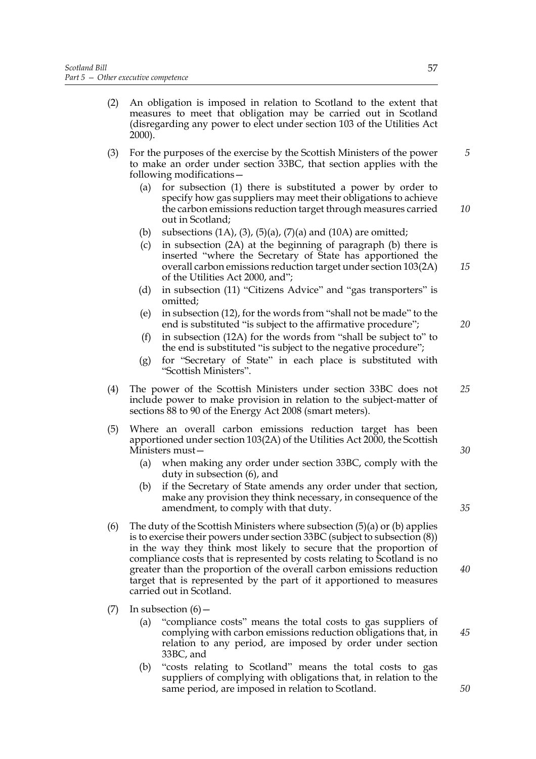- (2) An obligation is imposed in relation to Scotland to the extent that measures to meet that obligation may be carried out in Scotland (disregarding any power to elect under section 103 of the Utilities Act 2000).
- (3) For the purposes of the exercise by the Scottish Ministers of the power to make an order under section 33BC, that section applies with the following modifications—
	- (a) for subsection (1) there is substituted a power by order to specify how gas suppliers may meet their obligations to achieve the carbon emissions reduction target through measures carried out in Scotland; *10*
	- (b) subsections  $(1A)$ ,  $(3)$ ,  $(5)(a)$ ,  $(7)(a)$  and  $(10A)$  are omitted;
	- (c) in subsection (2A) at the beginning of paragraph (b) there is inserted "where the Secretary of State has apportioned the overall carbon emissions reduction target under section 103(2A) of the Utilities Act 2000, and";
	- (d) in subsection (11) "Citizens Advice" and "gas transporters" is omitted;
	- (e) in subsection (12), for the words from "shall not be made" to the end is substituted "is subject to the affirmative procedure";
	- (f) in subsection (12A) for the words from "shall be subject to" to the end is substituted "is subject to the negative procedure";
	- (g) for "Secretary of State" in each place is substituted with "Scottish Ministers".
- (4) The power of the Scottish Ministers under section 33BC does not include power to make provision in relation to the subject-matter of sections 88 to 90 of the Energy Act 2008 (smart meters). *25*
- (5) Where an overall carbon emissions reduction target has been apportioned under section 103(2A) of the Utilities Act 2000, the Scottish Ministers must—
	- (a) when making any order under section 33BC, comply with the duty in subsection (6), and
	- (b) if the Secretary of State amends any order under that section, make any provision they think necessary, in consequence of the amendment, to comply with that duty.
- (6) The duty of the Scottish Ministers where subsection  $(5)(a)$  or  $(b)$  applies is to exercise their powers under section 33BC (subject to subsection (8)) in the way they think most likely to secure that the proportion of compliance costs that is represented by costs relating to Scotland is no greater than the proportion of the overall carbon emissions reduction target that is represented by the part of it apportioned to measures carried out in Scotland.
- (7) In subsection  $(6)$ 
	- (a) "compliance costs" means the total costs to gas suppliers of complying with carbon emissions reduction obligations that, in relation to any period, are imposed by order under section 33BC, and
	- (b) "costs relating to Scotland" means the total costs to gas suppliers of complying with obligations that, in relation to the same period, are imposed in relation to Scotland.

*5*

*15*

*20*

*30*

*40*

*35*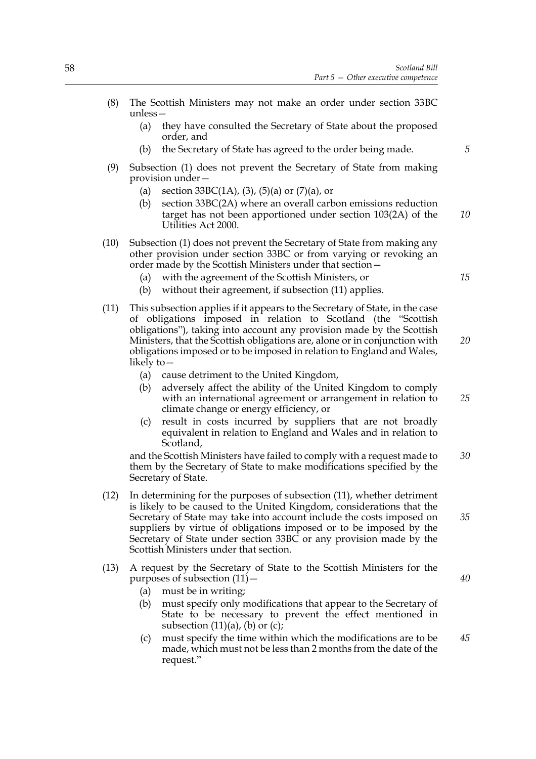- (8) The Scottish Ministers may not make an order under section 33BC unless—
	- (a) they have consulted the Secretary of State about the proposed order, and
	- (b) the Secretary of State has agreed to the order being made.
- (9) Subsection (1) does not prevent the Secretary of State from making provision under—
	- (a) section  $33BC(1A)$ , (3), (5)(a) or (7)(a), or
	- (b) section 33BC(2A) where an overall carbon emissions reduction target has not been apportioned under section 103(2A) of the Utilities Act 2000. *10*
- (10) Subsection (1) does not prevent the Secretary of State from making any other provision under section 33BC or from varying or revoking an order made by the Scottish Ministers under that section—
	- (a) with the agreement of the Scottish Ministers, or
	- (b) without their agreement, if subsection (11) applies.
- (11) This subsection applies if it appears to the Secretary of State, in the case of obligations imposed in relation to Scotland (the "Scottish obligations"), taking into account any provision made by the Scottish Ministers, that the Scottish obligations are, alone or in conjunction with obligations imposed or to be imposed in relation to England and Wales, likely to— *20*
	- (a) cause detriment to the United Kingdom,
	- (b) adversely affect the ability of the United Kingdom to comply with an international agreement or arrangement in relation to climate change or energy efficiency, or *25*
	- (c) result in costs incurred by suppliers that are not broadly equivalent in relation to England and Wales and in relation to Scotland,

and the Scottish Ministers have failed to comply with a request made to them by the Secretary of State to make modifications specified by the Secretary of State. *30*

- (12) In determining for the purposes of subsection (11), whether detriment is likely to be caused to the United Kingdom, considerations that the Secretary of State may take into account include the costs imposed on suppliers by virtue of obligations imposed or to be imposed by the Secretary of State under section 33BC or any provision made by the Scottish Ministers under that section.
- (13) A request by the Secretary of State to the Scottish Ministers for the purposes of subsection  $(11)$  –
	- (a) must be in writing;
	- (b) must specify only modifications that appear to the Secretary of State to be necessary to prevent the effect mentioned in subsection  $(11)(a)$ ,  $(b)$  or  $(c)$ ;
	- (c) must specify the time within which the modifications are to be made, which must not be less than 2 months from the date of the request." *45*

*40*

*35*

*5*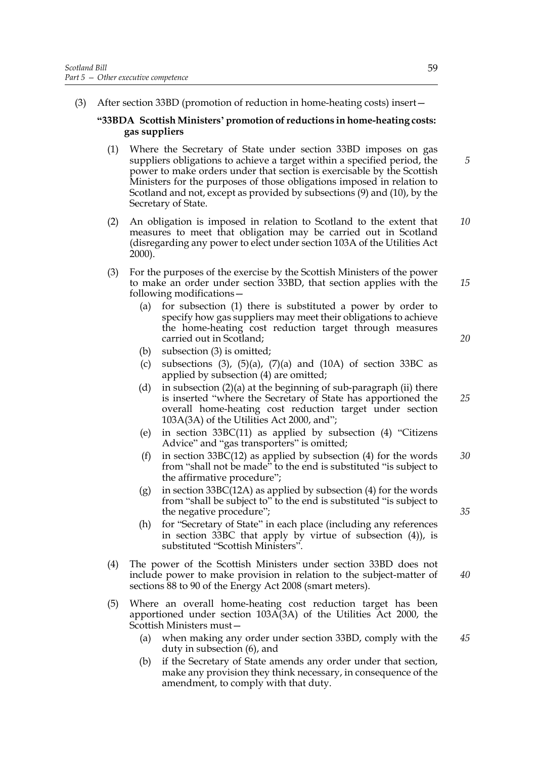(3) After section 33BD (promotion of reduction in home-heating costs) insert—

## **"33BDA Scottish Ministers' promotion of reductions in home-heating costs: gas suppliers**

- (1) Where the Secretary of State under section 33BD imposes on gas suppliers obligations to achieve a target within a specified period, the power to make orders under that section is exercisable by the Scottish Ministers for the purposes of those obligations imposed in relation to Scotland and not, except as provided by subsections (9) and (10), by the Secretary of State.
- (2) An obligation is imposed in relation to Scotland to the extent that measures to meet that obligation may be carried out in Scotland (disregarding any power to elect under section 103A of the Utilities Act 2000). *10*
- (3) For the purposes of the exercise by the Scottish Ministers of the power to make an order under section 33BD, that section applies with the following modifications—
	- (a) for subsection (1) there is substituted a power by order to specify how gas suppliers may meet their obligations to achieve the home-heating cost reduction target through measures carried out in Scotland;
	- (b) subsection (3) is omitted;
	- (c) subsections  $(3)$ ,  $(5)(a)$ ,  $(7)(a)$  and  $(10A)$  of section 33BC as applied by subsection (4) are omitted;
	- (d) in subsection  $(2)(a)$  at the beginning of sub-paragraph (ii) there is inserted "where the Secretary of State has apportioned the overall home-heating cost reduction target under section 103A(3A) of the Utilities Act 2000, and";
	- (e) in section 33BC(11) as applied by subsection (4) "Citizens Advice" and "gas transporters" is omitted;
	- (f) in section  $33BC(12)$  as applied by subsection (4) for the words from "shall not be made" to the end is substituted "is subject to the affirmative procedure"; *30*
	- (g) in section 33BC(12A) as applied by subsection  $(4)$  for the words from "shall be subject to" to the end is substituted "is subject to the negative procedure";
	- (h) for "Secretary of State" in each place (including any references in section 33BC that apply by virtue of subsection (4)), is substituted "Scottish Ministers".
- (4) The power of the Scottish Ministers under section 33BD does not include power to make provision in relation to the subject-matter of sections 88 to 90 of the Energy Act 2008 (smart meters). *40*
- (5) Where an overall home-heating cost reduction target has been apportioned under section 103A(3A) of the Utilities Act 2000, the Scottish Ministers must—
	- (a) when making any order under section 33BD, comply with the duty in subsection (6), and *45*
	- (b) if the Secretary of State amends any order under that section, make any provision they think necessary, in consequence of the amendment, to comply with that duty.

*5*

*15*

*20*

*25*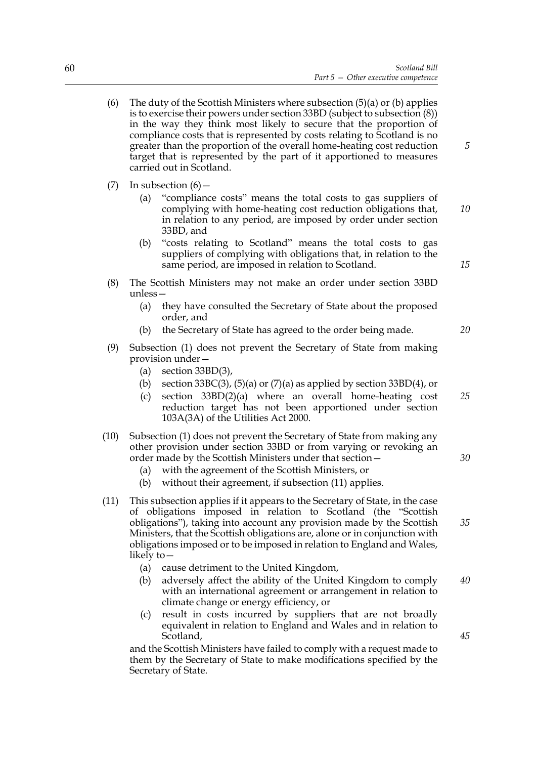- (6) The duty of the Scottish Ministers where subsection  $(5)(a)$  or  $(b)$  applies is to exercise their powers under section 33BD (subject to subsection (8)) in the way they think most likely to secure that the proportion of compliance costs that is represented by costs relating to Scotland is no greater than the proportion of the overall home-heating cost reduction target that is represented by the part of it apportioned to measures carried out in Scotland.
- (7) In subsection  $(6)$ 
	- (a) "compliance costs" means the total costs to gas suppliers of complying with home-heating cost reduction obligations that, in relation to any period, are imposed by order under section 33BD, and *10*
	- (b) "costs relating to Scotland" means the total costs to gas suppliers of complying with obligations that, in relation to the same period, are imposed in relation to Scotland.
- (8) The Scottish Ministers may not make an order under section 33BD unless—
	- (a) they have consulted the Secretary of State about the proposed order, and
	- (b) the Secretary of State has agreed to the order being made.
- (9) Subsection (1) does not prevent the Secretary of State from making provision under—
	- (a) section  $33BD(3)$ ,
	- (b) section 33BC(3), (5)(a) or  $(7)$ (a) as applied by section 33BD(4), or
	- (c) section 33BD(2)(a) where an overall home-heating cost reduction target has not been apportioned under section 103A(3A) of the Utilities Act 2000.
- (10) Subsection (1) does not prevent the Secretary of State from making any other provision under section 33BD or from varying or revoking an order made by the Scottish Ministers under that section—
	- (a) with the agreement of the Scottish Ministers, or
	- (b) without their agreement, if subsection (11) applies.
- (11) This subsection applies if it appears to the Secretary of State, in the case of obligations imposed in relation to Scotland (the "Scottish obligations"), taking into account any provision made by the Scottish Ministers, that the Scottish obligations are, alone or in conjunction with obligations imposed or to be imposed in relation to England and Wales, likely to—
	- (a) cause detriment to the United Kingdom,
	- (b) adversely affect the ability of the United Kingdom to comply with an international agreement or arrangement in relation to climate change or energy efficiency, or *40*
	- (c) result in costs incurred by suppliers that are not broadly equivalent in relation to England and Wales and in relation to Scotland,

and the Scottish Ministers have failed to comply with a request made to them by the Secretary of State to make modifications specified by the Secretary of State.

*15*

*5*



*30*

*25*

*35*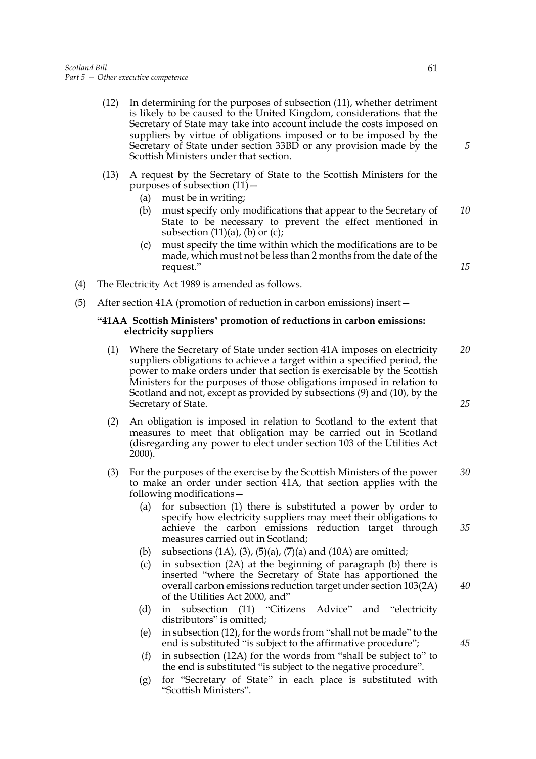- (12) In determining for the purposes of subsection (11), whether detriment is likely to be caused to the United Kingdom, considerations that the Secretary of State may take into account include the costs imposed on suppliers by virtue of obligations imposed or to be imposed by the Secretary of State under section 33BD or any provision made by the Scottish Ministers under that section.
- (13) A request by the Secretary of State to the Scottish Ministers for the purposes of subsection  $(11)$  –
	- (a) must be in writing;
	- (b) must specify only modifications that appear to the Secretary of State to be necessary to prevent the effect mentioned in subsection  $(11)(a)$ ,  $(b)$  or  $(c)$ ; *10*
	- (c) must specify the time within which the modifications are to be made, which must not be less than 2 months from the date of the request."
- (4) The Electricity Act 1989 is amended as follows.
- (5) After section 41A (promotion of reduction in carbon emissions) insert—

## **"41AA Scottish Ministers' promotion of reductions in carbon emissions: electricity suppliers**

- (1) Where the Secretary of State under section 41A imposes on electricity suppliers obligations to achieve a target within a specified period, the power to make orders under that section is exercisable by the Scottish Ministers for the purposes of those obligations imposed in relation to Scotland and not, except as provided by subsections (9) and (10), by the Secretary of State. *20*
- (2) An obligation is imposed in relation to Scotland to the extent that measures to meet that obligation may be carried out in Scotland (disregarding any power to elect under section 103 of the Utilities Act 2000).
- (3) For the purposes of the exercise by the Scottish Ministers of the power to make an order under section 41A, that section applies with the following modifications— *30*
	- (a) for subsection (1) there is substituted a power by order to specify how electricity suppliers may meet their obligations to achieve the carbon emissions reduction target through measures carried out in Scotland;
	- (b) subsections  $(1A)$ ,  $(3)$ ,  $(5)(a)$ ,  $(7)(a)$  and  $(10A)$  are omitted;
	- (c) in subsection (2A) at the beginning of paragraph (b) there is inserted "where the Secretary of State has apportioned the overall carbon emissions reduction target under section 103(2A) of the Utilities Act 2000, and"
	- (d) in subsection (11) "Citizens Advice" and "electricity distributors" is omitted;
	- (e) in subsection (12), for the words from "shall not be made" to the end is substituted "is subject to the affirmative procedure";
	- (f) in subsection (12A) for the words from "shall be subject to" to the end is substituted "is subject to the negative procedure".
	- (g) for "Secretary of State" in each place is substituted with "Scottish Ministers".

*15*

*5*

*25*

*35*

*40*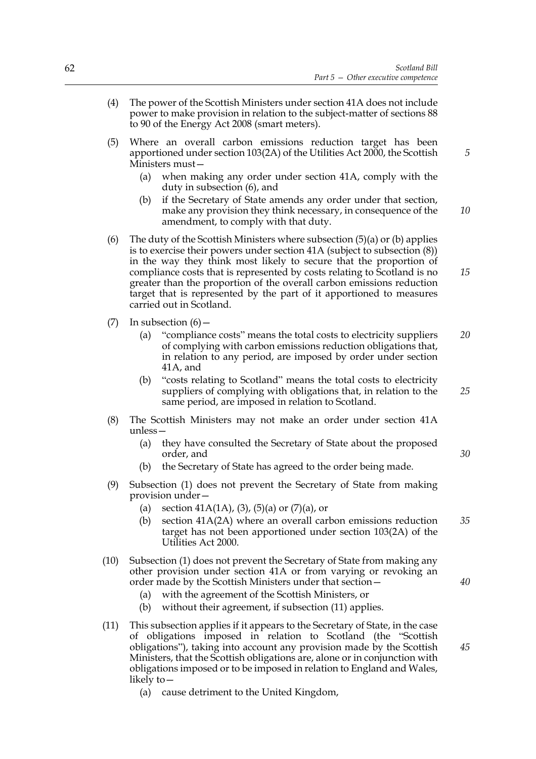*5*

*25*

*30*

- (4) The power of the Scottish Ministers under section 41A does not include power to make provision in relation to the subject-matter of sections 88 to 90 of the Energy Act 2008 (smart meters).
- (5) Where an overall carbon emissions reduction target has been apportioned under section 103(2A) of the Utilities Act 2000, the Scottish Ministers must—
	- (a) when making any order under section 41A, comply with the duty in subsection (6), and
	- (b) if the Secretary of State amends any order under that section, make any provision they think necessary, in consequence of the amendment, to comply with that duty. *10*
- (6) The duty of the Scottish Ministers where subsection  $(5)(a)$  or (b) applies is to exercise their powers under section 41A (subject to subsection (8)) in the way they think most likely to secure that the proportion of compliance costs that is represented by costs relating to Scotland is no greater than the proportion of the overall carbon emissions reduction target that is represented by the part of it apportioned to measures carried out in Scotland. *15*
- (7) In subsection  $(6)$ 
	- (a) "compliance costs" means the total costs to electricity suppliers of complying with carbon emissions reduction obligations that, in relation to any period, are imposed by order under section 41A, and *20*
	- (b) "costs relating to Scotland" means the total costs to electricity suppliers of complying with obligations that, in relation to the same period, are imposed in relation to Scotland.
- (8) The Scottish Ministers may not make an order under section 41A unless—
	- (a) they have consulted the Secretary of State about the proposed order, and
	- (b) the Secretary of State has agreed to the order being made.
- (9) Subsection (1) does not prevent the Secretary of State from making provision under—
	- (a) section  $41A(1A)$ , (3), (5)(a) or (7)(a), or
	- (b) section 41A(2A) where an overall carbon emissions reduction target has not been apportioned under section 103(2A) of the Utilities Act 2000. *35*
- (10) Subsection (1) does not prevent the Secretary of State from making any other provision under section 41A or from varying or revoking an order made by the Scottish Ministers under that section—
	- (a) with the agreement of the Scottish Ministers, or
	- (b) without their agreement, if subsection (11) applies.
- (11) This subsection applies if it appears to the Secretary of State, in the case of obligations imposed in relation to Scotland (the "Scottish obligations"), taking into account any provision made by the Scottish Ministers, that the Scottish obligations are, alone or in conjunction with obligations imposed or to be imposed in relation to England and Wales, likely to— *45*
	- (a) cause detriment to the United Kingdom,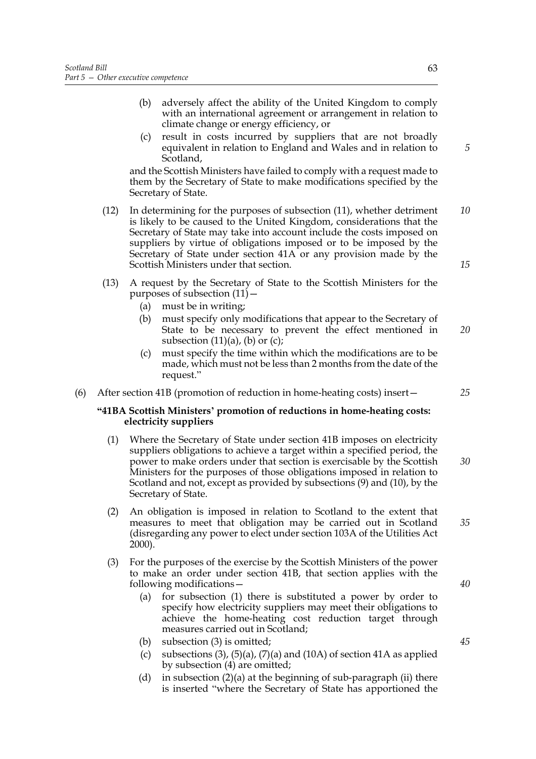- (b) adversely affect the ability of the United Kingdom to comply with an international agreement or arrangement in relation to climate change or energy efficiency, or
- (c) result in costs incurred by suppliers that are not broadly equivalent in relation to England and Wales and in relation to Scotland,

and the Scottish Ministers have failed to comply with a request made to them by the Secretary of State to make modifications specified by the Secretary of State.

- (12) In determining for the purposes of subsection (11), whether detriment is likely to be caused to the United Kingdom, considerations that the Secretary of State may take into account include the costs imposed on suppliers by virtue of obligations imposed or to be imposed by the Secretary of State under section 41A or any provision made by the Scottish Ministers under that section. *10 15*
- (13) A request by the Secretary of State to the Scottish Ministers for the purposes of subsection  $(11)$  –
	- (a) must be in writing;
	- (b) must specify only modifications that appear to the Secretary of State to be necessary to prevent the effect mentioned in subsection  $(11)(a)$ ,  $(b)$  or  $(c)$ ; *20*
	- (c) must specify the time within which the modifications are to be made, which must not be less than 2 months from the date of the request."
- (6) After section 41B (promotion of reduction in home-heating costs) insert—

## **"41BA Scottish Ministers' promotion of reductions in home-heating costs: electricity suppliers**

- (1) Where the Secretary of State under section 41B imposes on electricity suppliers obligations to achieve a target within a specified period, the power to make orders under that section is exercisable by the Scottish Ministers for the purposes of those obligations imposed in relation to Scotland and not, except as provided by subsections (9) and (10), by the Secretary of State. *30*
- (2) An obligation is imposed in relation to Scotland to the extent that measures to meet that obligation may be carried out in Scotland (disregarding any power to elect under section 103A of the Utilities Act 2000).
- (3) For the purposes of the exercise by the Scottish Ministers of the power to make an order under section 41B, that section applies with the following modifications—
	- (a) for subsection (1) there is substituted a power by order to specify how electricity suppliers may meet their obligations to achieve the home-heating cost reduction target through measures carried out in Scotland;
	- (b) subsection (3) is omitted;
	- (c) subsections  $(3)$ ,  $(5)(a)$ ,  $(7)(a)$  and  $(10A)$  of section 41A as applied by subsection (4) are omitted;
	- (d) in subsection  $(2)(a)$  at the beginning of sub-paragraph (ii) there is inserted "where the Secretary of State has apportioned the

*5*

*35*

*25*

*40*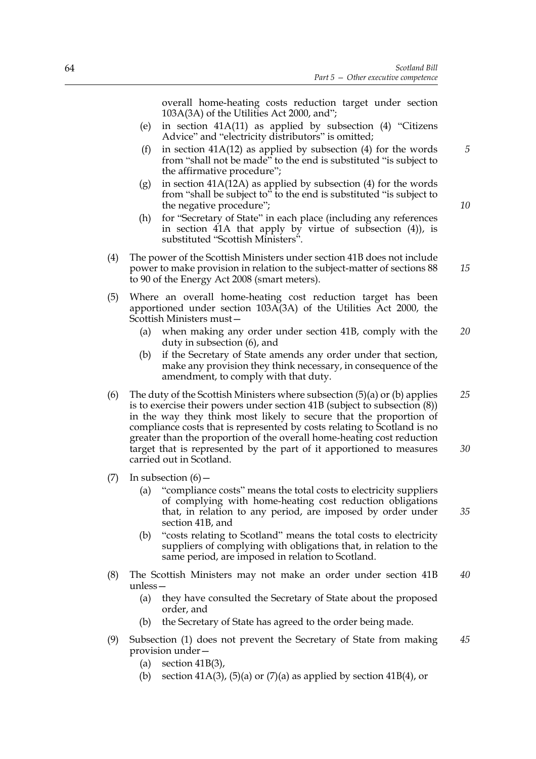overall home-heating costs reduction target under section 103A(3A) of the Utilities Act 2000, and";

- (e) in section 41A(11) as applied by subsection (4) "Citizens Advice" and "electricity distributors" is omitted;
- (f) in section  $41A(12)$  as applied by subsection (4) for the words from "shall not be made" to the end is substituted "is subject to the affirmative procedure";
- (g) in section  $41A(12A)$  as applied by subsection (4) for the words from "shall be subject to" to the end is substituted "is subject to the negative procedure";
- (h) for "Secretary of State" in each place (including any references in section 41A that apply by virtue of subsection (4)), is substituted "Scottish Ministers".
- (4) The power of the Scottish Ministers under section 41B does not include power to make provision in relation to the subject-matter of sections 88 to 90 of the Energy Act 2008 (smart meters).
- (5) Where an overall home-heating cost reduction target has been apportioned under section 103A(3A) of the Utilities Act 2000, the Scottish Ministers must—
	- (a) when making any order under section 41B, comply with the duty in subsection (6), and *20*
	- (b) if the Secretary of State amends any order under that section, make any provision they think necessary, in consequence of the amendment, to comply with that duty.
- (6) The duty of the Scottish Ministers where subsection  $(5)(a)$  or  $(b)$  applies is to exercise their powers under section 41B (subject to subsection (8)) in the way they think most likely to secure that the proportion of compliance costs that is represented by costs relating to Scotland is no greater than the proportion of the overall home-heating cost reduction target that is represented by the part of it apportioned to measures carried out in Scotland. *25 30*
- (7) In subsection  $(6)$  -
	- (a) "compliance costs" means the total costs to electricity suppliers of complying with home-heating cost reduction obligations that, in relation to any period, are imposed by order under section 41B, and
	- (b) "costs relating to Scotland" means the total costs to electricity suppliers of complying with obligations that, in relation to the same period, are imposed in relation to Scotland.
- (8) The Scottish Ministers may not make an order under section 41B unless— *40*
	- (a) they have consulted the Secretary of State about the proposed order, and
	- (b) the Secretary of State has agreed to the order being made.
- (9) Subsection (1) does not prevent the Secretary of State from making provision under— *45*
	- (a) section  $41B(3)$ ,
	- (b) section 41A(3), (5)(a) or (7)(a) as applied by section 41B(4), or

*10*

*15*

*35*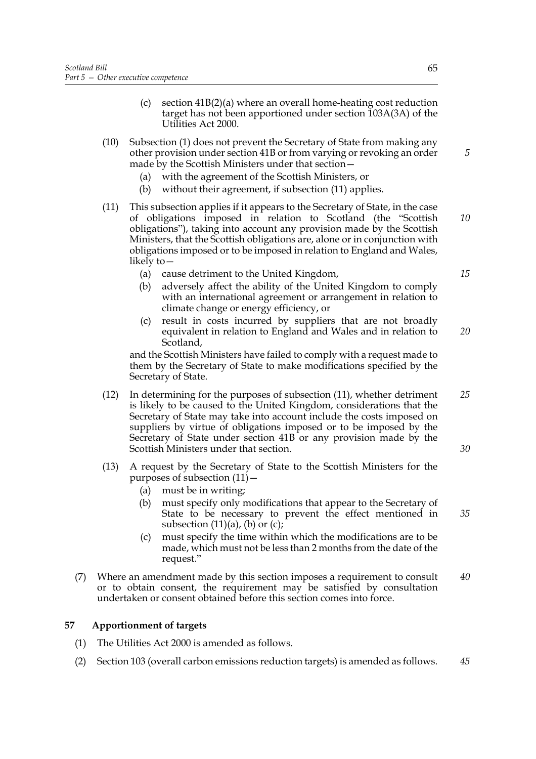- (c) section 41B(2)(a) where an overall home-heating cost reduction target has not been apportioned under section 103A(3A) of the Utilities Act 2000.
- (10) Subsection (1) does not prevent the Secretary of State from making any other provision under section 41B or from varying or revoking an order made by the Scottish Ministers under that section—
	- (a) with the agreement of the Scottish Ministers, or
	- (b) without their agreement, if subsection (11) applies.
- (11) This subsection applies if it appears to the Secretary of State, in the case of obligations imposed in relation to Scotland (the "Scottish obligations"), taking into account any provision made by the Scottish Ministers, that the Scottish obligations are, alone or in conjunction with obligations imposed or to be imposed in relation to England and Wales, likely to— *10*
	- (a) cause detriment to the United Kingdom,
	- (b) adversely affect the ability of the United Kingdom to comply with an international agreement or arrangement in relation to climate change or energy efficiency, or
	- (c) result in costs incurred by suppliers that are not broadly equivalent in relation to England and Wales and in relation to Scotland, *20*

and the Scottish Ministers have failed to comply with a request made to them by the Secretary of State to make modifications specified by the Secretary of State.

- (12) In determining for the purposes of subsection (11), whether detriment is likely to be caused to the United Kingdom, considerations that the Secretary of State may take into account include the costs imposed on suppliers by virtue of obligations imposed or to be imposed by the Secretary of State under section 41B or any provision made by the Scottish Ministers under that section. *25*
- (13) A request by the Secretary of State to the Scottish Ministers for the purposes of subsection  $(11)$  –
	- (a) must be in writing;
	- (b) must specify only modifications that appear to the Secretary of State to be necessary to prevent the effect mentioned in subsection  $(11)(a)$ ,  $(b)$  or  $(c)$ ;
	- (c) must specify the time within which the modifications are to be made, which must not be less than 2 months from the date of the request."
- (7) Where an amendment made by this section imposes a requirement to consult or to obtain consent, the requirement may be satisfied by consultation undertaken or consent obtained before this section comes into force. *40*

# **57 Apportionment of targets**

- (1) The Utilities Act 2000 is amended as follows.
- (2) Section 103 (overall carbon emissions reduction targets) is amended as follows. *45*

*15*

*5*

*30*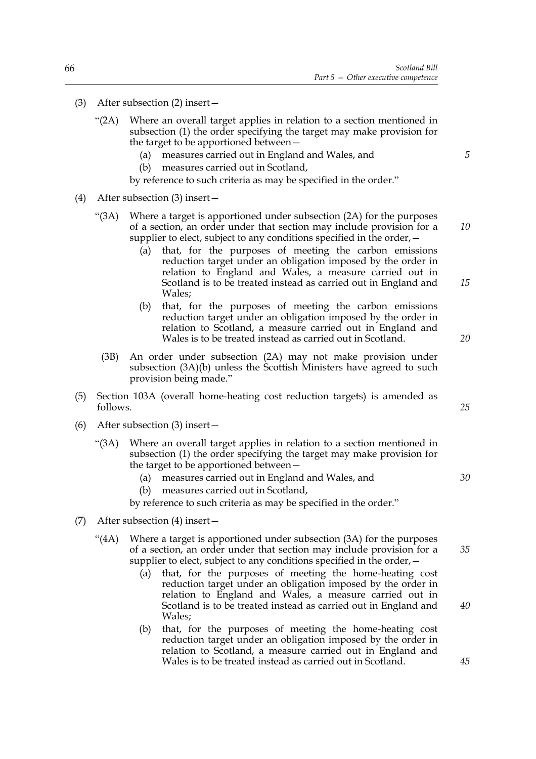- (3) After subsection (2) insert—
	- "(2A) Where an overall target applies in relation to a section mentioned in subsection (1) the order specifying the target may make provision for the target to be apportioned between—
		- (a) measures carried out in England and Wales, and
		- (b) measures carried out in Scotland,

by reference to such criteria as may be specified in the order."

- (4) After subsection (3) insert—
	- "(3A) Where a target is apportioned under subsection (2A) for the purposes of a section, an order under that section may include provision for a supplier to elect, subject to any conditions specified in the order,—
		- (a) that, for the purposes of meeting the carbon emissions reduction target under an obligation imposed by the order in relation to England and Wales, a measure carried out in Scotland is to be treated instead as carried out in England and Wales;
		- (b) that, for the purposes of meeting the carbon emissions reduction target under an obligation imposed by the order in relation to Scotland, a measure carried out in England and Wales is to be treated instead as carried out in Scotland.
		- (3B) An order under subsection (2A) may not make provision under subsection (3A)(b) unless the Scottish Ministers have agreed to such provision being made."
- (5) Section 103A (overall home-heating cost reduction targets) is amended as follows.
- (6) After subsection (3) insert—
	- "(3A) Where an overall target applies in relation to a section mentioned in subsection (1) the order specifying the target may make provision for the target to be apportioned between—
		- (a) measures carried out in England and Wales, and
		- (b) measures carried out in Scotland,
		- by reference to such criteria as may be specified in the order."
- (7) After subsection (4) insert—
	- "(4A) Where a target is apportioned under subsection (3A) for the purposes of a section, an order under that section may include provision for a supplier to elect, subject to any conditions specified in the order,—
		- (a) that, for the purposes of meeting the home-heating cost reduction target under an obligation imposed by the order in relation to England and Wales, a measure carried out in Scotland is to be treated instead as carried out in England and Wales;
		- (b) that, for the purposes of meeting the home-heating cost reduction target under an obligation imposed by the order in relation to Scotland, a measure carried out in England and Wales is to be treated instead as carried out in Scotland.

*5*

*10*

*20*

*15*

*25*

*30*

*35*

*40*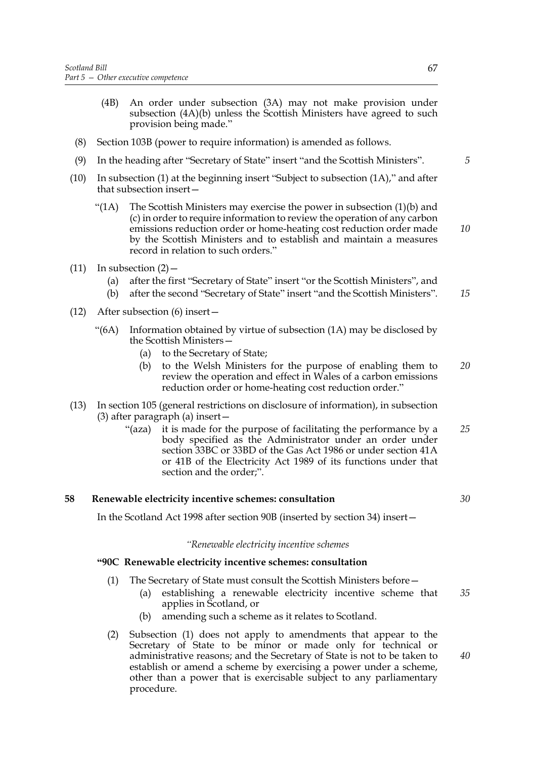- (4B) An order under subsection (3A) may not make provision under subsection (4A)(b) unless the Scottish Ministers have agreed to such provision being made."
- (8) Section 103B (power to require information) is amended as follows.
- (9) In the heading after "Secretary of State" insert "and the Scottish Ministers".
- (10) In subsection (1) at the beginning insert "Subject to subsection (1A)," and after that subsection insert—
	- " $(1)$  The Scottish Ministers may exercise the power in subsection  $(1)(b)$  and (c) in order to require information to review the operation of any carbon emissions reduction order or home-heating cost reduction order made by the Scottish Ministers and to establish and maintain a measures record in relation to such orders."
- (11) In subsection  $(2)$ 
	- (a) after the first "Secretary of State" insert "or the Scottish Ministers", and
	- (b) after the second "Secretary of State" insert "and the Scottish Ministers". *15*
- (12) After subsection (6) insert—
	- "(6A) Information obtained by virtue of subsection (1A) may be disclosed by the Scottish Ministers—
		- (a) to the Secretary of State;
		- (b) to the Welsh Ministers for the purpose of enabling them to review the operation and effect in Wales of a carbon emissions reduction order or home-heating cost reduction order." *20*
- (13) In section 105 (general restrictions on disclosure of information), in subsection (3) after paragraph (a) insert—
	- "(aza) it is made for the purpose of facilitating the performance by a body specified as the Administrator under an order under section 33BC or 33BD of the Gas Act 1986 or under section 41A or 41B of the Electricity Act 1989 of its functions under that section and the order;". *25*

#### **58 Renewable electricity incentive schemes: consultation**

In the Scotland Act 1998 after section 90B (inserted by section 34) insert—

#### *"Renewable electricity incentive schemes*

#### **"90C Renewable electricity incentive schemes: consultation**

- (1) The Secretary of State must consult the Scottish Ministers before—
	- (a) establishing a renewable electricity incentive scheme that applies in Scotland, or *35*
	- (b) amending such a scheme as it relates to Scotland.
- (2) Subsection (1) does not apply to amendments that appear to the Secretary of State to be minor or made only for technical or administrative reasons; and the Secretary of State is not to be taken to establish or amend a scheme by exercising a power under a scheme, other than a power that is exercisable subject to any parliamentary procedure.

*5*

*10*

*40*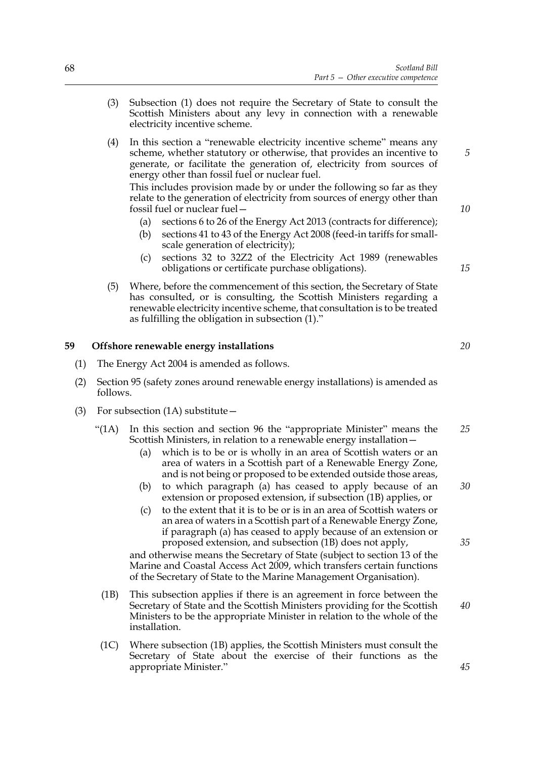- (3) Subsection (1) does not require the Secretary of State to consult the Scottish Ministers about any levy in connection with a renewable electricity incentive scheme.
- (4) In this section a "renewable electricity incentive scheme" means any scheme, whether statutory or otherwise, that provides an incentive to generate, or facilitate the generation of, electricity from sources of energy other than fossil fuel or nuclear fuel.

This includes provision made by or under the following so far as they relate to the generation of electricity from sources of energy other than fossil fuel or nuclear fuel—

- (a) sections 6 to 26 of the Energy Act 2013 (contracts for difference);
- (b) sections 41 to 43 of the Energy Act 2008 (feed-in tariffs for smallscale generation of electricity);
- (c) sections 32 to 32Z2 of the Electricity Act 1989 (renewables obligations or certificate purchase obligations).
- (5) Where, before the commencement of this section, the Secretary of State has consulted, or is consulting, the Scottish Ministers regarding a renewable electricity incentive scheme, that consultation is to be treated as fulfilling the obligation in subsection (1)."

## **59 Offshore renewable energy installations**

- (1) The Energy Act 2004 is amended as follows.
- (2) Section 95 (safety zones around renewable energy installations) is amended as follows.
- (3) For subsection (1A) substitute  $-$ 
	- "(1A) In this section and section 96 the "appropriate Minister" means the Scottish Ministers, in relation to a renewable energy installation— *25*
		- (a) which is to be or is wholly in an area of Scottish waters or an area of waters in a Scottish part of a Renewable Energy Zone, and is not being or proposed to be extended outside those areas,
		- (b) to which paragraph (a) has ceased to apply because of an extension or proposed extension, if subsection (1B) applies, or
		- (c) to the extent that it is to be or is in an area of Scottish waters or an area of waters in a Scottish part of a Renewable Energy Zone, if paragraph (a) has ceased to apply because of an extension or proposed extension, and subsection (1B) does not apply,

and otherwise means the Secretary of State (subject to section 13 of the Marine and Coastal Access Act 2009, which transfers certain functions of the Secretary of State to the Marine Management Organisation).

- (1B) This subsection applies if there is an agreement in force between the Secretary of State and the Scottish Ministers providing for the Scottish Ministers to be the appropriate Minister in relation to the whole of the installation.
- (1C) Where subsection (1B) applies, the Scottish Ministers must consult the Secretary of State about the exercise of their functions as the appropriate Minister."

*10*

*15*

*5*

*20*

*30*

*35*

*45*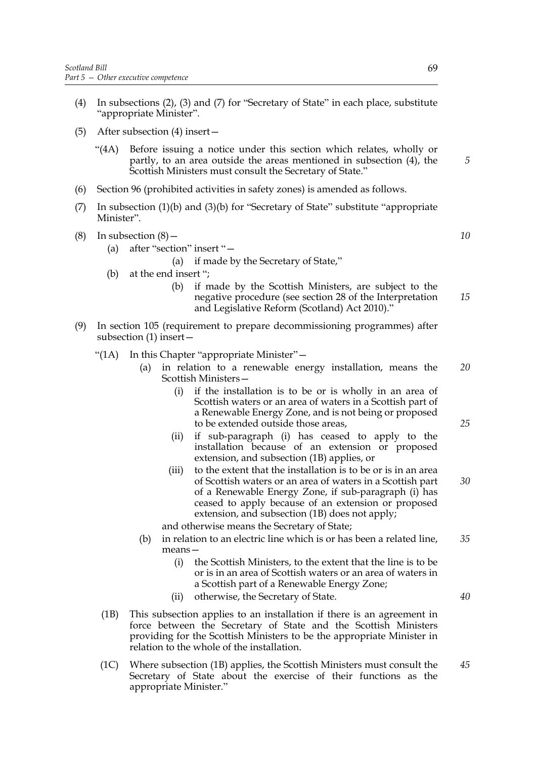- (4) In subsections (2), (3) and (7) for "Secretary of State" in each place, substitute "appropriate Minister".
- (5) After subsection (4) insert—
	- "(4A) Before issuing a notice under this section which relates, wholly or partly, to an area outside the areas mentioned in subsection (4), the Scottish Ministers must consult the Secretary of State."
- (6) Section 96 (prohibited activities in safety zones) is amended as follows.
- (7) In subsection (1)(b) and (3)(b) for "Secretary of State" substitute "appropriate Minister".
- (8) In subsection  $(8)$ 
	- (a) after "section" insert "—
		- (a) if made by the Secretary of State,"
	- (b) at the end insert ";
		- (b) if made by the Scottish Ministers, are subject to the negative procedure (see section 28 of the Interpretation and Legislative Reform (Scotland) Act 2010)."
- (9) In section 105 (requirement to prepare decommissioning programmes) after subsection (1) insert—
	- "(1A) In this Chapter "appropriate Minister"—
		- (a) in relation to a renewable energy installation, means the Scottish Ministers— *20*
			- (i) if the installation is to be or is wholly in an area of Scottish waters or an area of waters in a Scottish part of a Renewable Energy Zone, and is not being or proposed to be extended outside those areas,
			- (ii) if sub-paragraph (i) has ceased to apply to the installation because of an extension or proposed extension, and subsection (1B) applies, or
			- (iii) to the extent that the installation is to be or is in an area of Scottish waters or an area of waters in a Scottish part of a Renewable Energy Zone, if sub-paragraph (i) has ceased to apply because of an extension or proposed extension, and subsection (1B) does not apply; *30*

and otherwise means the Secretary of State;

- (b) in relation to an electric line which is or has been a related line, means— *35*
	- (i) the Scottish Ministers, to the extent that the line is to be or is in an area of Scottish waters or an area of waters in a Scottish part of a Renewable Energy Zone;
	- (ii) otherwise, the Secretary of State.
- (1B) This subsection applies to an installation if there is an agreement in force between the Secretary of State and the Scottish Ministers providing for the Scottish Ministers to be the appropriate Minister in relation to the whole of the installation.
- (1C) Where subsection (1B) applies, the Scottish Ministers must consult the Secretary of State about the exercise of their functions as the appropriate Minister." *45*

*5*

*10*

*15*

*25*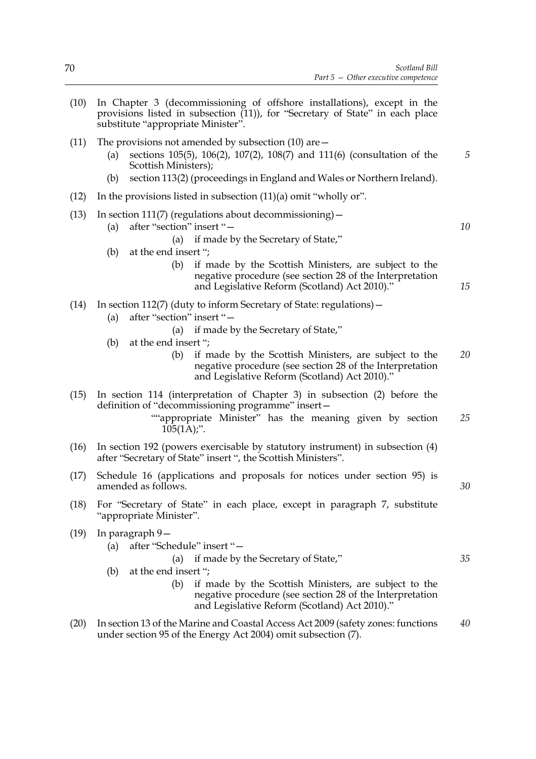- (10) In Chapter 3 (decommissioning of offshore installations), except in the provisions listed in subsection (11)), for "Secretary of State" in each place substitute "appropriate Minister".
- (11) The provisions not amended by subsection (10) are—
	- (a) sections 105(5), 106(2), 107(2), 108(7) and 111(6) (consultation of the Scottish Ministers);
	- (b) section 113(2) (proceedings in England and Wales or Northern Ireland).
- (12) In the provisions listed in subsection (11)(a) omit "wholly or".
- (13) In section 111(7) (regulations about decommissioning)  $-$ 
	- (a) after "section" insert "—
		- (a) if made by the Secretary of State,"
	- (b) at the end insert ";
		- (b) if made by the Scottish Ministers, are subject to the negative procedure (see section 28 of the Interpretation and Legislative Reform (Scotland) Act 2010)."
- (14) In section 112(7) (duty to inform Secretary of State: regulations)—
	- (a) after "section" insert "—
		- (a) if made by the Secretary of State,"
	- (b) at the end insert ";
		- (b) if made by the Scottish Ministers, are subject to the negative procedure (see section 28 of the Interpretation and Legislative Reform (Scotland) Act 2010)." *20*
- (15) In section 114 (interpretation of Chapter 3) in subsection (2) before the definition of "decommissioning programme" insert—
	- ""appropriate Minister" has the meaning given by section  $105(1\text{\AA})$ ;". *25*
- (16) In section 192 (powers exercisable by statutory instrument) in subsection (4) after "Secretary of State" insert ", the Scottish Ministers".
- (17) Schedule 16 (applications and proposals for notices under section 95) is amended as follows.
- (18) For "Secretary of State" in each place, except in paragraph 7, substitute "appropriate Minister".
- (19) In paragraph 9—
	- (a) after "Schedule" insert "—

```
(a) if made by the Secretary of State,"
```
- (b) at the end insert ";
	- (b) if made by the Scottish Ministers, are subject to the negative procedure (see section 28 of the Interpretation and Legislative Reform (Scotland) Act 2010)."
- (20) In section 13 of the Marine and Coastal Access Act 2009 (safety zones: functions under section 95 of the Energy Act 2004) omit subsection (7). *40*

*30*

*5*

*10*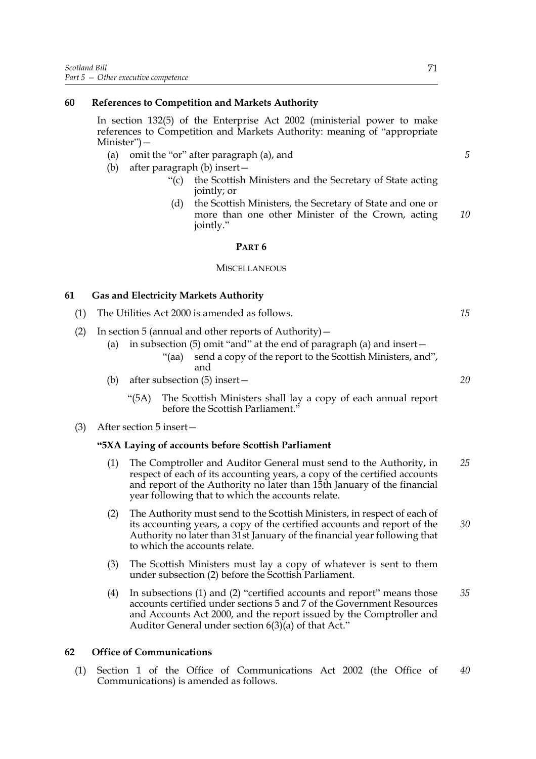#### **60 References to Competition and Markets Authority**

In section 132(5) of the Enterprise Act 2002 (ministerial power to make references to Competition and Markets Authority: meaning of "appropriate Minister")—

- (a) omit the "or" after paragraph (a), and
- (b) after paragraph (b) insert—
	- "(c) the Scottish Ministers and the Secretary of State acting jointly; or
	- (d) the Scottish Ministers, the Secretary of State and one or more than one other Minister of the Crown, acting jointly." *10*

#### **PART 6**

#### **MISCELLANEOUS**

#### **61 Gas and Electricity Markets Authority**

- (1) The Utilities Act 2000 is amended as follows.
- (2) In section 5 (annual and other reports of Authority)—
	- (a) in subsection (5) omit "and" at the end of paragraph (a) and insert— "(aa) send a copy of the report to the Scottish Ministers, and", and
	- (b) after subsection (5) insert—
		- "(5A) The Scottish Ministers shall lay a copy of each annual report before the Scottish Parliament."

#### (3) After section 5 insert—

#### **"5XA Laying of accounts before Scottish Parliament**

- (1) The Comptroller and Auditor General must send to the Authority, in respect of each of its accounting years, a copy of the certified accounts and report of the Authority no later than 15th January of the financial year following that to which the accounts relate. *25*
- (2) The Authority must send to the Scottish Ministers, in respect of each of its accounting years, a copy of the certified accounts and report of the Authority no later than 31st January of the financial year following that to which the accounts relate. *30*
- (3) The Scottish Ministers must lay a copy of whatever is sent to them under subsection (2) before the Scottish Parliament.
- (4) In subsections (1) and (2) "certified accounts and report" means those accounts certified under sections 5 and 7 of the Government Resources and Accounts Act 2000, and the report issued by the Comptroller and Auditor General under section  $6(3)(a)$  of that Act." *35*

#### **62 Office of Communications**

(1) Section 1 of the Office of Communications Act 2002 (the Office of Communications) is amended as follows. *40*

*20*

*15*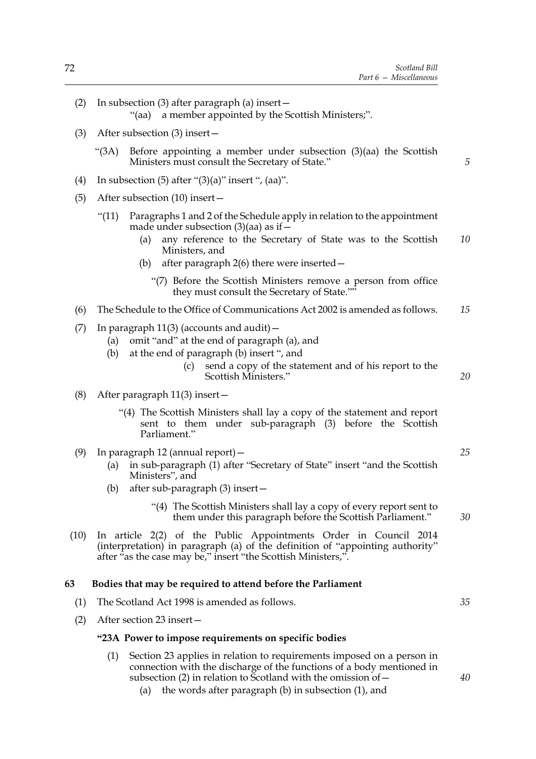*20*

*25*

*30*

*35*

*40*

(2) In subsection (3) after paragraph (a) insert—

"(aa) a member appointed by the Scottish Ministers;".

- (3) After subsection (3) insert—
	- "(3A) Before appointing a member under subsection (3)(aa) the Scottish Ministers must consult the Secretary of State."
- (4) In subsection (5) after " $(3)(a)$ " insert ",  $(aa)$ ".
- (5) After subsection (10) insert—
	- "(11) Paragraphs 1 and 2 of the Schedule apply in relation to the appointment made under subsection  $(3)(aa)$  as if  $-$ 
		- (a) any reference to the Secretary of State was to the Scottish Ministers, and *10*
		- (b) after paragraph 2(6) there were inserted—

"(7) Before the Scottish Ministers remove a person from office they must consult the Secretary of State.""

- (6) The Schedule to the Office of Communications Act 2002 is amended as follows. *15*
- (7) In paragraph  $11(3)$  (accounts and audit)  $-$ 
	- (a) omit "and" at the end of paragraph (a), and
	- (b) at the end of paragraph (b) insert ", and
		- (c) send a copy of the statement and of his report to the Scottish Ministers."
- (8) After paragraph 11(3) insert—
	- "(4) The Scottish Ministers shall lay a copy of the statement and report sent to them under sub-paragraph (3) before the Scottish Parliament."
- (9) In paragraph 12 (annual report)—
	- (a) in sub-paragraph (1) after "Secretary of State" insert "and the Scottish Ministers", and
	- (b) after sub-paragraph (3) insert—
		- "(4) The Scottish Ministers shall lay a copy of every report sent to them under this paragraph before the Scottish Parliament."
- (10) In article 2(2) of the Public Appointments Order in Council 2014 (interpretation) in paragraph (a) of the definition of "appointing authority" after "as the case may be," insert "the Scottish Ministers,".

#### **63 Bodies that may be required to attend before the Parliament**

- (1) The Scotland Act 1998 is amended as follows.
- (2) After section 23 insert—

#### **"23A Power to impose requirements on specific bodies**

- (1) Section 23 applies in relation to requirements imposed on a person in connection with the discharge of the functions of a body mentioned in subsection (2) in relation to Scotland with the omission of  $-$ 
	- (a) the words after paragraph (b) in subsection (1), and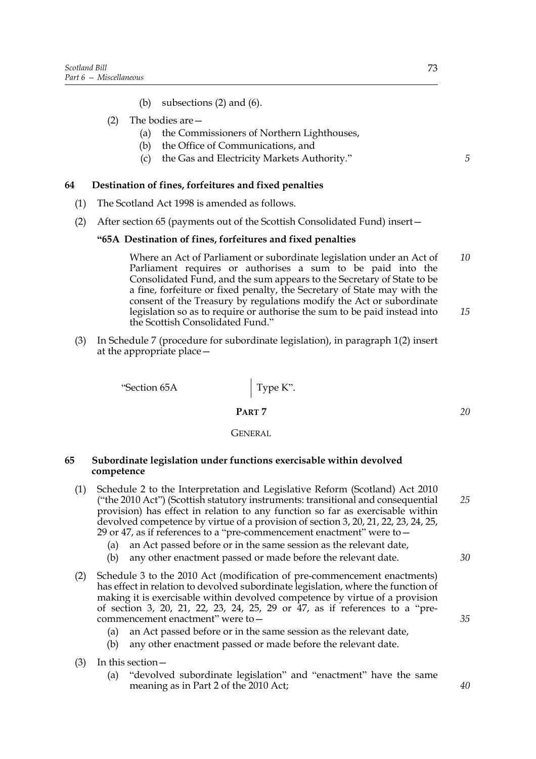- (b) subsections (2) and (6).
- (2) The bodies are—
	- (a) the Commissioners of Northern Lighthouses,
	- (b) the Office of Communications, and
	- (c) the Gas and Electricity Markets Authority."

#### **64 Destination of fines, forfeitures and fixed penalties**

- (1) The Scotland Act 1998 is amended as follows.
- (2) After section 65 (payments out of the Scottish Consolidated Fund) insert—

#### **"65A Destination of fines, forfeitures and fixed penalties**

Where an Act of Parliament or subordinate legislation under an Act of Parliament requires or authorises a sum to be paid into the Consolidated Fund, and the sum appears to the Secretary of State to be a fine, forfeiture or fixed penalty, the Secretary of State may with the consent of the Treasury by regulations modify the Act or subordinate legislation so as to require or authorise the sum to be paid instead into the Scottish Consolidated Fund." *10 15*

(3) In Schedule 7 (procedure for subordinate legislation), in paragraph 1(2) insert at the appropriate place—

"Section 65A Type K".

# **PART 7**

#### GENERAL

#### **65 Subordinate legislation under functions exercisable within devolved competence**

- (1) Schedule 2 to the Interpretation and Legislative Reform (Scotland) Act 2010 ("the 2010 Act") (Scottish statutory instruments: transitional and consequential provision) has effect in relation to any function so far as exercisable within devolved competence by virtue of a provision of section 3, 20, 21, 22, 23, 24, 25, 29 or 47, as if references to a "pre-commencement enactment" were to— *25*
	- (a) an Act passed before or in the same session as the relevant date,
	- (b) any other enactment passed or made before the relevant date.
- (2) Schedule 3 to the 2010 Act (modification of pre-commencement enactments) has effect in relation to devolved subordinate legislation, where the function of making it is exercisable within devolved competence by virtue of a provision of section 3, 20, 21, 22, 23, 24, 25, 29 or 47, as if references to a "precommencement enactment" were to—
	- (a) an Act passed before or in the same session as the relevant date,
	- (b) any other enactment passed or made before the relevant date.
- (3) In this section—
	- (a) "devolved subordinate legislation" and "enactment" have the same meaning as in Part 2 of the 2010 Act;

*5*

*30*

*35*

*40*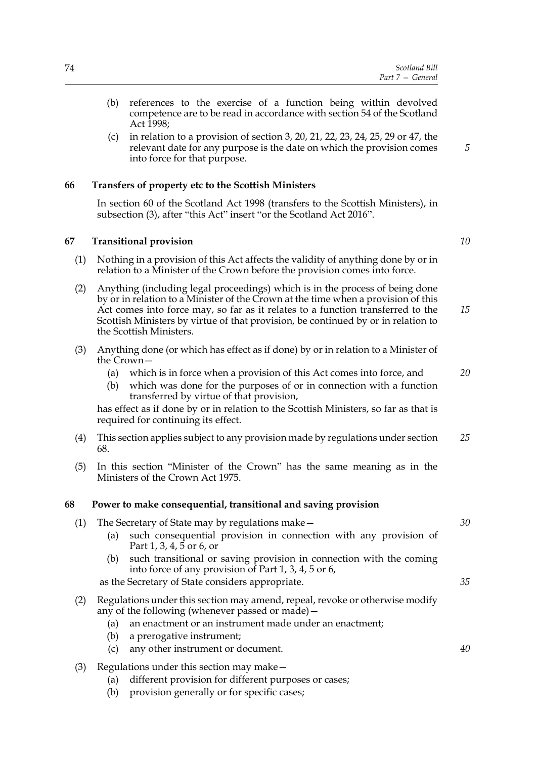- (b) references to the exercise of a function being within devolved competence are to be read in accordance with section 54 of the Scotland Act 1998;
- (c) in relation to a provision of section 3, 20, 21, 22, 23, 24, 25, 29 or 47, the relevant date for any purpose is the date on which the provision comes into force for that purpose.

### **66 Transfers of property etc to the Scottish Ministers**

In section 60 of the Scotland Act 1998 (transfers to the Scottish Ministers), in subsection (3), after "this Act" insert "or the Scotland Act 2016".

### **67 Transitional provision**

- (1) Nothing in a provision of this Act affects the validity of anything done by or in relation to a Minister of the Crown before the provision comes into force.
- (2) Anything (including legal proceedings) which is in the process of being done by or in relation to a Minister of the Crown at the time when a provision of this Act comes into force may, so far as it relates to a function transferred to the Scottish Ministers by virtue of that provision, be continued by or in relation to the Scottish Ministers. *15*
- (3) Anything done (or which has effect as if done) by or in relation to a Minister of the Crown—
	- (a) which is in force when a provision of this Act comes into force, and
	- (b) which was done for the purposes of or in connection with a function transferred by virtue of that provision,

has effect as if done by or in relation to the Scottish Ministers, so far as that is required for continuing its effect.

- (4) This section applies subject to any provision made by regulations under section 68. *25*
- (5) In this section "Minister of the Crown" has the same meaning as in the Ministers of the Crown Act 1975.

### **68 Power to make consequential, transitional and saving provision**

| The Secretary of State may by regulations make $-$ |  |
|----------------------------------------------------|--|
|                                                    |  |

- (a) such consequential provision in connection with any provision of Part 1, 3, 4, 5 or 6, or
- (b) such transitional or saving provision in connection with the coming into force of any provision of Part 1, 3, 4, 5 or 6,

as the Secretary of State considers appropriate.

- (2) Regulations under this section may amend, repeal, revoke or otherwise modify any of the following (whenever passed or made)—
	- (a) an enactment or an instrument made under an enactment;
	- (b) a prerogative instrument;
	- (c) any other instrument or document.
- (3) Regulations under this section may make—
	- (a) different provision for different purposes or cases;
	- (b) provision generally or for specific cases;

*10*

*20*

*30*

*35*

*40*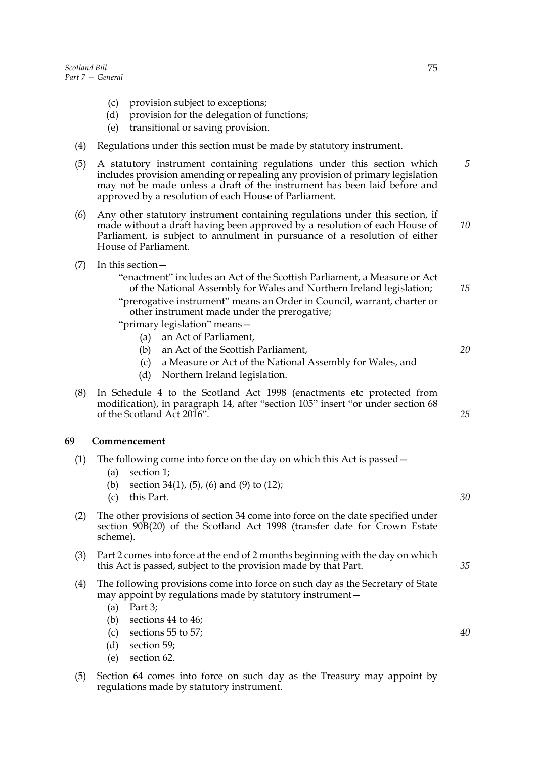- (c) provision subject to exceptions;
- (d) provision for the delegation of functions;
- (e) transitional or saving provision.
- (4) Regulations under this section must be made by statutory instrument.
- (5) A statutory instrument containing regulations under this section which includes provision amending or repealing any provision of primary legislation may not be made unless a draft of the instrument has been laid before and approved by a resolution of each House of Parliament. *5*
- (6) Any other statutory instrument containing regulations under this section, if made without a draft having been approved by a resolution of each House of Parliament, is subject to annulment in pursuance of a resolution of either House of Parliament. *10*
- (7) In this section—

"enactment" includes an Act of the Scottish Parliament, a Measure or Act of the National Assembly for Wales and Northern Ireland legislation;

- "prerogative instrument" means an Order in Council, warrant, charter or other instrument made under the prerogative;
- "primary legislation" means—
	- (a) an Act of Parliament,
	- (b) an Act of the Scottish Parliament,
	- (c) a Measure or Act of the National Assembly for Wales, and
	- (d) Northern Ireland legislation.
- (8) In Schedule 4 to the Scotland Act 1998 (enactments etc protected from modification), in paragraph 14, after "section 105" insert "or under section 68 of the Scotland Act 2016".

## **69 Commencement**

- (1) The following come into force on the day on which this Act is passed—
	- (a) section 1;
	- (b) section 34(1), (5), (6) and (9) to (12);
	- (c) this Part.
- (2) The other provisions of section 34 come into force on the date specified under section 90B(20) of the Scotland Act 1998 (transfer date for Crown Estate scheme).
- (3) Part 2 comes into force at the end of 2 months beginning with the day on which this Act is passed, subject to the provision made by that Part.
- (4) The following provisions come into force on such day as the Secretary of State may appoint by regulations made by statutory instrument—
	- (a) Part 3;
	- (b) sections 44 to 46;
	- (c) sections 55 to 57;
	- (d) section 59;
	- (e) section 62.
- (5) Section 64 comes into force on such day as the Treasury may appoint by regulations made by statutory instrument.

*30*

*15*

*20*

*25*

*35*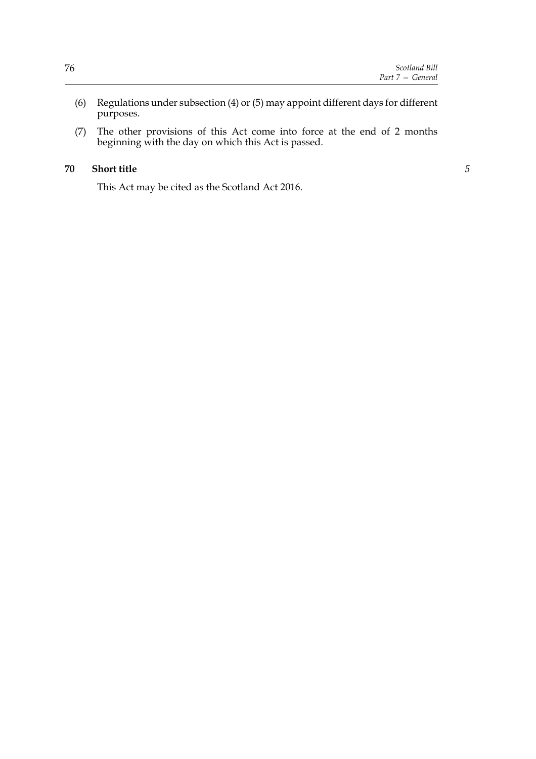- (6) Regulations under subsection (4) or (5) may appoint different days for different purposes.
- (7) The other provisions of this Act come into force at the end of 2 months beginning with the day on which this Act is passed.

#### **70 Short title**

This Act may be cited as the Scotland Act 2016.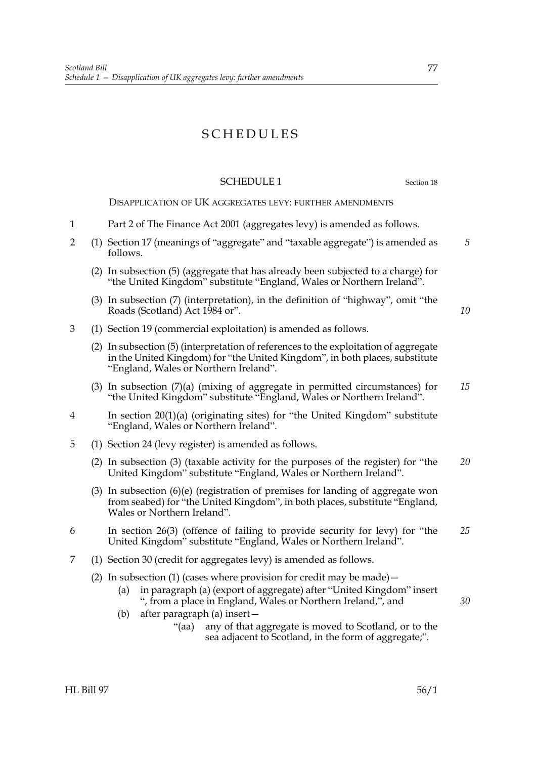# SCHEDULES

# SCHEDULE 1 Section 18

*5*

*10*

DISAPPLICATION OF UK AGGREGATES LEVY: FURTHER AMENDMENTS

- 1 Part 2 of The Finance Act 2001 (aggregates levy) is amended as follows.
- 2 (1) Section 17 (meanings of "aggregate" and "taxable aggregate") is amended as follows.
	- (2) In subsection (5) (aggregate that has already been subjected to a charge) for "the United Kingdom" substitute "England, Wales or Northern Ireland".
	- (3) In subsection (7) (interpretation), in the definition of "highway", omit "the Roads (Scotland) Act 1984 or".
- 3 (1) Section 19 (commercial exploitation) is amended as follows.
	- (2) In subsection (5) (interpretation of references to the exploitation of aggregate in the United Kingdom) for "the United Kingdom", in both places, substitute "England, Wales or Northern Ireland".
	- (3) In subsection (7)(a) (mixing of aggregate in permitted circumstances) for "the United Kingdom" substitute "England, Wales or Northern Ireland". *15*
- 4 In section 20(1)(a) (originating sites) for "the United Kingdom" substitute "England, Wales or Northern Ireland".
- 5 (1) Section 24 (levy register) is amended as follows.
	- (2) In subsection (3) (taxable activity for the purposes of the register) for "the United Kingdom" substitute "England, Wales or Northern Ireland". *20*
	- (3) In subsection (6)(e) (registration of premises for landing of aggregate won from seabed) for "the United Kingdom", in both places, substitute "England, Wales or Northern Ireland".
- 6 In section 26(3) (offence of failing to provide security for levy) for "the United Kingdom" substitute "England, Wales or Northern Ireland". *25*
- 7 (1) Section 30 (credit for aggregates levy) is amended as follows.
	- (2) In subsection (1) (cases where provision for credit may be made)  $-$ 
		- (a) in paragraph (a) (export of aggregate) after "United Kingdom" insert ", from a place in England, Wales or Northern Ireland,", and
		- (b) after paragraph (a) insert—
			- "(aa) any of that aggregate is moved to Scotland, or to the sea adjacent to Scotland, in the form of aggregate;".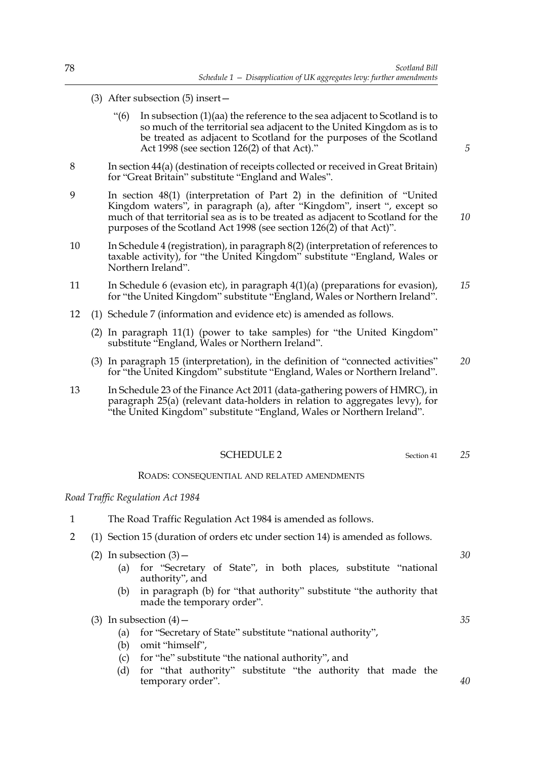- (3) After subsection (5) insert—
	- "(6) In subsection (1)(aa) the reference to the sea adjacent to Scotland is to so much of the territorial sea adjacent to the United Kingdom as is to be treated as adjacent to Scotland for the purposes of the Scotland Act 1998 (see section 126(2) of that Act)."
- 8 In section 44(a) (destination of receipts collected or received in Great Britain) for "Great Britain" substitute "England and Wales".
- 9 In section 48(1) (interpretation of Part 2) in the definition of "United Kingdom waters", in paragraph (a), after "Kingdom", insert ", except so much of that territorial sea as is to be treated as adjacent to Scotland for the purposes of the Scotland Act 1998 (see section 126(2) of that Act)".
- 10 In Schedule 4 (registration), in paragraph 8(2) (interpretation of references to taxable activity), for "the United Kingdom" substitute "England, Wales or Northern Ireland".
- 11 In Schedule 6 (evasion etc), in paragraph 4(1)(a) (preparations for evasion), for "the United Kingdom" substitute "England, Wales or Northern Ireland". *15*
- 12 (1) Schedule 7 (information and evidence etc) is amended as follows.
	- (2) In paragraph 11(1) (power to take samples) for "the United Kingdom" substitute "England, Wales or Northern Ireland".
	- (3) In paragraph 15 (interpretation), in the definition of "connected activities" for "the United Kingdom" substitute "England, Wales or Northern Ireland". *20*
- 13 In Schedule 23 of the Finance Act 2011 (data-gathering powers of HMRC), in paragraph 25(a) (relevant data-holders in relation to aggregates levy), for "the United Kingdom" substitute "England, Wales or Northern Ireland".

#### SCHEDULE 2 Section 41

#### ROADS: CONSEQUENTIAL AND RELATED AMENDMENTS

#### *Road Traffic Regulation Act 1984*

- 1 The Road Traffic Regulation Act 1984 is amended as follows.
- 2 (1) Section 15 (duration of orders etc under section 14) is amended as follows.
	- (2) In subsection  $(3)$  -
		- (a) for "Secretary of State", in both places, substitute "national authority", and
		- (b) in paragraph (b) for "that authority" substitute "the authority that made the temporary order".

(3) In subsection  $(4)$  –

- (a) for "Secretary of State" substitute "national authority",
- (b) omit "himself",
- (c) for "he" substitute "the national authority", and
- (d) for "that authority" substitute "the authority that made the temporary order".

*5*

*10*

*25*

*35*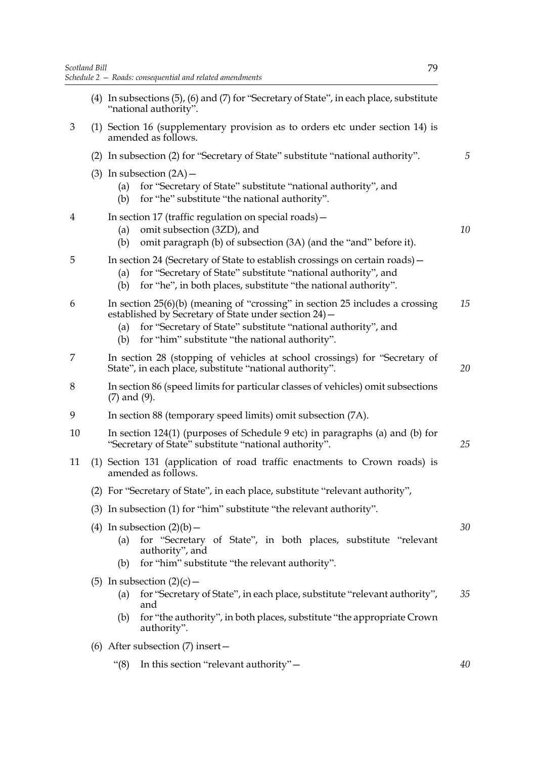- (4) In subsections (5), (6) and (7) for "Secretary of State", in each place, substitute "national authority".
- 3 (1) Section 16 (supplementary provision as to orders etc under section 14) is amended as follows.
	- (2) In subsection (2) for "Secretary of State" substitute "national authority".
	- (3) In subsection  $(2A)$ 
		- (a) for "Secretary of State" substitute "national authority", and
		- (b) for "he" substitute "the national authority".

|  |  |  | In section 17 (traffic regulation on special roads) - |
|--|--|--|-------------------------------------------------------|
|--|--|--|-------------------------------------------------------|

- (a) omit subsection (3ZD), and
- (b) omit paragraph (b) of subsection (3A) (and the "and" before it).
- 5 In section 24 (Secretary of State to establish crossings on certain roads)—
	- (a) for "Secretary of State" substitute "national authority", and
	- (b) for "he", in both places, substitute "the national authority".
- 6 In section 25(6)(b) (meaning of "crossing" in section 25 includes a crossing established by Secretary of State under section 24)— *15*
	- (a) for "Secretary of State" substitute "national authority", and
	- (b) for "him" substitute "the national authority".
- 7 In section 28 (stopping of vehicles at school crossings) for "Secretary of State", in each place, substitute "national authority".
- 8 In section 86 (speed limits for particular classes of vehicles) omit subsections (7) and (9).
- 9 In section 88 (temporary speed limits) omit subsection (7A).
- 10 In section 124(1) (purposes of Schedule 9 etc) in paragraphs (a) and (b) for "Secretary of State" substitute "national authority". *25*
- 11 (1) Section 131 (application of road traffic enactments to Crown roads) is amended as follows.
	- (2) For "Secretary of State", in each place, substitute "relevant authority",
	- (3) In subsection (1) for "him" substitute "the relevant authority".
	- (4) In subsection  $(2)(b)$ 
		- (a) for "Secretary of State", in both places, substitute "relevant authority", and
		- (b) for "him" substitute "the relevant authority".
	- (5) In subsection  $(2)(c)$ 
		- (a) for "Secretary of State", in each place, substitute "relevant authority", and *35*
		- (b) for "the authority", in both places, substitute "the appropriate Crown authority".
	- (6) After subsection (7) insert—
		- "(8) In this section "relevant authority"—

*5*

*10*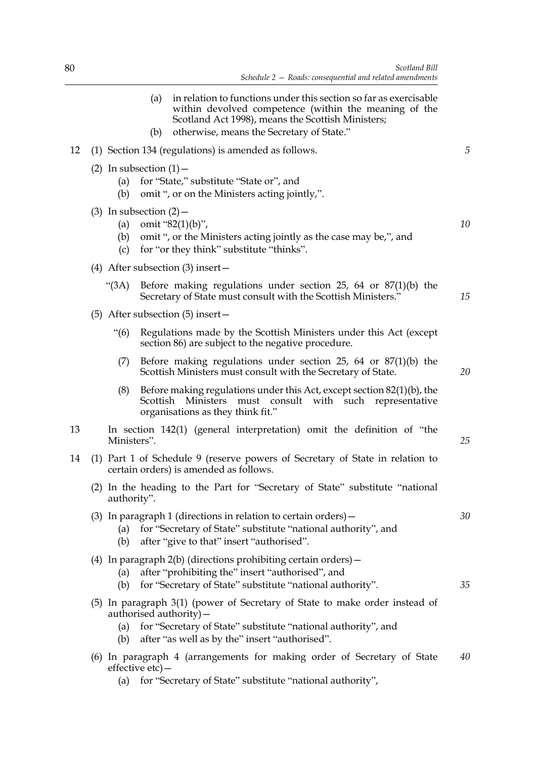|    |                   | (a)<br>(b)                  | in relation to functions under this section so far as exercisable<br>within devolved competence (within the meaning of the<br>Scotland Act 1998), means the Scottish Ministers;<br>otherwise, means the Secretary of State." |    |
|----|-------------------|-----------------------------|------------------------------------------------------------------------------------------------------------------------------------------------------------------------------------------------------------------------------|----|
| 12 |                   |                             | (1) Section 134 (regulations) is amended as follows.                                                                                                                                                                         | 5  |
|    | (a)<br>(b)        | (2) In subsection $(1)$ –   | for "State," substitute "State or", and<br>omit ", or on the Ministers acting jointly,".                                                                                                                                     |    |
|    | (a)<br>(b)<br>(c) | $(3)$ In subsection $(2)$ – | omit " $82(1)(b)$ ",<br>omit ", or the Ministers acting jointly as the case may be,", and<br>for "or they think" substitute "thinks".                                                                                        | 10 |
|    |                   |                             | (4) After subsection $(3)$ insert –                                                                                                                                                                                          |    |
|    | " $(3A)$          |                             | Before making regulations under section 25, 64 or $87(1)(b)$ the<br>Secretary of State must consult with the Scottish Ministers."                                                                                            | 15 |
|    |                   |                             | $(5)$ After subsection $(5)$ insert –                                                                                                                                                                                        |    |
|    | $\cdot\cdot(6)$   |                             | Regulations made by the Scottish Ministers under this Act (except<br>section 86) are subject to the negative procedure.                                                                                                      |    |
|    | (7)               |                             | Before making regulations under section 25, 64 or $87(1)(b)$ the<br>Scottish Ministers must consult with the Secretary of State.                                                                                             | 20 |
|    | (8)               |                             | Before making regulations under this Act, except section $82(1)(b)$ , the<br>Scottish Ministers<br>must consult with such representative<br>organisations as they think fit."                                                |    |
| 13 | Ministers".       |                             | In section 142(1) (general interpretation) omit the definition of "the                                                                                                                                                       | 25 |
| 14 |                   |                             | (1) Part 1 of Schedule 9 (reserve powers of Secretary of State in relation to<br>certain orders) is amended as follows.                                                                                                      |    |
|    | authority".       |                             | (2) In the heading to the Part for "Secretary of State" substitute "national                                                                                                                                                 |    |
|    | (a)<br>(b)        |                             | (3) In paragraph 1 (directions in relation to certain orders) $-$<br>for "Secretary of State" substitute "national authority", and<br>after "give to that" insert "authorised".                                              | 30 |
|    | (a)<br>(b)        |                             | (4) In paragraph $2(b)$ (directions prohibiting certain orders) $-$<br>after "prohibiting the" insert "authorised", and<br>for "Secretary of State" substitute "national authority".                                         | 35 |
|    | (a)<br>(b)        |                             | (5) In paragraph 3(1) (power of Secretary of State to make order instead of<br>authorised authority) -<br>for "Secretary of State" substitute "national authority", and<br>after "as well as by the" insert "authorised".    |    |
|    |                   | effective $etc$ ) –         | (6) In paragraph 4 (arrangements for making order of Secretary of State                                                                                                                                                      | 40 |

(a) for "Secretary of State" substitute "national authority",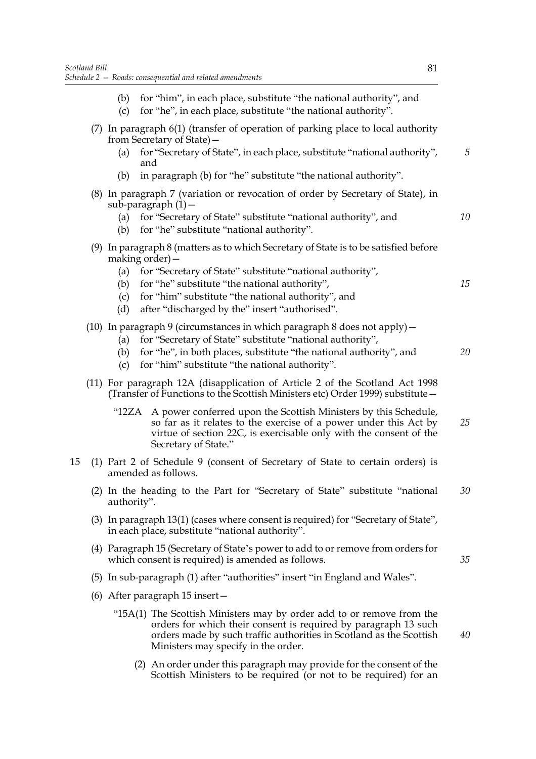- (b) for "him", in each place, substitute "the national authority", and (c) for "he", in each place, substitute "the national authority". (7) In paragraph 6(1) (transfer of operation of parking place to local authority from Secretary of State)— (a) for "Secretary of State", in each place, substitute "national authority", and (b) in paragraph (b) for "he" substitute "the national authority". (8) In paragraph 7 (variation or revocation of order by Secretary of State), in  $sub-<sub>para</sub>$  eraph  $(1)$  – (a) for "Secretary of State" substitute "national authority", and (b) for "he" substitute "national authority". (9) In paragraph 8 (matters as to which Secretary of State is to be satisfied before making order)— (a) for "Secretary of State" substitute "national authority", (b) for "he" substitute "the national authority", (c) for "him" substitute "the national authority", and (d) after "discharged by the" insert "authorised". (10) In paragraph 9 (circumstances in which paragraph 8 does not apply)— (a) for "Secretary of State" substitute "national authority", (b) for "he", in both places, substitute "the national authority", and (c) for "him" substitute "the national authority". (11) For paragraph 12A (disapplication of Article 2 of the Scotland Act 1998 (Transfer of Functions to the Scottish Ministers etc) Order 1999) substitute—
	- "12ZA A power conferred upon the Scottish Ministers by this Schedule, so far as it relates to the exercise of a power under this Act by virtue of section 22C, is exercisable only with the consent of the Secretary of State." *25*
- 15 (1) Part 2 of Schedule 9 (consent of Secretary of State to certain orders) is amended as follows.
	- (2) In the heading to the Part for "Secretary of State" substitute "national authority". *30*
	- (3) In paragraph 13(1) (cases where consent is required) for "Secretary of State", in each place, substitute "national authority".
	- (4) Paragraph 15 (Secretary of State's power to add to or remove from orders for which consent is required) is amended as follows.
	- (5) In sub-paragraph (1) after "authorities" insert "in England and Wales".
	- (6) After paragraph 15 insert—
		- "15A(1) The Scottish Ministers may by order add to or remove from the orders for which their consent is required by paragraph 13 such orders made by such traffic authorities in Scotland as the Scottish Ministers may specify in the order.
			- (2) An order under this paragraph may provide for the consent of the Scottish Ministers to be required (or not to be required) for an

*10*

*15*

*20*

*35*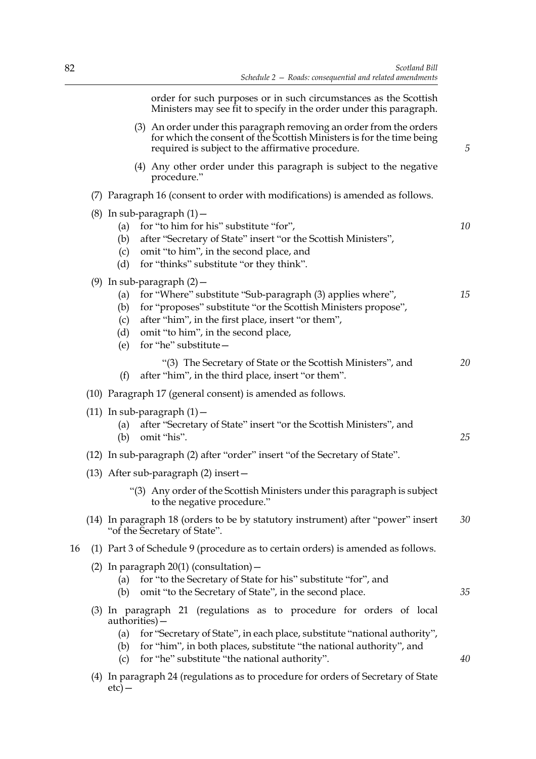order for such purposes or in such circumstances as the Scottish Ministers may see fit to specify in the order under this paragraph.

| (3) An order under this paragraph removing an order from the orders   |
|-----------------------------------------------------------------------|
| for which the consent of the Scottish Ministers is for the time being |
| required is subject to the affirmative procedure.                     |

- (4) Any other order under this paragraph is subject to the negative procedure."
- (7) Paragraph 16 (consent to order with modifications) is amended as follows.

|    | (8) In sub-paragraph $(1)$ -<br>for "to him for his" substitute "for",<br>(a)<br>after "Secretary of State" insert "or the Scottish Ministers",<br>(b)<br>omit "to him", in the second place, and<br>(c)<br>for "thinks" substitute "or they think".<br>(d)                                                           | 10 |
|----|-----------------------------------------------------------------------------------------------------------------------------------------------------------------------------------------------------------------------------------------------------------------------------------------------------------------------|----|
|    | (9) In sub-paragraph $(2)$ -<br>for "Where" substitute "Sub-paragraph (3) applies where",<br>(a)<br>for "proposes" substitute "or the Scottish Ministers propose",<br>(b)<br>after "him", in the first place, insert "or them",<br>(c)<br>omit "to him", in the second place,<br>(d)<br>for "he" substitute -<br>(e)  | 15 |
|    | "(3) The Secretary of State or the Scottish Ministers", and<br>after "him", in the third place, insert "or them".<br>(f)                                                                                                                                                                                              | 20 |
|    | (10) Paragraph 17 (general consent) is amended as follows.                                                                                                                                                                                                                                                            |    |
|    | $(11)$ In sub-paragraph $(1)$ –<br>after "Secretary of State" insert "or the Scottish Ministers", and<br>(a)<br>omit "his".<br>(b)                                                                                                                                                                                    | 25 |
|    | (12) In sub-paragraph (2) after "order" insert "of the Secretary of State".                                                                                                                                                                                                                                           |    |
|    | $(13)$ After sub-paragraph $(2)$ insert -                                                                                                                                                                                                                                                                             |    |
|    | "(3) Any order of the Scottish Ministers under this paragraph is subject<br>to the negative procedure."                                                                                                                                                                                                               |    |
|    | (14) In paragraph 18 (orders to be by statutory instrument) after "power" insert<br>"of the Secretary of State".                                                                                                                                                                                                      | 30 |
| 16 | (1) Part 3 of Schedule 9 (procedure as to certain orders) is amended as follows.                                                                                                                                                                                                                                      |    |
|    | (2) In paragraph $20(1)$ (consultation) –<br>for "to the Secretary of State for his" substitute "for", and<br>(a)<br>omit "to the Secretary of State", in the second place.<br>(b)                                                                                                                                    | 35 |
|    | (3) In paragraph 21 (regulations as to procedure for orders of local<br>$a$ uthorities $)-$<br>for "Secretary of State", in each place, substitute "national authority",<br>(a)<br>for "him", in both places, substitute "the national authority", and<br>(b)<br>for "he" substitute "the national authority".<br>(c) | 40 |

(4) In paragraph 24 (regulations as to procedure for orders of Secretary of State  $etc)$  —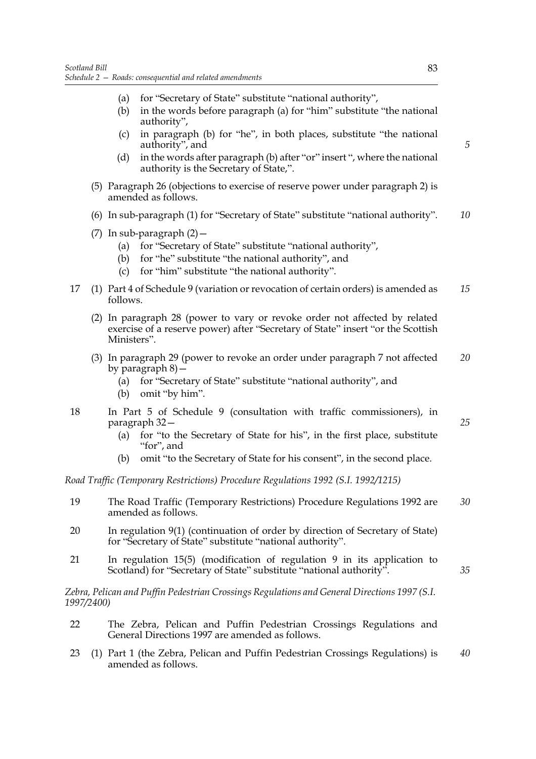- (a) for "Secretary of State" substitute "national authority",
- (b) in the words before paragraph (a) for "him" substitute "the national authority",
- (c) in paragraph (b) for "he", in both places, substitute "the national authority", and
- (d) in the words after paragraph (b) after "or" insert ", where the national authority is the Secretary of State,".
- (5) Paragraph 26 (objections to exercise of reserve power under paragraph 2) is amended as follows.
- (6) In sub-paragraph (1) for "Secretary of State" substitute "national authority". *10*
- (7) In sub-paragraph  $(2)$  -
	- (a) for "Secretary of State" substitute "national authority",
	- (b) for "he" substitute "the national authority", and
	- (c) for "him" substitute "the national authority".
- 17 (1) Part 4 of Schedule 9 (variation or revocation of certain orders) is amended as follows. *15*
	- (2) In paragraph 28 (power to vary or revoke order not affected by related exercise of a reserve power) after "Secretary of State" insert "or the Scottish Ministers".
	- (3) In paragraph 29 (power to revoke an order under paragraph 7 not affected by paragraph 8)— *20*
		- (a) for "Secretary of State" substitute "national authority", and
		- (b) omit "by him".
- 18 In Part 5 of Schedule 9 (consultation with traffic commissioners), in paragraph 32—
	- (a) for "to the Secretary of State for his", in the first place, substitute "for", and
	- (b) omit "to the Secretary of State for his consent", in the second place.

*Road Traffic (Temporary Restrictions) Procedure Regulations 1992 (S.I. 1992/1215)*

- 19 The Road Traffic (Temporary Restrictions) Procedure Regulations 1992 are amended as follows. *30*
- 20 In regulation 9(1) (continuation of order by direction of Secretary of State) for "Secretary of State" substitute "national authority".
- 21 In regulation 15(5) (modification of regulation 9 in its application to Scotland) for "Secretary of State" substitute "national authority".

*Zebra, Pelican and Puffin Pedestrian Crossings Regulations and General Directions 1997 (S.I. 1997/2400)*

- 22 The Zebra, Pelican and Puffin Pedestrian Crossings Regulations and General Directions 1997 are amended as follows.
- 23 (1) Part 1 (the Zebra, Pelican and Puffin Pedestrian Crossings Regulations) is amended as follows. *40*

*5*

*25*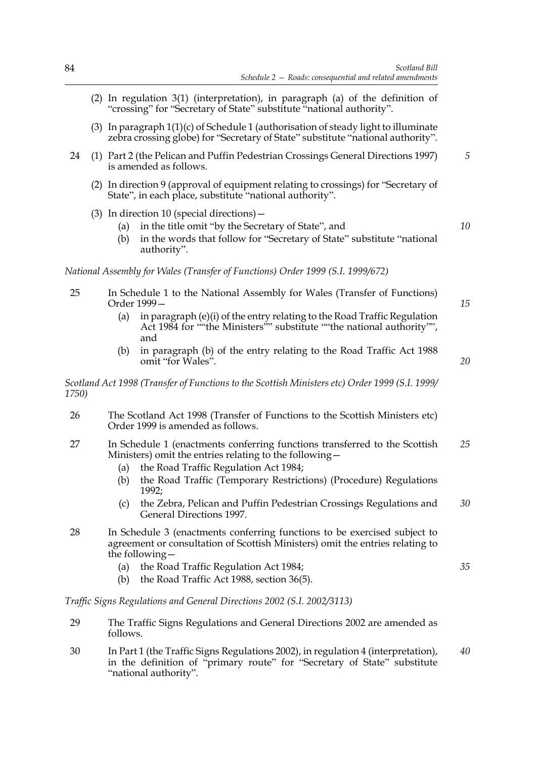- (2) In regulation 3(1) (interpretation), in paragraph (a) of the definition of "crossing" for "Secretary of State" substitute "national authority".
- (3) In paragraph 1(1)(c) of Schedule 1 (authorisation of steady light to illuminate zebra crossing globe) for "Secretary of State" substitute "national authority".
- 24 (1) Part 2 (the Pelican and Puffin Pedestrian Crossings General Directions 1997) is amended as follows. *5*
	- (2) In direction 9 (approval of equipment relating to crossings) for "Secretary of State", in each place, substitute "national authority".
	- (3) In direction 10 (special directions)—
		- (a) in the title omit "by the Secretary of State", and
		- (b) in the words that follow for "Secretary of State" substitute "national authority".

*National Assembly for Wales (Transfer of Functions) Order 1999 (S.I. 1999/672)*

- 25 In Schedule 1 to the National Assembly for Wales (Transfer of Functions) Order 1999—
	- (a) in paragraph (e)(i) of the entry relating to the Road Traffic Regulation Act 1984 for ""the Ministers"" substitute ""the national authority"", and
	- (b) in paragraph (b) of the entry relating to the Road Traffic Act 1988 omit "for Wales".

*Scotland Act 1998 (Transfer of Functions to the Scottish Ministers etc) Order 1999 (S.I. 1999/ 1750)*

- 26 The Scotland Act 1998 (Transfer of Functions to the Scottish Ministers etc) Order 1999 is amended as follows.
- 27 In Schedule 1 (enactments conferring functions transferred to the Scottish Ministers) omit the entries relating to the following— *25*
	- (a) the Road Traffic Regulation Act 1984;
	- (b) the Road Traffic (Temporary Restrictions) (Procedure) Regulations 1992;
	- (c) the Zebra, Pelican and Puffin Pedestrian Crossings Regulations and General Directions 1997. *30*
- 28 In Schedule 3 (enactments conferring functions to be exercised subject to agreement or consultation of Scottish Ministers) omit the entries relating to the following—
	- (a) the Road Traffic Regulation Act 1984;
	- (b) the Road Traffic Act 1988, section 36(5).

*Traffic Signs Regulations and General Directions 2002 (S.I. 2002/3113)*

- 29 The Traffic Signs Regulations and General Directions 2002 are amended as follows.
- 30 In Part 1 (the Traffic Signs Regulations 2002), in regulation 4 (interpretation), in the definition of "primary route" for "Secretary of State" substitute "national authority". *40*

*35*

*10*

*15*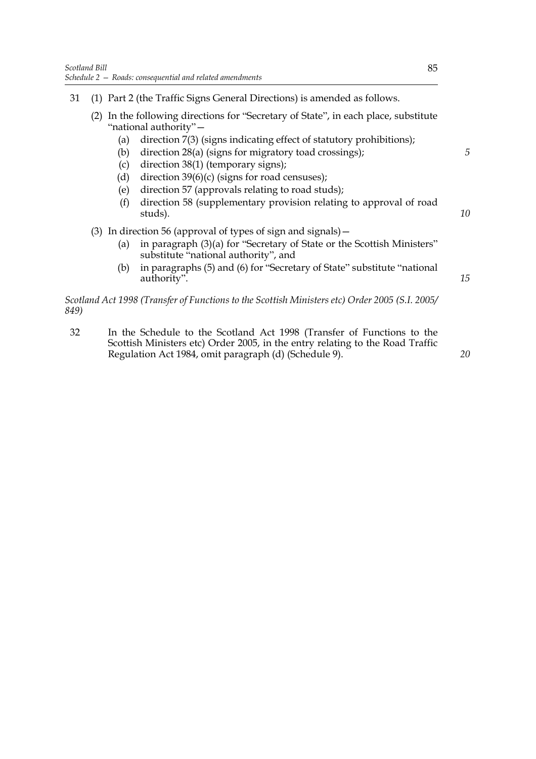- 31 (1) Part 2 (the Traffic Signs General Directions) is amended as follows.
	- (2) In the following directions for "Secretary of State", in each place, substitute "national authority"—
		- (a) direction 7(3) (signs indicating effect of statutory prohibitions);
		- (b) direction 28(a) (signs for migratory toad crossings);
		- (c) direction 38(1) (temporary signs);
		- (d) direction  $39(6)(c)$  (signs for road censuses);
		- (e) direction 57 (approvals relating to road studs);
		- (f) direction 58 (supplementary provision relating to approval of road studs).

## (3) In direction 56 (approval of types of sign and signals)—

- (a) in paragraph (3)(a) for "Secretary of State or the Scottish Ministers" substitute "national authority", and
- (b) in paragraphs (5) and (6) for "Secretary of State" substitute "national authority".

*Scotland Act 1998 (Transfer of Functions to the Scottish Ministers etc) Order 2005 (S.I. 2005/ 849)*

32 In the Schedule to the Scotland Act 1998 (Transfer of Functions to the Scottish Ministers etc) Order 2005, in the entry relating to the Road Traffic Regulation Act 1984, omit paragraph (d) (Schedule 9).

*5*

*10*